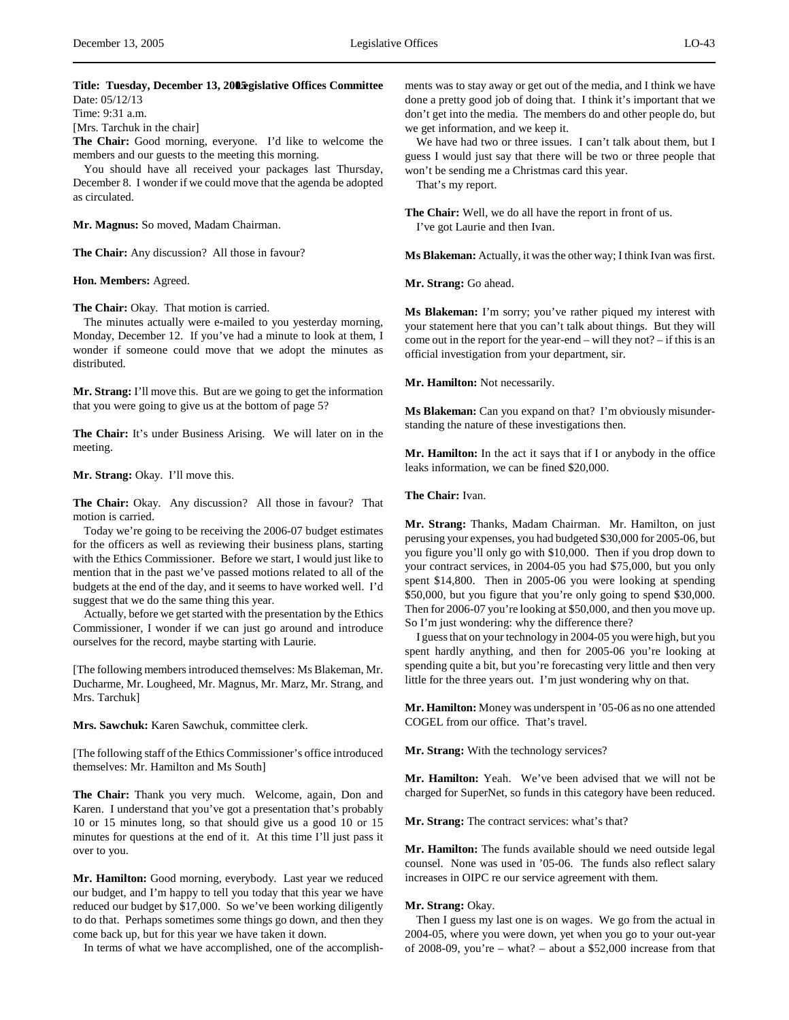# Title: Tuesday, December 13, 20**05** gislative Offices Committee Date: 05/12/13

Time: 9:31 a.m.

[Mrs. Tarchuk in the chair]

**The Chair:** Good morning, everyone. I'd like to welcome the members and our guests to the meeting this morning.

You should have all received your packages last Thursday, December 8. I wonder if we could move that the agenda be adopted as circulated.

**Mr. Magnus:** So moved, Madam Chairman.

**The Chair:** Any discussion? All those in favour?

**Hon. Members:** Agreed.

**The Chair:** Okay. That motion is carried.

The minutes actually were e-mailed to you yesterday morning, Monday, December 12. If you've had a minute to look at them, I wonder if someone could move that we adopt the minutes as distributed.

**Mr. Strang:** I'll move this. But are we going to get the information that you were going to give us at the bottom of page 5?

**The Chair:** It's under Business Arising. We will later on in the meeting.

**Mr. Strang:** Okay. I'll move this.

**The Chair:** Okay. Any discussion? All those in favour? That motion is carried.

Today we're going to be receiving the 2006-07 budget estimates for the officers as well as reviewing their business plans, starting with the Ethics Commissioner. Before we start, I would just like to mention that in the past we've passed motions related to all of the budgets at the end of the day, and it seems to have worked well. I'd suggest that we do the same thing this year.

Actually, before we get started with the presentation by the Ethics Commissioner, I wonder if we can just go around and introduce ourselves for the record, maybe starting with Laurie.

[The following members introduced themselves: Ms Blakeman, Mr. Ducharme, Mr. Lougheed, Mr. Magnus, Mr. Marz, Mr. Strang, and Mrs. Tarchuk]

**Mrs. Sawchuk:** Karen Sawchuk, committee clerk.

[The following staff of the Ethics Commissioner's office introduced themselves: Mr. Hamilton and Ms South]

**The Chair:** Thank you very much. Welcome, again, Don and Karen. I understand that you've got a presentation that's probably 10 or 15 minutes long, so that should give us a good 10 or 15 minutes for questions at the end of it. At this time I'll just pass it over to you.

**Mr. Hamilton:** Good morning, everybody. Last year we reduced our budget, and I'm happy to tell you today that this year we have reduced our budget by \$17,000. So we've been working diligently to do that. Perhaps sometimes some things go down, and then they come back up, but for this year we have taken it down.

In terms of what we have accomplished, one of the accomplish-

ments was to stay away or get out of the media, and I think we have done a pretty good job of doing that. I think it's important that we don't get into the media. The members do and other people do, but we get information, and we keep it.

We have had two or three issues. I can't talk about them, but I guess I would just say that there will be two or three people that won't be sending me a Christmas card this year.

That's my report.

**The Chair:** Well, we do all have the report in front of us. I've got Laurie and then Ivan.

**Ms Blakeman:** Actually, it was the other way; I think Ivan was first.

**Mr. Strang:** Go ahead.

**Ms Blakeman:** I'm sorry; you've rather piqued my interest with your statement here that you can't talk about things. But they will come out in the report for the year-end – will they not? – if this is an official investigation from your department, sir.

**Mr. Hamilton:** Not necessarily.

**Ms Blakeman:** Can you expand on that? I'm obviously misunderstanding the nature of these investigations then.

**Mr. Hamilton:** In the act it says that if I or anybody in the office leaks information, we can be fined \$20,000.

**The Chair:** Ivan.

**Mr. Strang:** Thanks, Madam Chairman. Mr. Hamilton, on just perusing your expenses, you had budgeted \$30,000 for 2005-06, but you figure you'll only go with \$10,000. Then if you drop down to your contract services, in 2004-05 you had \$75,000, but you only spent \$14,800. Then in 2005-06 you were looking at spending \$50,000, but you figure that you're only going to spend \$30,000. Then for 2006-07 you're looking at \$50,000, and then you move up. So I'm just wondering: why the difference there?

I guess that on your technology in 2004-05 you were high, but you spent hardly anything, and then for 2005-06 you're looking at spending quite a bit, but you're forecasting very little and then very little for the three years out. I'm just wondering why on that.

**Mr. Hamilton:** Money was underspent in '05-06 as no one attended COGEL from our office. That's travel.

**Mr. Strang:** With the technology services?

**Mr. Hamilton:** Yeah. We've been advised that we will not be charged for SuperNet, so funds in this category have been reduced.

**Mr. Strang:** The contract services: what's that?

**Mr. Hamilton:** The funds available should we need outside legal counsel. None was used in '05-06. The funds also reflect salary increases in OIPC re our service agreement with them.

# **Mr. Strang:** Okay.

Then I guess my last one is on wages. We go from the actual in 2004-05, where you were down, yet when you go to your out-year of 2008-09, you're – what? – about a \$52,000 increase from that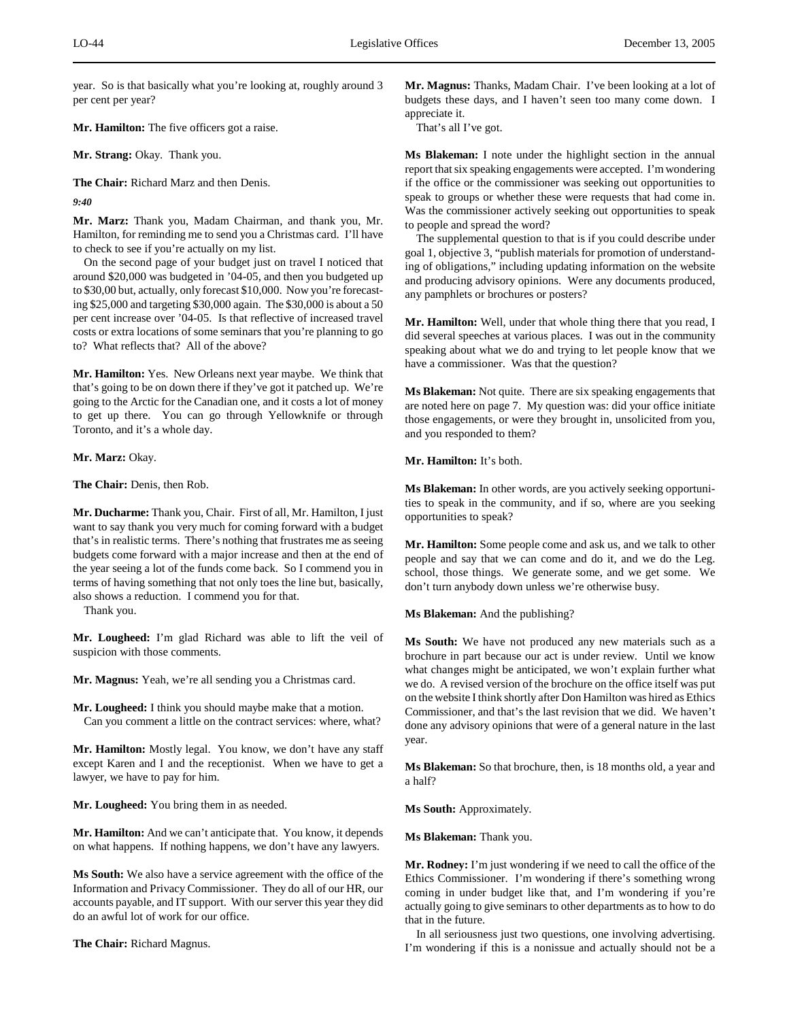year. So is that basically what you're looking at, roughly around 3 per cent per year?

**Mr. Hamilton:** The five officers got a raise.

**Mr. Strang:** Okay. Thank you.

**The Chair:** Richard Marz and then Denis.

*9:40*

**Mr. Marz:** Thank you, Madam Chairman, and thank you, Mr. Hamilton, for reminding me to send you a Christmas card. I'll have to check to see if you're actually on my list.

On the second page of your budget just on travel I noticed that around \$20,000 was budgeted in '04-05, and then you budgeted up to \$30,00 but, actually, only forecast \$10,000. Now you're forecasting \$25,000 and targeting \$30,000 again. The \$30,000 is about a 50 per cent increase over '04-05. Is that reflective of increased travel costs or extra locations of some seminars that you're planning to go to? What reflects that? All of the above?

**Mr. Hamilton:** Yes. New Orleans next year maybe. We think that that's going to be on down there if they've got it patched up. We're going to the Arctic for the Canadian one, and it costs a lot of money to get up there. You can go through Yellowknife or through Toronto, and it's a whole day.

**Mr. Marz:** Okay.

**The Chair:** Denis, then Rob.

**Mr. Ducharme:** Thank you, Chair. First of all, Mr. Hamilton, I just want to say thank you very much for coming forward with a budget that's in realistic terms. There's nothing that frustrates me as seeing budgets come forward with a major increase and then at the end of the year seeing a lot of the funds come back. So I commend you in terms of having something that not only toes the line but, basically, also shows a reduction. I commend you for that.

Thank you.

**Mr. Lougheed:** I'm glad Richard was able to lift the veil of suspicion with those comments.

**Mr. Magnus:** Yeah, we're all sending you a Christmas card.

**Mr. Lougheed:** I think you should maybe make that a motion. Can you comment a little on the contract services: where, what?

**Mr. Hamilton:** Mostly legal. You know, we don't have any staff except Karen and I and the receptionist. When we have to get a lawyer, we have to pay for him.

**Mr. Lougheed:** You bring them in as needed.

**Mr. Hamilton:** And we can't anticipate that. You know, it depends on what happens. If nothing happens, we don't have any lawyers.

**Ms South:** We also have a service agreement with the office of the Information and Privacy Commissioner. They do all of our HR, our accounts payable, and IT support. With our server this year they did do an awful lot of work for our office.

**The Chair:** Richard Magnus.

**Mr. Magnus:** Thanks, Madam Chair. I've been looking at a lot of budgets these days, and I haven't seen too many come down. I appreciate it.

That's all I've got.

**Ms Blakeman:** I note under the highlight section in the annual report that six speaking engagements were accepted. I'm wondering if the office or the commissioner was seeking out opportunities to speak to groups or whether these were requests that had come in. Was the commissioner actively seeking out opportunities to speak to people and spread the word?

The supplemental question to that is if you could describe under goal 1, objective 3, "publish materials for promotion of understanding of obligations," including updating information on the website and producing advisory opinions. Were any documents produced, any pamphlets or brochures or posters?

**Mr. Hamilton:** Well, under that whole thing there that you read, I did several speeches at various places. I was out in the community speaking about what we do and trying to let people know that we have a commissioner. Was that the question?

**Ms Blakeman:** Not quite. There are six speaking engagements that are noted here on page 7. My question was: did your office initiate those engagements, or were they brought in, unsolicited from you, and you responded to them?

**Mr. Hamilton:** It's both.

**Ms Blakeman:** In other words, are you actively seeking opportunities to speak in the community, and if so, where are you seeking opportunities to speak?

**Mr. Hamilton:** Some people come and ask us, and we talk to other people and say that we can come and do it, and we do the Leg. school, those things. We generate some, and we get some. We don't turn anybody down unless we're otherwise busy.

**Ms Blakeman:** And the publishing?

**Ms South:** We have not produced any new materials such as a brochure in part because our act is under review. Until we know what changes might be anticipated, we won't explain further what we do. A revised version of the brochure on the office itself was put on the website I think shortly after Don Hamilton was hired as Ethics Commissioner, and that's the last revision that we did. We haven't done any advisory opinions that were of a general nature in the last year.

**Ms Blakeman:** So that brochure, then, is 18 months old, a year and a half?

**Ms South:** Approximately.

**Ms Blakeman:** Thank you.

**Mr. Rodney:** I'm just wondering if we need to call the office of the Ethics Commissioner. I'm wondering if there's something wrong coming in under budget like that, and I'm wondering if you're actually going to give seminars to other departments as to how to do that in the future.

In all seriousness just two questions, one involving advertising. I'm wondering if this is a nonissue and actually should not be a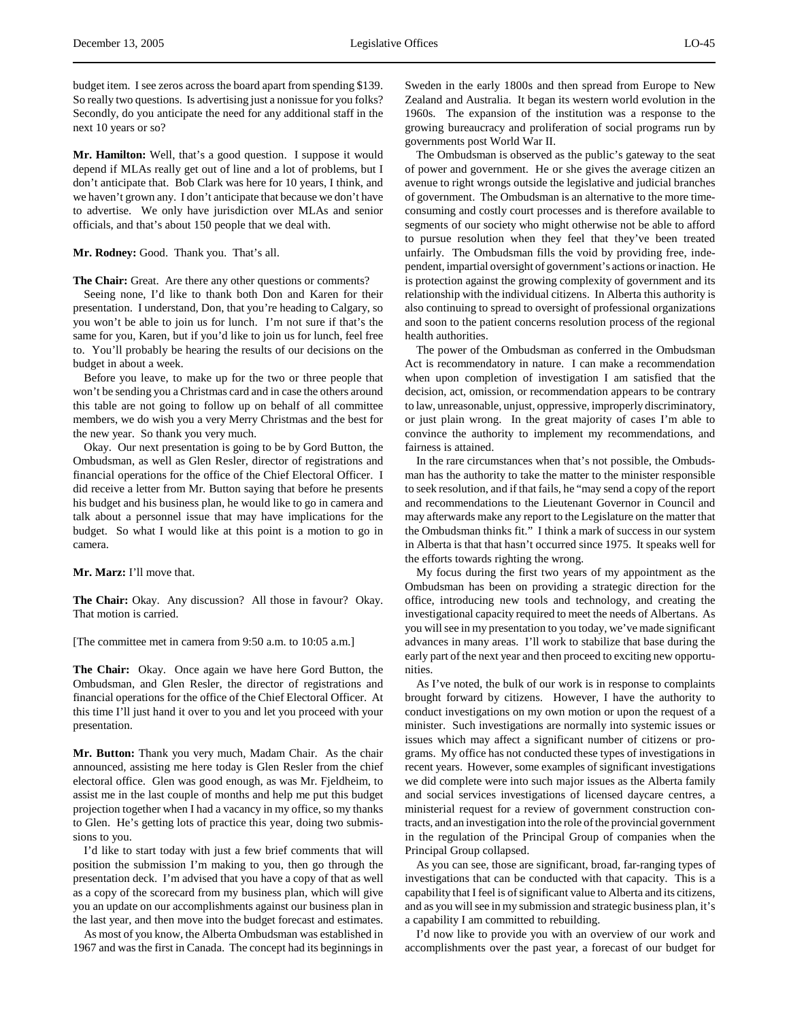budget item. I see zeros across the board apart from spending \$139. So really two questions. Is advertising just a nonissue for you folks? Secondly, do you anticipate the need for any additional staff in the next 10 years or so?

**Mr. Hamilton:** Well, that's a good question. I suppose it would depend if MLAs really get out of line and a lot of problems, but I don't anticipate that. Bob Clark was here for 10 years, I think, and we haven't grown any. I don't anticipate that because we don't have to advertise. We only have jurisdiction over MLAs and senior officials, and that's about 150 people that we deal with.

#### **Mr. Rodney:** Good. Thank you. That's all.

**The Chair:** Great. Are there any other questions or comments?

Seeing none, I'd like to thank both Don and Karen for their presentation. I understand, Don, that you're heading to Calgary, so you won't be able to join us for lunch. I'm not sure if that's the same for you, Karen, but if you'd like to join us for lunch, feel free to. You'll probably be hearing the results of our decisions on the budget in about a week.

Before you leave, to make up for the two or three people that won't be sending you a Christmas card and in case the others around this table are not going to follow up on behalf of all committee members, we do wish you a very Merry Christmas and the best for the new year. So thank you very much.

Okay. Our next presentation is going to be by Gord Button, the Ombudsman, as well as Glen Resler, director of registrations and financial operations for the office of the Chief Electoral Officer. I did receive a letter from Mr. Button saying that before he presents his budget and his business plan, he would like to go in camera and talk about a personnel issue that may have implications for the budget. So what I would like at this point is a motion to go in camera.

#### **Mr. Marz:** I'll move that.

**The Chair:** Okay. Any discussion? All those in favour? Okay. That motion is carried.

[The committee met in camera from 9:50 a.m. to 10:05 a.m.]

**The Chair:** Okay. Once again we have here Gord Button, the Ombudsman, and Glen Resler, the director of registrations and financial operations for the office of the Chief Electoral Officer. At this time I'll just hand it over to you and let you proceed with your presentation.

**Mr. Button:** Thank you very much, Madam Chair. As the chair announced, assisting me here today is Glen Resler from the chief electoral office. Glen was good enough, as was Mr. Fjeldheim, to assist me in the last couple of months and help me put this budget projection together when I had a vacancy in my office, so my thanks to Glen. He's getting lots of practice this year, doing two submissions to you.

I'd like to start today with just a few brief comments that will position the submission I'm making to you, then go through the presentation deck. I'm advised that you have a copy of that as well as a copy of the scorecard from my business plan, which will give you an update on our accomplishments against our business plan in the last year, and then move into the budget forecast and estimates.

As most of you know, the Alberta Ombudsman was established in 1967 and was the first in Canada. The concept had its beginnings in Sweden in the early 1800s and then spread from Europe to New Zealand and Australia. It began its western world evolution in the 1960s. The expansion of the institution was a response to the growing bureaucracy and proliferation of social programs run by governments post World War II.

The Ombudsman is observed as the public's gateway to the seat of power and government. He or she gives the average citizen an avenue to right wrongs outside the legislative and judicial branches of government. The Ombudsman is an alternative to the more timeconsuming and costly court processes and is therefore available to segments of our society who might otherwise not be able to afford to pursue resolution when they feel that they've been treated unfairly. The Ombudsman fills the void by providing free, independent, impartial oversight of government's actions or inaction. He is protection against the growing complexity of government and its relationship with the individual citizens. In Alberta this authority is also continuing to spread to oversight of professional organizations and soon to the patient concerns resolution process of the regional health authorities.

The power of the Ombudsman as conferred in the Ombudsman Act is recommendatory in nature. I can make a recommendation when upon completion of investigation I am satisfied that the decision, act, omission, or recommendation appears to be contrary to law, unreasonable, unjust, oppressive, improperly discriminatory, or just plain wrong. In the great majority of cases I'm able to convince the authority to implement my recommendations, and fairness is attained.

In the rare circumstances when that's not possible, the Ombudsman has the authority to take the matter to the minister responsible to seek resolution, and if that fails, he "may send a copy of the report and recommendations to the Lieutenant Governor in Council and may afterwards make any report to the Legislature on the matter that the Ombudsman thinks fit." I think a mark of success in our system in Alberta is that that hasn't occurred since 1975. It speaks well for the efforts towards righting the wrong.

My focus during the first two years of my appointment as the Ombudsman has been on providing a strategic direction for the office, introducing new tools and technology, and creating the investigational capacity required to meet the needs of Albertans. As you will see in my presentation to you today, we've made significant advances in many areas. I'll work to stabilize that base during the early part of the next year and then proceed to exciting new opportunities.

As I've noted, the bulk of our work is in response to complaints brought forward by citizens. However, I have the authority to conduct investigations on my own motion or upon the request of a minister. Such investigations are normally into systemic issues or issues which may affect a significant number of citizens or programs. My office has not conducted these types of investigations in recent years. However, some examples of significant investigations we did complete were into such major issues as the Alberta family and social services investigations of licensed daycare centres, a ministerial request for a review of government construction contracts, and an investigation into the role of the provincial government in the regulation of the Principal Group of companies when the Principal Group collapsed.

As you can see, those are significant, broad, far-ranging types of investigations that can be conducted with that capacity. This is a capability that I feel is of significant value to Alberta and its citizens, and as you will see in my submission and strategic business plan, it's a capability I am committed to rebuilding.

I'd now like to provide you with an overview of our work and accomplishments over the past year, a forecast of our budget for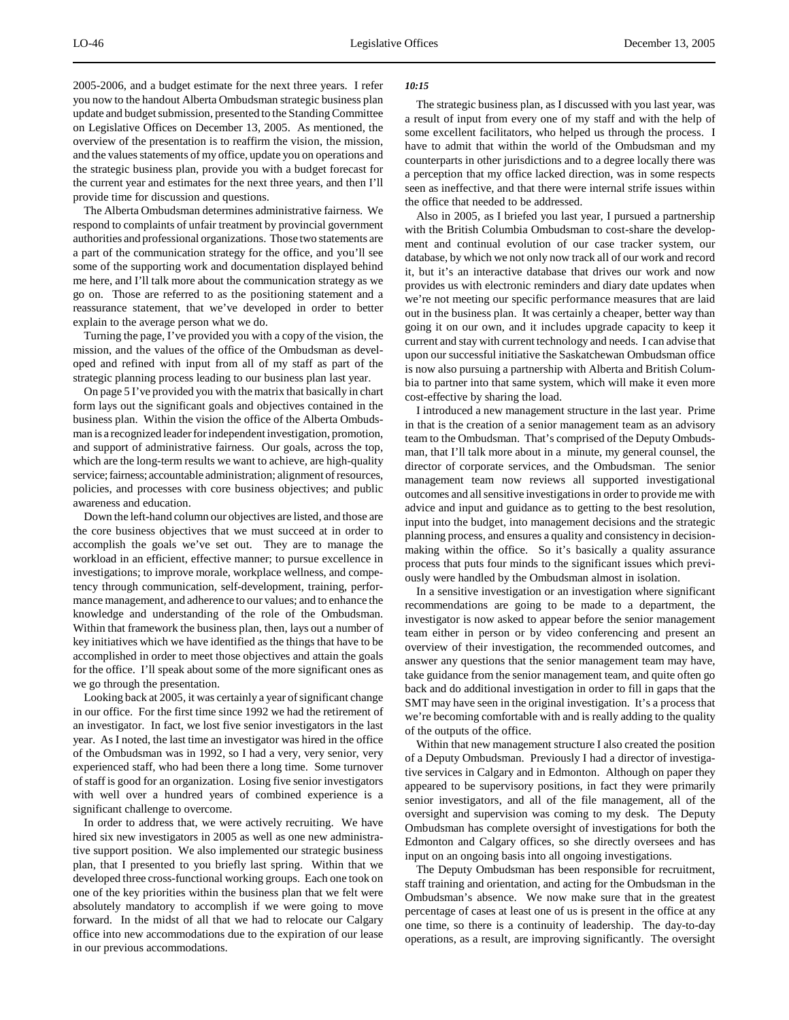2005-2006, and a budget estimate for the next three years. I refer you now to the handout Alberta Ombudsman strategic business plan update and budget submission, presented to the Standing Committee on Legislative Offices on December 13, 2005. As mentioned, the overview of the presentation is to reaffirm the vision, the mission, and the values statements of my office, update you on operations and the strategic business plan, provide you with a budget forecast for the current year and estimates for the next three years, and then I'll provide time for discussion and questions.

The Alberta Ombudsman determines administrative fairness. We respond to complaints of unfair treatment by provincial government authorities and professional organizations. Those two statements are a part of the communication strategy for the office, and you'll see some of the supporting work and documentation displayed behind me here, and I'll talk more about the communication strategy as we go on. Those are referred to as the positioning statement and a reassurance statement, that we've developed in order to better explain to the average person what we do.

Turning the page, I've provided you with a copy of the vision, the mission, and the values of the office of the Ombudsman as developed and refined with input from all of my staff as part of the strategic planning process leading to our business plan last year.

On page 5 I've provided you with the matrix that basically in chart form lays out the significant goals and objectives contained in the business plan. Within the vision the office of the Alberta Ombudsman is a recognized leader for independent investigation, promotion, and support of administrative fairness. Our goals, across the top, which are the long-term results we want to achieve, are high-quality service; fairness; accountable administration; alignment of resources, policies, and processes with core business objectives; and public awareness and education.

Down the left-hand column our objectives are listed, and those are the core business objectives that we must succeed at in order to accomplish the goals we've set out. They are to manage the workload in an efficient, effective manner; to pursue excellence in investigations; to improve morale, workplace wellness, and competency through communication, self-development, training, performance management, and adherence to our values; and to enhance the knowledge and understanding of the role of the Ombudsman. Within that framework the business plan, then, lays out a number of key initiatives which we have identified as the things that have to be accomplished in order to meet those objectives and attain the goals for the office. I'll speak about some of the more significant ones as we go through the presentation.

Looking back at 2005, it was certainly a year of significant change in our office. For the first time since 1992 we had the retirement of an investigator. In fact, we lost five senior investigators in the last year. As I noted, the last time an investigator was hired in the office of the Ombudsman was in 1992, so I had a very, very senior, very experienced staff, who had been there a long time. Some turnover of staff is good for an organization. Losing five senior investigators with well over a hundred years of combined experience is a significant challenge to overcome.

In order to address that, we were actively recruiting. We have hired six new investigators in 2005 as well as one new administrative support position. We also implemented our strategic business plan, that I presented to you briefly last spring. Within that we developed three cross-functional working groups. Each one took on one of the key priorities within the business plan that we felt were absolutely mandatory to accomplish if we were going to move forward. In the midst of all that we had to relocate our Calgary office into new accommodations due to the expiration of our lease in our previous accommodations.

#### *10:15*

The strategic business plan, as I discussed with you last year, was a result of input from every one of my staff and with the help of some excellent facilitators, who helped us through the process. I have to admit that within the world of the Ombudsman and my counterparts in other jurisdictions and to a degree locally there was a perception that my office lacked direction, was in some respects seen as ineffective, and that there were internal strife issues within the office that needed to be addressed.

Also in 2005, as I briefed you last year, I pursued a partnership with the British Columbia Ombudsman to cost-share the development and continual evolution of our case tracker system, our database, by which we not only now track all of our work and record it, but it's an interactive database that drives our work and now provides us with electronic reminders and diary date updates when we're not meeting our specific performance measures that are laid out in the business plan. It was certainly a cheaper, better way than going it on our own, and it includes upgrade capacity to keep it current and stay with current technology and needs. I can advise that upon our successful initiative the Saskatchewan Ombudsman office is now also pursuing a partnership with Alberta and British Columbia to partner into that same system, which will make it even more cost-effective by sharing the load.

I introduced a new management structure in the last year. Prime in that is the creation of a senior management team as an advisory team to the Ombudsman. That's comprised of the Deputy Ombudsman, that I'll talk more about in a minute, my general counsel, the director of corporate services, and the Ombudsman. The senior management team now reviews all supported investigational outcomes and all sensitive investigations in order to provide me with advice and input and guidance as to getting to the best resolution, input into the budget, into management decisions and the strategic planning process, and ensures a quality and consistency in decisionmaking within the office. So it's basically a quality assurance process that puts four minds to the significant issues which previously were handled by the Ombudsman almost in isolation.

In a sensitive investigation or an investigation where significant recommendations are going to be made to a department, the investigator is now asked to appear before the senior management team either in person or by video conferencing and present an overview of their investigation, the recommended outcomes, and answer any questions that the senior management team may have, take guidance from the senior management team, and quite often go back and do additional investigation in order to fill in gaps that the SMT may have seen in the original investigation. It's a process that we're becoming comfortable with and is really adding to the quality of the outputs of the office.

Within that new management structure I also created the position of a Deputy Ombudsman. Previously I had a director of investigative services in Calgary and in Edmonton. Although on paper they appeared to be supervisory positions, in fact they were primarily senior investigators, and all of the file management, all of the oversight and supervision was coming to my desk. The Deputy Ombudsman has complete oversight of investigations for both the Edmonton and Calgary offices, so she directly oversees and has input on an ongoing basis into all ongoing investigations.

The Deputy Ombudsman has been responsible for recruitment, staff training and orientation, and acting for the Ombudsman in the Ombudsman's absence. We now make sure that in the greatest percentage of cases at least one of us is present in the office at any one time, so there is a continuity of leadership. The day-to-day operations, as a result, are improving significantly. The oversight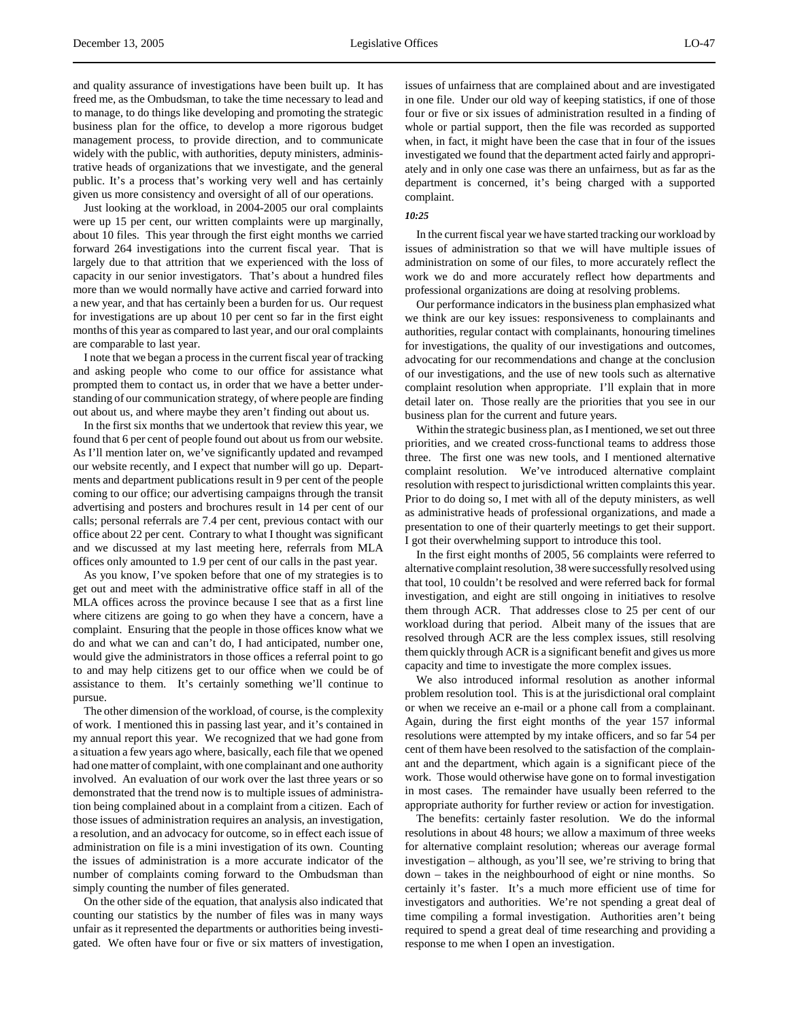and quality assurance of investigations have been built up. It has freed me, as the Ombudsman, to take the time necessary to lead and to manage, to do things like developing and promoting the strategic business plan for the office, to develop a more rigorous budget management process, to provide direction, and to communicate widely with the public, with authorities, deputy ministers, administrative heads of organizations that we investigate, and the general public. It's a process that's working very well and has certainly given us more consistency and oversight of all of our operations.

Just looking at the workload, in 2004-2005 our oral complaints were up 15 per cent, our written complaints were up marginally, about 10 files. This year through the first eight months we carried forward 264 investigations into the current fiscal year. That is largely due to that attrition that we experienced with the loss of capacity in our senior investigators. That's about a hundred files more than we would normally have active and carried forward into a new year, and that has certainly been a burden for us. Our request for investigations are up about 10 per cent so far in the first eight months of this year as compared to last year, and our oral complaints are comparable to last year.

I note that we began a process in the current fiscal year of tracking and asking people who come to our office for assistance what prompted them to contact us, in order that we have a better understanding of our communication strategy, of where people are finding out about us, and where maybe they aren't finding out about us.

In the first six months that we undertook that review this year, we found that 6 per cent of people found out about us from our website. As I'll mention later on, we've significantly updated and revamped our website recently, and I expect that number will go up. Departments and department publications result in 9 per cent of the people coming to our office; our advertising campaigns through the transit advertising and posters and brochures result in 14 per cent of our calls; personal referrals are 7.4 per cent, previous contact with our office about 22 per cent. Contrary to what I thought was significant and we discussed at my last meeting here, referrals from MLA offices only amounted to 1.9 per cent of our calls in the past year.

As you know, I've spoken before that one of my strategies is to get out and meet with the administrative office staff in all of the MLA offices across the province because I see that as a first line where citizens are going to go when they have a concern, have a complaint. Ensuring that the people in those offices know what we do and what we can and can't do, I had anticipated, number one, would give the administrators in those offices a referral point to go to and may help citizens get to our office when we could be of assistance to them. It's certainly something we'll continue to pursue.

The other dimension of the workload, of course, is the complexity of work. I mentioned this in passing last year, and it's contained in my annual report this year. We recognized that we had gone from a situation a few years ago where, basically, each file that we opened had one matter of complaint, with one complainant and one authority involved. An evaluation of our work over the last three years or so demonstrated that the trend now is to multiple issues of administration being complained about in a complaint from a citizen. Each of those issues of administration requires an analysis, an investigation, a resolution, and an advocacy for outcome, so in effect each issue of administration on file is a mini investigation of its own. Counting the issues of administration is a more accurate indicator of the number of complaints coming forward to the Ombudsman than simply counting the number of files generated.

On the other side of the equation, that analysis also indicated that counting our statistics by the number of files was in many ways unfair as it represented the departments or authorities being investigated. We often have four or five or six matters of investigation, issues of unfairness that are complained about and are investigated in one file. Under our old way of keeping statistics, if one of those four or five or six issues of administration resulted in a finding of whole or partial support, then the file was recorded as supported when, in fact, it might have been the case that in four of the issues investigated we found that the department acted fairly and appropriately and in only one case was there an unfairness, but as far as the department is concerned, it's being charged with a supported complaint.

#### *10:25*

In the current fiscal year we have started tracking our workload by issues of administration so that we will have multiple issues of administration on some of our files, to more accurately reflect the work we do and more accurately reflect how departments and professional organizations are doing at resolving problems.

Our performance indicators in the business plan emphasized what we think are our key issues: responsiveness to complainants and authorities, regular contact with complainants, honouring timelines for investigations, the quality of our investigations and outcomes, advocating for our recommendations and change at the conclusion of our investigations, and the use of new tools such as alternative complaint resolution when appropriate. I'll explain that in more detail later on. Those really are the priorities that you see in our business plan for the current and future years.

Within the strategic business plan, as I mentioned, we set out three priorities, and we created cross-functional teams to address those three. The first one was new tools, and I mentioned alternative complaint resolution. We've introduced alternative complaint resolution with respect to jurisdictional written complaints this year. Prior to do doing so, I met with all of the deputy ministers, as well as administrative heads of professional organizations, and made a presentation to one of their quarterly meetings to get their support. I got their overwhelming support to introduce this tool.

In the first eight months of 2005, 56 complaints were referred to alternative complaint resolution, 38 were successfully resolved using that tool, 10 couldn't be resolved and were referred back for formal investigation, and eight are still ongoing in initiatives to resolve them through ACR. That addresses close to 25 per cent of our workload during that period. Albeit many of the issues that are resolved through ACR are the less complex issues, still resolving them quickly through ACR is a significant benefit and gives us more capacity and time to investigate the more complex issues.

We also introduced informal resolution as another informal problem resolution tool. This is at the jurisdictional oral complaint or when we receive an e-mail or a phone call from a complainant. Again, during the first eight months of the year 157 informal resolutions were attempted by my intake officers, and so far 54 per cent of them have been resolved to the satisfaction of the complainant and the department, which again is a significant piece of the work. Those would otherwise have gone on to formal investigation in most cases. The remainder have usually been referred to the appropriate authority for further review or action for investigation.

The benefits: certainly faster resolution. We do the informal resolutions in about 48 hours; we allow a maximum of three weeks for alternative complaint resolution; whereas our average formal investigation – although, as you'll see, we're striving to bring that down – takes in the neighbourhood of eight or nine months. So certainly it's faster. It's a much more efficient use of time for investigators and authorities. We're not spending a great deal of time compiling a formal investigation. Authorities aren't being required to spend a great deal of time researching and providing a response to me when I open an investigation.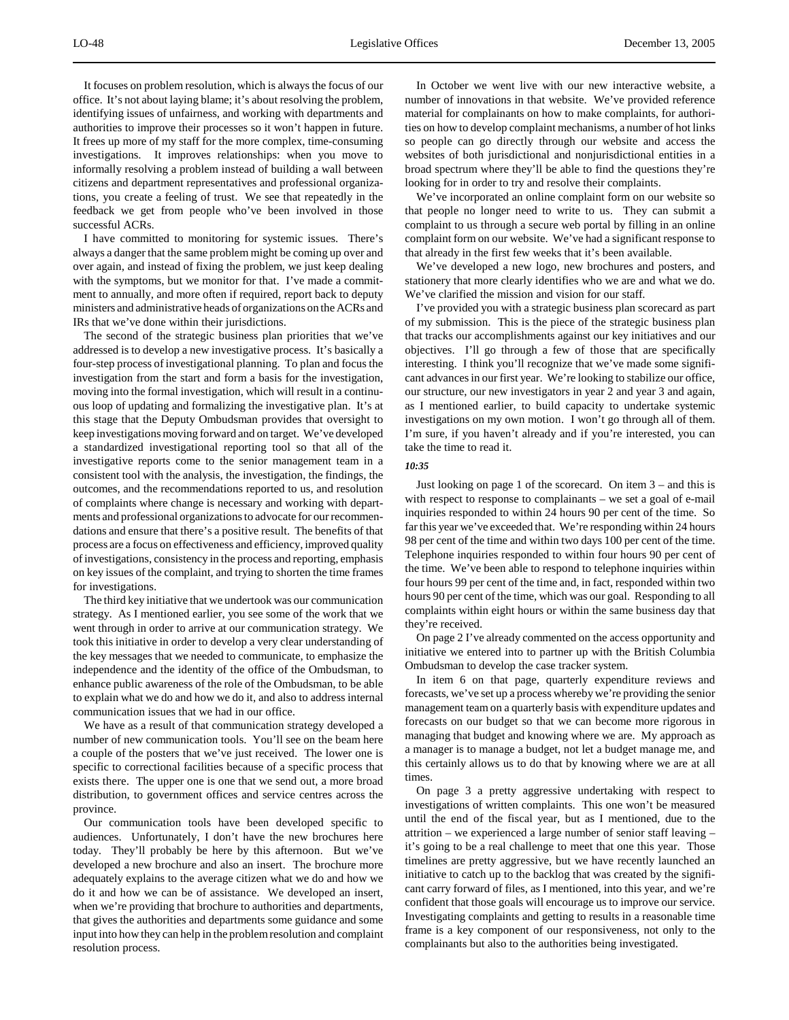It focuses on problem resolution, which is always the focus of our office. It's not about laying blame; it's about resolving the problem, identifying issues of unfairness, and working with departments and authorities to improve their processes so it won't happen in future. It frees up more of my staff for the more complex, time-consuming investigations. It improves relationships: when you move to informally resolving a problem instead of building a wall between citizens and department representatives and professional organizations, you create a feeling of trust. We see that repeatedly in the feedback we get from people who've been involved in those successful ACRs.

I have committed to monitoring for systemic issues. There's always a danger that the same problem might be coming up over and over again, and instead of fixing the problem, we just keep dealing with the symptoms, but we monitor for that. I've made a commitment to annually, and more often if required, report back to deputy ministers and administrative heads of organizations on the ACRs and IRs that we've done within their jurisdictions.

The second of the strategic business plan priorities that we've addressed is to develop a new investigative process. It's basically a four-step process of investigational planning. To plan and focus the investigation from the start and form a basis for the investigation, moving into the formal investigation, which will result in a continuous loop of updating and formalizing the investigative plan. It's at this stage that the Deputy Ombudsman provides that oversight to keep investigations moving forward and on target. We've developed a standardized investigational reporting tool so that all of the investigative reports come to the senior management team in a consistent tool with the analysis, the investigation, the findings, the outcomes, and the recommendations reported to us, and resolution of complaints where change is necessary and working with departments and professional organizations to advocate for our recommendations and ensure that there's a positive result. The benefits of that process are a focus on effectiveness and efficiency, improved quality of investigations, consistency in the process and reporting, emphasis on key issues of the complaint, and trying to shorten the time frames for investigations.

The third key initiative that we undertook was our communication strategy. As I mentioned earlier, you see some of the work that we went through in order to arrive at our communication strategy. We took this initiative in order to develop a very clear understanding of the key messages that we needed to communicate, to emphasize the independence and the identity of the office of the Ombudsman, to enhance public awareness of the role of the Ombudsman, to be able to explain what we do and how we do it, and also to address internal communication issues that we had in our office.

We have as a result of that communication strategy developed a number of new communication tools. You'll see on the beam here a couple of the posters that we've just received. The lower one is specific to correctional facilities because of a specific process that exists there. The upper one is one that we send out, a more broad distribution, to government offices and service centres across the province.

Our communication tools have been developed specific to audiences. Unfortunately, I don't have the new brochures here today. They'll probably be here by this afternoon. But we've developed a new brochure and also an insert. The brochure more adequately explains to the average citizen what we do and how we do it and how we can be of assistance. We developed an insert, when we're providing that brochure to authorities and departments, that gives the authorities and departments some guidance and some input into how they can help in the problem resolution and complaint resolution process.

In October we went live with our new interactive website, a number of innovations in that website. We've provided reference material for complainants on how to make complaints, for authorities on how to develop complaint mechanisms, a number of hot links so people can go directly through our website and access the websites of both jurisdictional and nonjurisdictional entities in a broad spectrum where they'll be able to find the questions they're looking for in order to try and resolve their complaints.

We've incorporated an online complaint form on our website so that people no longer need to write to us. They can submit a complaint to us through a secure web portal by filling in an online complaint form on our website. We've had a significant response to that already in the first few weeks that it's been available.

We've developed a new logo, new brochures and posters, and stationery that more clearly identifies who we are and what we do. We've clarified the mission and vision for our staff.

I've provided you with a strategic business plan scorecard as part of my submission. This is the piece of the strategic business plan that tracks our accomplishments against our key initiatives and our objectives. I'll go through a few of those that are specifically interesting. I think you'll recognize that we've made some significant advances in our first year. We're looking to stabilize our office, our structure, our new investigators in year 2 and year 3 and again, as I mentioned earlier, to build capacity to undertake systemic investigations on my own motion. I won't go through all of them. I'm sure, if you haven't already and if you're interested, you can take the time to read it.

#### *10:35*

Just looking on page 1 of the scorecard. On item 3 – and this is with respect to response to complainants – we set a goal of e-mail inquiries responded to within 24 hours 90 per cent of the time. So far this year we've exceeded that. We're responding within 24 hours 98 per cent of the time and within two days 100 per cent of the time. Telephone inquiries responded to within four hours 90 per cent of the time. We've been able to respond to telephone inquiries within four hours 99 per cent of the time and, in fact, responded within two hours 90 per cent of the time, which was our goal. Responding to all complaints within eight hours or within the same business day that they're received.

On page 2 I've already commented on the access opportunity and initiative we entered into to partner up with the British Columbia Ombudsman to develop the case tracker system.

In item 6 on that page, quarterly expenditure reviews and forecasts, we've set up a process whereby we're providing the senior management team on a quarterly basis with expenditure updates and forecasts on our budget so that we can become more rigorous in managing that budget and knowing where we are. My approach as a manager is to manage a budget, not let a budget manage me, and this certainly allows us to do that by knowing where we are at all times.

On page 3 a pretty aggressive undertaking with respect to investigations of written complaints. This one won't be measured until the end of the fiscal year, but as I mentioned, due to the attrition – we experienced a large number of senior staff leaving – it's going to be a real challenge to meet that one this year. Those timelines are pretty aggressive, but we have recently launched an initiative to catch up to the backlog that was created by the significant carry forward of files, as I mentioned, into this year, and we're confident that those goals will encourage us to improve our service. Investigating complaints and getting to results in a reasonable time frame is a key component of our responsiveness, not only to the complainants but also to the authorities being investigated.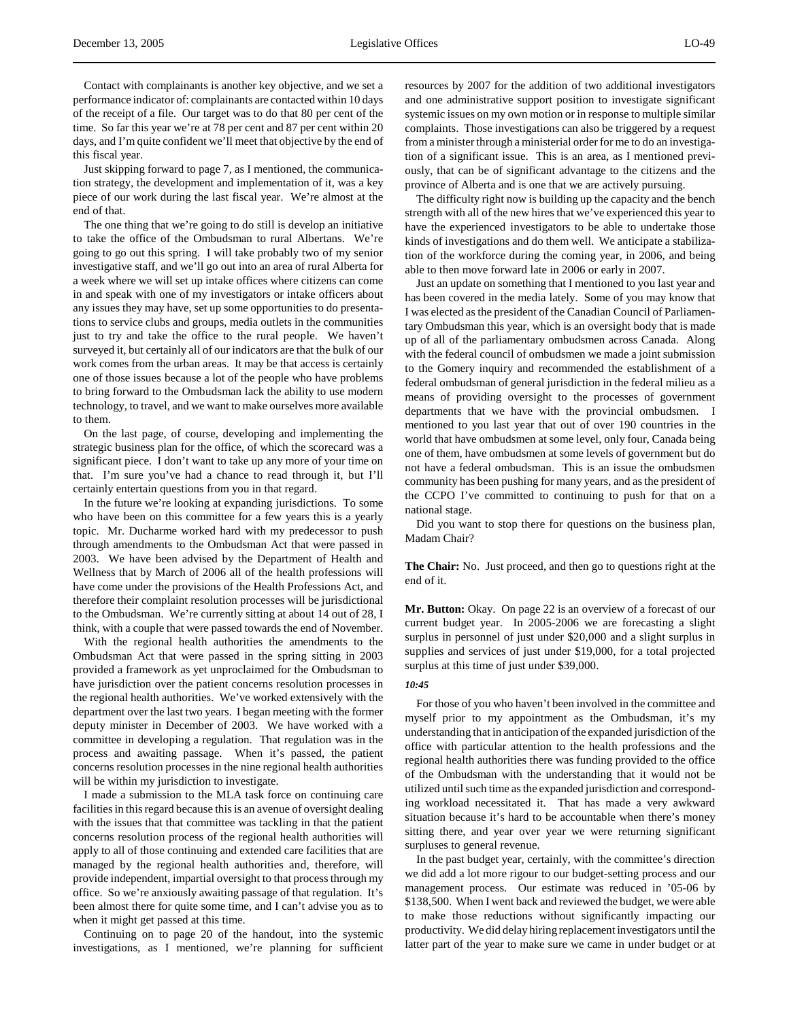Contact with complainants is another key objective, and we set a performance indicator of: complainants are contacted within 10 days of the receipt of a file. Our target was to do that 80 per cent of the time. So far this year we're at 78 per cent and 87 per cent within 20 days, and I'm quite confident we'll meet that objective by the end of this fiscal year.

Just skipping forward to page 7, as I mentioned, the communication strategy, the development and implementation of it, was a key piece of our work during the last fiscal year. We're almost at the end of that.

The one thing that we're going to do still is develop an initiative to take the office of the Ombudsman to rural Albertans. We're going to go out this spring. I will take probably two of my senior investigative staff, and we'll go out into an area of rural Alberta for a week where we will set up intake offices where citizens can come in and speak with one of my investigators or intake officers about any issues they may have, set up some opportunities to do presentations to service clubs and groups, media outlets in the communities just to try and take the office to the rural people. We haven't surveyed it, but certainly all of our indicators are that the bulk of our work comes from the urban areas. It may be that access is certainly one of those issues because a lot of the people who have problems to bring forward to the Ombudsman lack the ability to use modern technology, to travel, and we want to make ourselves more available to them.

On the last page, of course, developing and implementing the strategic business plan for the office, of which the scorecard was a significant piece. I don't want to take up any more of your time on that. I'm sure you've had a chance to read through it, but I'll certainly entertain questions from you in that regard.

In the future we're looking at expanding jurisdictions. To some who have been on this committee for a few years this is a yearly topic. Mr. Ducharme worked hard with my predecessor to push through amendments to the Ombudsman Act that were passed in 2003. We have been advised by the Department of Health and Wellness that by March of 2006 all of the health professions will have come under the provisions of the Health Professions Act, and therefore their complaint resolution processes will be jurisdictional to the Ombudsman. We're currently sitting at about 14 out of 28, I think, with a couple that were passed towards the end of November.

With the regional health authorities the amendments to the Ombudsman Act that were passed in the spring sitting in 2003 provided a framework as yet unproclaimed for the Ombudsman to have jurisdiction over the patient concerns resolution processes in the regional health authorities. We've worked extensively with the department over the last two years. I began meeting with the former deputy minister in December of 2003. We have worked with a committee in developing a regulation. That regulation was in the process and awaiting passage. When it's passed, the patient concerns resolution processes in the nine regional health authorities will be within my jurisdiction to investigate.

I made a submission to the MLA task force on continuing care facilities in this regard because this is an avenue of oversight dealing with the issues that that committee was tackling in that the patient concerns resolution process of the regional health authorities will apply to all of those continuing and extended care facilities that are managed by the regional health authorities and, therefore, will provide independent, impartial oversight to that process through my office. So we're anxiously awaiting passage of that regulation. It's been almost there for quite some time, and I can't advise you as to when it might get passed at this time.

Continuing on to page 20 of the handout, into the systemic investigations, as I mentioned, we're planning for sufficient resources by 2007 for the addition of two additional investigators and one administrative support position to investigate significant systemic issues on my own motion or in response to multiple similar complaints. Those investigations can also be triggered by a request from a minister through a ministerial order for me to do an investigation of a significant issue. This is an area, as I mentioned previously, that can be of significant advantage to the citizens and the province of Alberta and is one that we are actively pursuing.

The difficulty right now is building up the capacity and the bench strength with all of the new hires that we've experienced this year to have the experienced investigators to be able to undertake those kinds of investigations and do them well. We anticipate a stabilization of the workforce during the coming year, in 2006, and being able to then move forward late in 2006 or early in 2007.

Just an update on something that I mentioned to you last year and has been covered in the media lately. Some of you may know that I was elected as the president of the Canadian Council of Parliamentary Ombudsman this year, which is an oversight body that is made up of all of the parliamentary ombudsmen across Canada. Along with the federal council of ombudsmen we made a joint submission to the Gomery inquiry and recommended the establishment of a federal ombudsman of general jurisdiction in the federal milieu as a means of providing oversight to the processes of government departments that we have with the provincial ombudsmen. I mentioned to you last year that out of over 190 countries in the world that have ombudsmen at some level, only four, Canada being one of them, have ombudsmen at some levels of government but do not have a federal ombudsman. This is an issue the ombudsmen community has been pushing for many years, and as the president of the CCPO I've committed to continuing to push for that on a national stage.

Did you want to stop there for questions on the business plan, Madam Chair?

**The Chair:** No. Just proceed, and then go to questions right at the end of it.

**Mr. Button:** Okay. On page 22 is an overview of a forecast of our current budget year. In 2005-2006 we are forecasting a slight surplus in personnel of just under \$20,000 and a slight surplus in supplies and services of just under \$19,000, for a total projected surplus at this time of just under \$39,000.

#### *10:45*

For those of you who haven't been involved in the committee and myself prior to my appointment as the Ombudsman, it's my understanding that in anticipation of the expanded jurisdiction of the office with particular attention to the health professions and the regional health authorities there was funding provided to the office of the Ombudsman with the understanding that it would not be utilized until such time as the expanded jurisdiction and corresponding workload necessitated it. That has made a very awkward situation because it's hard to be accountable when there's money sitting there, and year over year we were returning significant surpluses to general revenue.

In the past budget year, certainly, with the committee's direction we did add a lot more rigour to our budget-setting process and our management process. Our estimate was reduced in '05-06 by \$138,500. When I went back and reviewed the budget, we were able to make those reductions without significantly impacting our productivity. We did delay hiring replacement investigators until the latter part of the year to make sure we came in under budget or at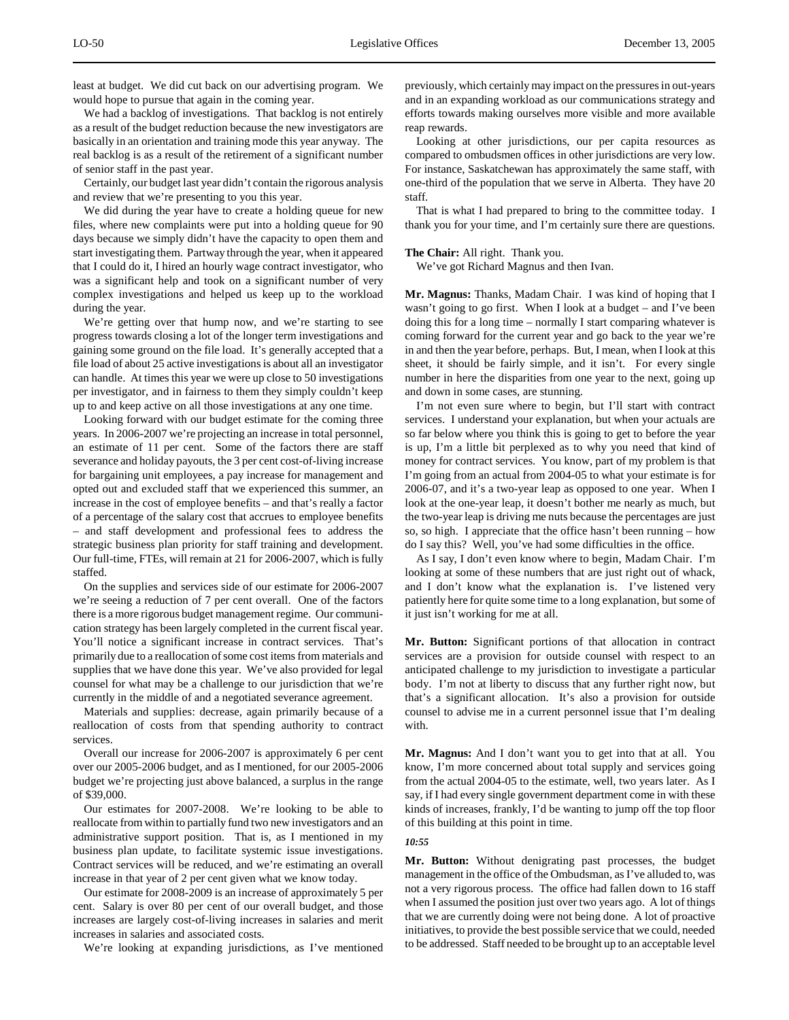least at budget. We did cut back on our advertising program. We would hope to pursue that again in the coming year.

We had a backlog of investigations. That backlog is not entirely as a result of the budget reduction because the new investigators are basically in an orientation and training mode this year anyway. The real backlog is as a result of the retirement of a significant number of senior staff in the past year.

Certainly, our budget last year didn't contain the rigorous analysis and review that we're presenting to you this year.

We did during the year have to create a holding queue for new files, where new complaints were put into a holding queue for 90 days because we simply didn't have the capacity to open them and start investigating them. Partway through the year, when it appeared that I could do it, I hired an hourly wage contract investigator, who was a significant help and took on a significant number of very complex investigations and helped us keep up to the workload during the year.

We're getting over that hump now, and we're starting to see progress towards closing a lot of the longer term investigations and gaining some ground on the file load. It's generally accepted that a file load of about 25 active investigations is about all an investigator can handle. At times this year we were up close to 50 investigations per investigator, and in fairness to them they simply couldn't keep up to and keep active on all those investigations at any one time.

Looking forward with our budget estimate for the coming three years. In 2006-2007 we're projecting an increase in total personnel, an estimate of 11 per cent. Some of the factors there are staff severance and holiday payouts, the 3 per cent cost-of-living increase for bargaining unit employees, a pay increase for management and opted out and excluded staff that we experienced this summer, an increase in the cost of employee benefits – and that's really a factor of a percentage of the salary cost that accrues to employee benefits – and staff development and professional fees to address the strategic business plan priority for staff training and development. Our full-time, FTEs, will remain at 21 for 2006-2007, which is fully staffed.

On the supplies and services side of our estimate for 2006-2007 we're seeing a reduction of 7 per cent overall. One of the factors there is a more rigorous budget management regime. Our communication strategy has been largely completed in the current fiscal year. You'll notice a significant increase in contract services. That's primarily due to a reallocation of some cost items from materials and supplies that we have done this year. We've also provided for legal counsel for what may be a challenge to our jurisdiction that we're currently in the middle of and a negotiated severance agreement.

Materials and supplies: decrease, again primarily because of a reallocation of costs from that spending authority to contract services.

Overall our increase for 2006-2007 is approximately 6 per cent over our 2005-2006 budget, and as I mentioned, for our 2005-2006 budget we're projecting just above balanced, a surplus in the range of \$39,000.

Our estimates for 2007-2008. We're looking to be able to reallocate from within to partially fund two new investigators and an administrative support position. That is, as I mentioned in my business plan update, to facilitate systemic issue investigations. Contract services will be reduced, and we're estimating an overall increase in that year of 2 per cent given what we know today.

Our estimate for 2008-2009 is an increase of approximately 5 per cent. Salary is over 80 per cent of our overall budget, and those increases are largely cost-of-living increases in salaries and merit increases in salaries and associated costs.

We're looking at expanding jurisdictions, as I've mentioned

previously, which certainly may impact on the pressures in out-years and in an expanding workload as our communications strategy and efforts towards making ourselves more visible and more available reap rewards.

Looking at other jurisdictions, our per capita resources as compared to ombudsmen offices in other jurisdictions are very low. For instance, Saskatchewan has approximately the same staff, with one-third of the population that we serve in Alberta. They have 20 staff.

That is what I had prepared to bring to the committee today. I thank you for your time, and I'm certainly sure there are questions.

## **The Chair:** All right. Thank you.

We've got Richard Magnus and then Ivan.

**Mr. Magnus:** Thanks, Madam Chair. I was kind of hoping that I wasn't going to go first. When I look at a budget – and I've been doing this for a long time – normally I start comparing whatever is coming forward for the current year and go back to the year we're in and then the year before, perhaps. But, I mean, when I look at this sheet, it should be fairly simple, and it isn't. For every single number in here the disparities from one year to the next, going up and down in some cases, are stunning.

I'm not even sure where to begin, but I'll start with contract services. I understand your explanation, but when your actuals are so far below where you think this is going to get to before the year is up, I'm a little bit perplexed as to why you need that kind of money for contract services. You know, part of my problem is that I'm going from an actual from 2004-05 to what your estimate is for 2006-07, and it's a two-year leap as opposed to one year. When I look at the one-year leap, it doesn't bother me nearly as much, but the two-year leap is driving me nuts because the percentages are just so, so high. I appreciate that the office hasn't been running – how do I say this? Well, you've had some difficulties in the office.

As I say, I don't even know where to begin, Madam Chair. I'm looking at some of these numbers that are just right out of whack, and I don't know what the explanation is. I've listened very patiently here for quite some time to a long explanation, but some of it just isn't working for me at all.

**Mr. Button:** Significant portions of that allocation in contract services are a provision for outside counsel with respect to an anticipated challenge to my jurisdiction to investigate a particular body. I'm not at liberty to discuss that any further right now, but that's a significant allocation. It's also a provision for outside counsel to advise me in a current personnel issue that I'm dealing with.

**Mr. Magnus:** And I don't want you to get into that at all. You know, I'm more concerned about total supply and services going from the actual 2004-05 to the estimate, well, two years later. As I say, if I had every single government department come in with these kinds of increases, frankly, I'd be wanting to jump off the top floor of this building at this point in time.

#### *10:55*

**Mr. Button:** Without denigrating past processes, the budget management in the office of the Ombudsman, as I've alluded to, was not a very rigorous process. The office had fallen down to 16 staff when I assumed the position just over two years ago. A lot of things that we are currently doing were not being done. A lot of proactive initiatives, to provide the best possible service that we could, needed to be addressed. Staff needed to be brought up to an acceptable level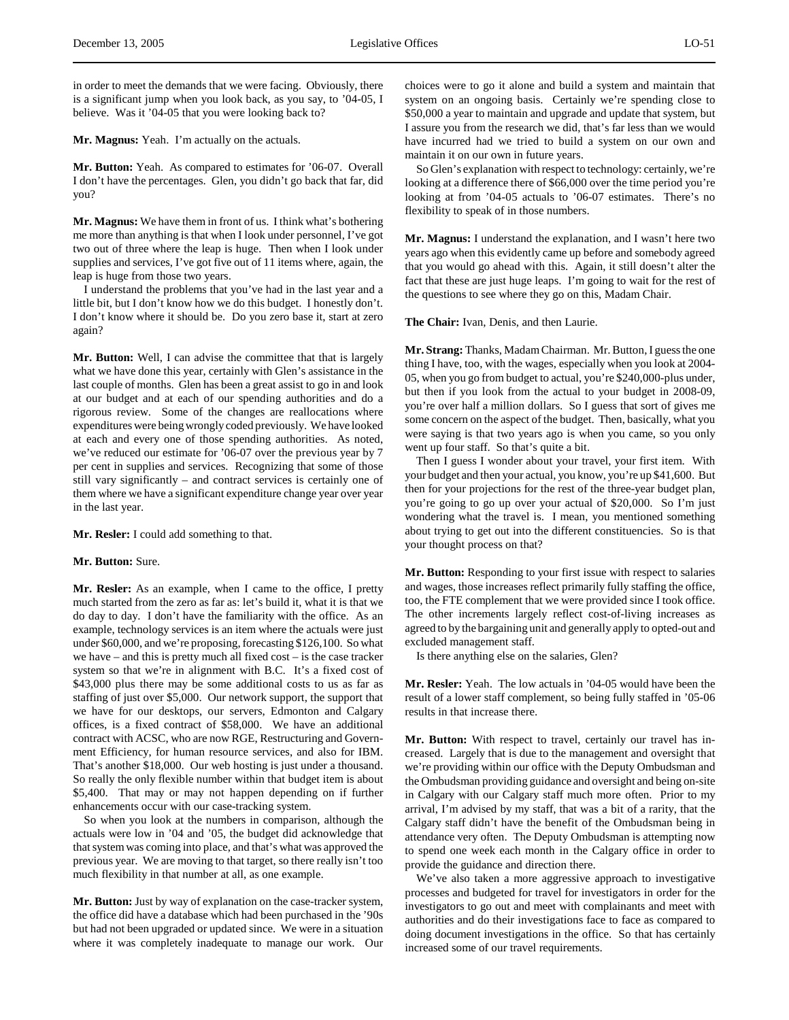in order to meet the demands that we were facing. Obviously, there is a significant jump when you look back, as you say, to '04-05, I believe. Was it '04-05 that you were looking back to?

**Mr. Magnus:** Yeah. I'm actually on the actuals.

**Mr. Button:** Yeah. As compared to estimates for '06-07. Overall I don't have the percentages. Glen, you didn't go back that far, did you?

**Mr. Magnus:** We have them in front of us. I think what's bothering me more than anything is that when I look under personnel, I've got two out of three where the leap is huge. Then when I look under supplies and services, I've got five out of 11 items where, again, the leap is huge from those two years.

I understand the problems that you've had in the last year and a little bit, but I don't know how we do this budget. I honestly don't. I don't know where it should be. Do you zero base it, start at zero again?

**Mr. Button:** Well, I can advise the committee that that is largely what we have done this year, certainly with Glen's assistance in the last couple of months. Glen has been a great assist to go in and look at our budget and at each of our spending authorities and do a rigorous review. Some of the changes are reallocations where expenditures were being wrongly coded previously. We have looked at each and every one of those spending authorities. As noted, we've reduced our estimate for '06-07 over the previous year by 7 per cent in supplies and services. Recognizing that some of those still vary significantly – and contract services is certainly one of them where we have a significant expenditure change year over year in the last year.

**Mr. Resler:** I could add something to that.

#### **Mr. Button:** Sure.

**Mr. Resler:** As an example, when I came to the office, I pretty much started from the zero as far as: let's build it, what it is that we do day to day. I don't have the familiarity with the office. As an example, technology services is an item where the actuals were just under \$60,000, and we're proposing, forecasting \$126,100. So what we have – and this is pretty much all fixed cost – is the case tracker system so that we're in alignment with B.C. It's a fixed cost of \$43,000 plus there may be some additional costs to us as far as staffing of just over \$5,000. Our network support, the support that we have for our desktops, our servers, Edmonton and Calgary offices, is a fixed contract of \$58,000. We have an additional contract with ACSC, who are now RGE, Restructuring and Government Efficiency, for human resource services, and also for IBM. That's another \$18,000. Our web hosting is just under a thousand. So really the only flexible number within that budget item is about \$5,400. That may or may not happen depending on if further enhancements occur with our case-tracking system.

So when you look at the numbers in comparison, although the actuals were low in '04 and '05, the budget did acknowledge that that system was coming into place, and that's what was approved the previous year. We are moving to that target, so there really isn't too much flexibility in that number at all, as one example.

**Mr. Button:** Just by way of explanation on the case-tracker system, the office did have a database which had been purchased in the '90s but had not been upgraded or updated since. We were in a situation where it was completely inadequate to manage our work. Our

choices were to go it alone and build a system and maintain that system on an ongoing basis. Certainly we're spending close to \$50,000 a year to maintain and upgrade and update that system, but I assure you from the research we did, that's far less than we would have incurred had we tried to build a system on our own and maintain it on our own in future years.

So Glen's explanation with respect to technology: certainly, we're looking at a difference there of \$66,000 over the time period you're looking at from '04-05 actuals to '06-07 estimates. There's no flexibility to speak of in those numbers.

**Mr. Magnus:** I understand the explanation, and I wasn't here two years ago when this evidently came up before and somebody agreed that you would go ahead with this. Again, it still doesn't alter the fact that these are just huge leaps. I'm going to wait for the rest of the questions to see where they go on this, Madam Chair.

**The Chair:** Ivan, Denis, and then Laurie.

**Mr. Strang:** Thanks, Madam Chairman. Mr. Button, I guess the one thing I have, too, with the wages, especially when you look at 2004- 05, when you go from budget to actual, you're \$240,000-plus under, but then if you look from the actual to your budget in 2008-09, you're over half a million dollars. So I guess that sort of gives me some concern on the aspect of the budget. Then, basically, what you were saying is that two years ago is when you came, so you only went up four staff. So that's quite a bit.

Then I guess I wonder about your travel, your first item. With your budget and then your actual, you know, you're up \$41,600. But then for your projections for the rest of the three-year budget plan, you're going to go up over your actual of \$20,000. So I'm just wondering what the travel is. I mean, you mentioned something about trying to get out into the different constituencies. So is that your thought process on that?

**Mr. Button:** Responding to your first issue with respect to salaries and wages, those increases reflect primarily fully staffing the office, too, the FTE complement that we were provided since I took office. The other increments largely reflect cost-of-living increases as agreed to by the bargaining unit and generally apply to opted-out and excluded management staff.

Is there anything else on the salaries, Glen?

**Mr. Resler:** Yeah. The low actuals in '04-05 would have been the result of a lower staff complement, so being fully staffed in '05-06 results in that increase there.

**Mr. Button:** With respect to travel, certainly our travel has increased. Largely that is due to the management and oversight that we're providing within our office with the Deputy Ombudsman and the Ombudsman providing guidance and oversight and being on-site in Calgary with our Calgary staff much more often. Prior to my arrival, I'm advised by my staff, that was a bit of a rarity, that the Calgary staff didn't have the benefit of the Ombudsman being in attendance very often. The Deputy Ombudsman is attempting now to spend one week each month in the Calgary office in order to provide the guidance and direction there.

We've also taken a more aggressive approach to investigative processes and budgeted for travel for investigators in order for the investigators to go out and meet with complainants and meet with authorities and do their investigations face to face as compared to doing document investigations in the office. So that has certainly increased some of our travel requirements.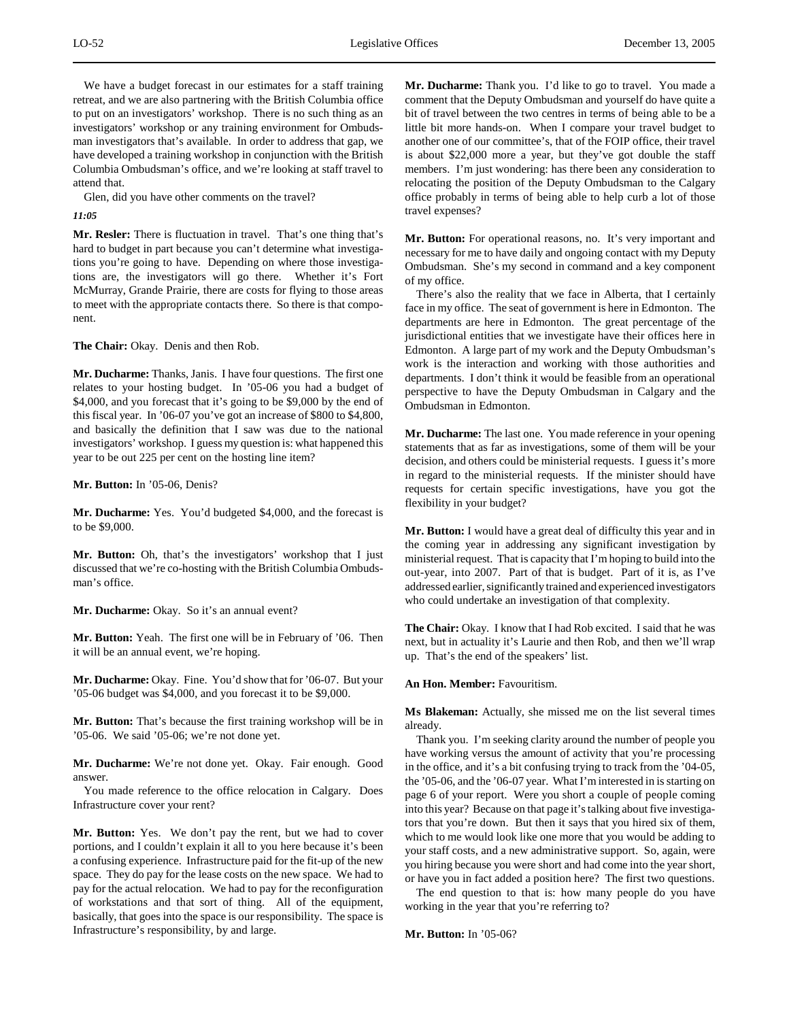We have a budget forecast in our estimates for a staff training retreat, and we are also partnering with the British Columbia office to put on an investigators' workshop. There is no such thing as an investigators' workshop or any training environment for Ombudsman investigators that's available. In order to address that gap, we have developed a training workshop in conjunction with the British Columbia Ombudsman's office, and we're looking at staff travel to attend that.

Glen, did you have other comments on the travel?

# *11:05*

**Mr. Resler:** There is fluctuation in travel. That's one thing that's hard to budget in part because you can't determine what investigations you're going to have. Depending on where those investigations are, the investigators will go there. Whether it's Fort McMurray, Grande Prairie, there are costs for flying to those areas to meet with the appropriate contacts there. So there is that component.

**The Chair:** Okay. Denis and then Rob.

**Mr. Ducharme:** Thanks, Janis. I have four questions. The first one relates to your hosting budget. In '05-06 you had a budget of \$4,000, and you forecast that it's going to be \$9,000 by the end of this fiscal year. In '06-07 you've got an increase of \$800 to \$4,800, and basically the definition that I saw was due to the national investigators' workshop. I guess my question is: what happened this year to be out 225 per cent on the hosting line item?

**Mr. Button:** In '05-06, Denis?

**Mr. Ducharme:** Yes. You'd budgeted \$4,000, and the forecast is to be \$9,000.

**Mr. Button:** Oh, that's the investigators' workshop that I just discussed that we're co-hosting with the British Columbia Ombudsman's office.

**Mr. Ducharme:** Okay. So it's an annual event?

**Mr. Button:** Yeah. The first one will be in February of '06. Then it will be an annual event, we're hoping.

**Mr. Ducharme:** Okay. Fine. You'd show that for '06-07. But your '05-06 budget was \$4,000, and you forecast it to be \$9,000.

**Mr. Button:** That's because the first training workshop will be in '05-06. We said '05-06; we're not done yet.

**Mr. Ducharme:** We're not done yet. Okay. Fair enough. Good answer.

You made reference to the office relocation in Calgary. Does Infrastructure cover your rent?

**Mr. Button:** Yes. We don't pay the rent, but we had to cover portions, and I couldn't explain it all to you here because it's been a confusing experience. Infrastructure paid for the fit-up of the new space. They do pay for the lease costs on the new space. We had to pay for the actual relocation. We had to pay for the reconfiguration of workstations and that sort of thing. All of the equipment, basically, that goes into the space is our responsibility. The space is Infrastructure's responsibility, by and large.

**Mr. Ducharme:** Thank you. I'd like to go to travel. You made a comment that the Deputy Ombudsman and yourself do have quite a bit of travel between the two centres in terms of being able to be a little bit more hands-on. When I compare your travel budget to another one of our committee's, that of the FOIP office, their travel is about \$22,000 more a year, but they've got double the staff members. I'm just wondering: has there been any consideration to relocating the position of the Deputy Ombudsman to the Calgary office probably in terms of being able to help curb a lot of those travel expenses?

**Mr. Button:** For operational reasons, no. It's very important and necessary for me to have daily and ongoing contact with my Deputy Ombudsman. She's my second in command and a key component of my office.

There's also the reality that we face in Alberta, that I certainly face in my office. The seat of government is here in Edmonton. The departments are here in Edmonton. The great percentage of the jurisdictional entities that we investigate have their offices here in Edmonton. A large part of my work and the Deputy Ombudsman's work is the interaction and working with those authorities and departments. I don't think it would be feasible from an operational perspective to have the Deputy Ombudsman in Calgary and the Ombudsman in Edmonton.

**Mr. Ducharme:** The last one. You made reference in your opening statements that as far as investigations, some of them will be your decision, and others could be ministerial requests. I guess it's more in regard to the ministerial requests. If the minister should have requests for certain specific investigations, have you got the flexibility in your budget?

**Mr. Button:** I would have a great deal of difficulty this year and in the coming year in addressing any significant investigation by ministerial request. That is capacity that I'm hoping to build into the out-year, into 2007. Part of that is budget. Part of it is, as I've addressed earlier, significantly trained and experienced investigators who could undertake an investigation of that complexity.

**The Chair:** Okay. I know that I had Rob excited. I said that he was next, but in actuality it's Laurie and then Rob, and then we'll wrap up. That's the end of the speakers' list.

# **An Hon. Member:** Favouritism.

**Ms Blakeman:** Actually, she missed me on the list several times already.

Thank you. I'm seeking clarity around the number of people you have working versus the amount of activity that you're processing in the office, and it's a bit confusing trying to track from the '04-05, the '05-06, and the '06-07 year. What I'm interested in is starting on page 6 of your report. Were you short a couple of people coming into this year? Because on that page it's talking about five investigators that you're down. But then it says that you hired six of them, which to me would look like one more that you would be adding to your staff costs, and a new administrative support. So, again, were you hiring because you were short and had come into the year short, or have you in fact added a position here? The first two questions.

The end question to that is: how many people do you have working in the year that you're referring to?

**Mr. Button:** In '05-06?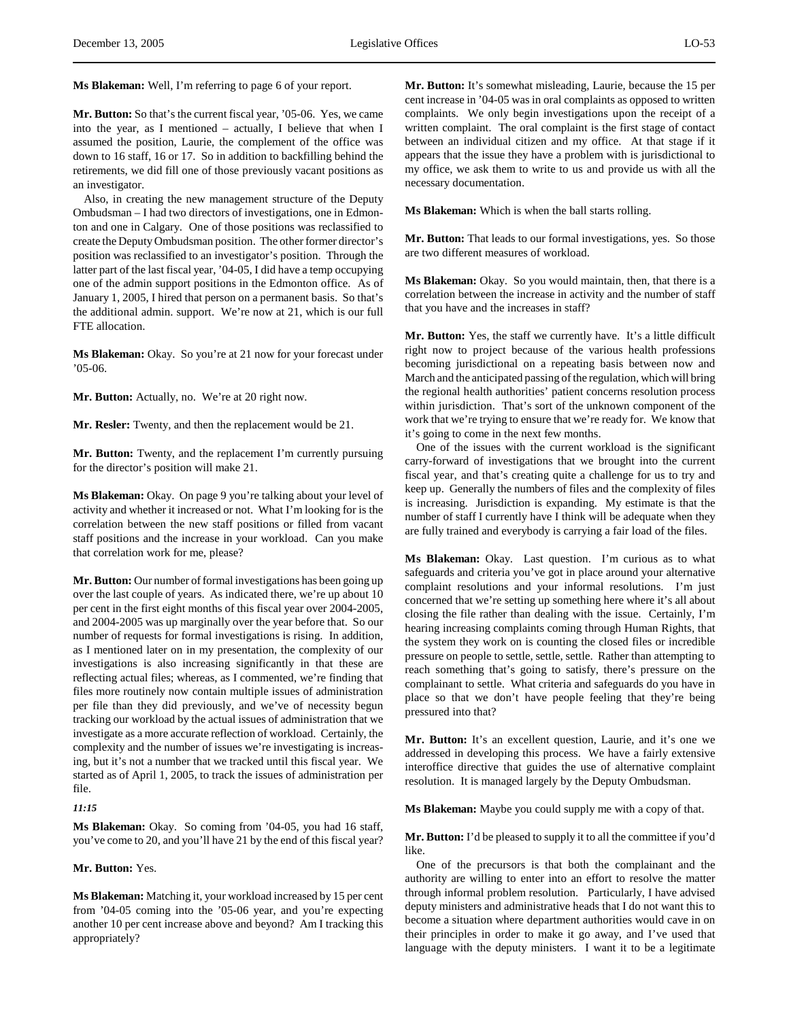**Ms Blakeman:** Well, I'm referring to page 6 of your report.

**Mr. Button:** So that's the current fiscal year, '05-06. Yes, we came into the year, as I mentioned – actually, I believe that when I assumed the position, Laurie, the complement of the office was down to 16 staff, 16 or 17. So in addition to backfilling behind the retirements, we did fill one of those previously vacant positions as an investigator.

Also, in creating the new management structure of the Deputy Ombudsman – I had two directors of investigations, one in Edmonton and one in Calgary. One of those positions was reclassified to create the Deputy Ombudsman position. The other former director's position was reclassified to an investigator's position. Through the latter part of the last fiscal year, '04-05, I did have a temp occupying one of the admin support positions in the Edmonton office. As of January 1, 2005, I hired that person on a permanent basis. So that's the additional admin. support. We're now at 21, which is our full FTE allocation.

**Ms Blakeman:** Okay. So you're at 21 now for your forecast under  $05-06.$ 

**Mr. Button:** Actually, no. We're at 20 right now.

**Mr. Resler:** Twenty, and then the replacement would be 21.

**Mr. Button:** Twenty, and the replacement I'm currently pursuing for the director's position will make 21.

**Ms Blakeman:** Okay. On page 9 you're talking about your level of activity and whether it increased or not. What I'm looking for is the correlation between the new staff positions or filled from vacant staff positions and the increase in your workload. Can you make that correlation work for me, please?

**Mr. Button:** Our number of formal investigations has been going up over the last couple of years. As indicated there, we're up about 10 per cent in the first eight months of this fiscal year over 2004-2005, and 2004-2005 was up marginally over the year before that. So our number of requests for formal investigations is rising. In addition, as I mentioned later on in my presentation, the complexity of our investigations is also increasing significantly in that these are reflecting actual files; whereas, as I commented, we're finding that files more routinely now contain multiple issues of administration per file than they did previously, and we've of necessity begun tracking our workload by the actual issues of administration that we investigate as a more accurate reflection of workload. Certainly, the complexity and the number of issues we're investigating is increasing, but it's not a number that we tracked until this fiscal year. We started as of April 1, 2005, to track the issues of administration per file.

#### *11:15*

**Ms Blakeman:** Okay. So coming from '04-05, you had 16 staff, you've come to 20, and you'll have 21 by the end of this fiscal year?

# **Mr. Button:** Yes.

**Ms Blakeman:** Matching it, your workload increased by 15 per cent from '04-05 coming into the '05-06 year, and you're expecting another 10 per cent increase above and beyond? Am I tracking this appropriately?

**Mr. Button:** It's somewhat misleading, Laurie, because the 15 per cent increase in '04-05 was in oral complaints as opposed to written complaints. We only begin investigations upon the receipt of a written complaint. The oral complaint is the first stage of contact between an individual citizen and my office. At that stage if it appears that the issue they have a problem with is jurisdictional to my office, we ask them to write to us and provide us with all the necessary documentation.

**Ms Blakeman:** Which is when the ball starts rolling.

**Mr. Button:** That leads to our formal investigations, yes. So those are two different measures of workload.

**Ms Blakeman:** Okay. So you would maintain, then, that there is a correlation between the increase in activity and the number of staff that you have and the increases in staff?

**Mr. Button:** Yes, the staff we currently have. It's a little difficult right now to project because of the various health professions becoming jurisdictional on a repeating basis between now and March and the anticipated passing of the regulation, which will bring the regional health authorities' patient concerns resolution process within jurisdiction. That's sort of the unknown component of the work that we're trying to ensure that we're ready for. We know that it's going to come in the next few months.

One of the issues with the current workload is the significant carry-forward of investigations that we brought into the current fiscal year, and that's creating quite a challenge for us to try and keep up. Generally the numbers of files and the complexity of files is increasing. Jurisdiction is expanding. My estimate is that the number of staff I currently have I think will be adequate when they are fully trained and everybody is carrying a fair load of the files.

**Ms Blakeman:** Okay. Last question. I'm curious as to what safeguards and criteria you've got in place around your alternative complaint resolutions and your informal resolutions. I'm just concerned that we're setting up something here where it's all about closing the file rather than dealing with the issue. Certainly, I'm hearing increasing complaints coming through Human Rights, that the system they work on is counting the closed files or incredible pressure on people to settle, settle, settle. Rather than attempting to reach something that's going to satisfy, there's pressure on the complainant to settle. What criteria and safeguards do you have in place so that we don't have people feeling that they're being pressured into that?

**Mr. Button:** It's an excellent question, Laurie, and it's one we addressed in developing this process. We have a fairly extensive interoffice directive that guides the use of alternative complaint resolution. It is managed largely by the Deputy Ombudsman.

**Ms Blakeman:** Maybe you could supply me with a copy of that.

**Mr. Button:** I'd be pleased to supply it to all the committee if you'd like.

One of the precursors is that both the complainant and the authority are willing to enter into an effort to resolve the matter through informal problem resolution. Particularly, I have advised deputy ministers and administrative heads that I do not want this to become a situation where department authorities would cave in on their principles in order to make it go away, and I've used that language with the deputy ministers. I want it to be a legitimate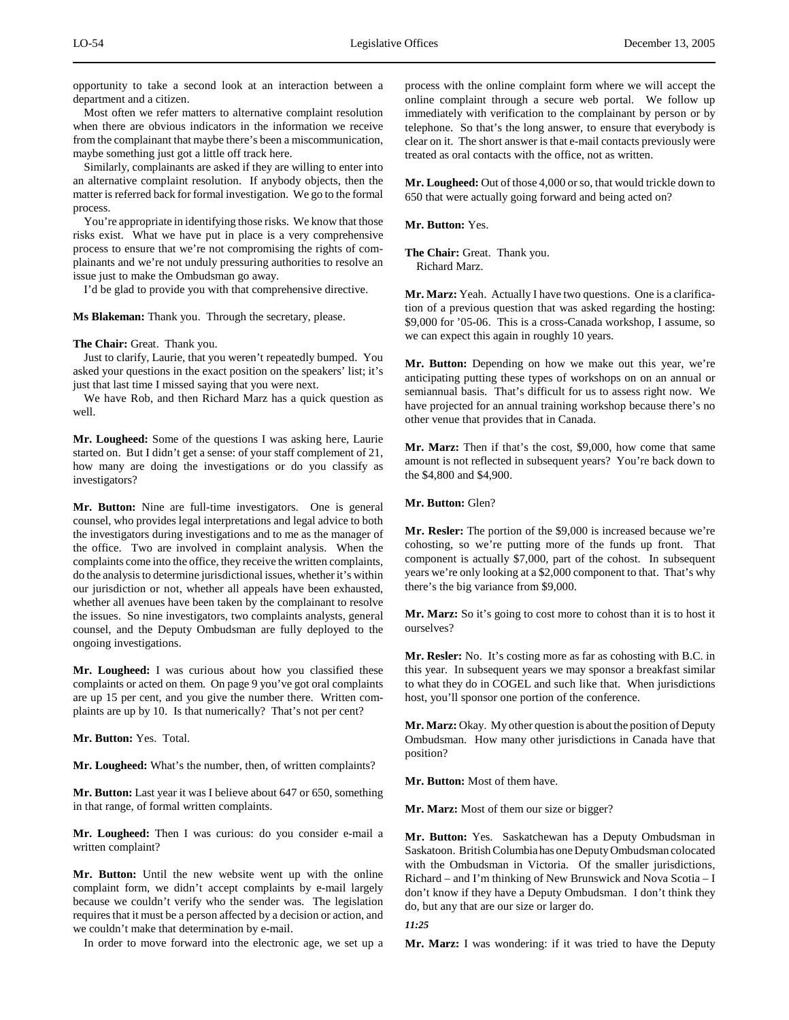opportunity to take a second look at an interaction between a department and a citizen.

Most often we refer matters to alternative complaint resolution when there are obvious indicators in the information we receive from the complainant that maybe there's been a miscommunication, maybe something just got a little off track here.

Similarly, complainants are asked if they are willing to enter into an alternative complaint resolution. If anybody objects, then the matter is referred back for formal investigation. We go to the formal process.

You're appropriate in identifying those risks. We know that those risks exist. What we have put in place is a very comprehensive process to ensure that we're not compromising the rights of complainants and we're not unduly pressuring authorities to resolve an issue just to make the Ombudsman go away.

I'd be glad to provide you with that comprehensive directive.

**Ms Blakeman:** Thank you. Through the secretary, please.

#### **The Chair:** Great. Thank you.

Just to clarify, Laurie, that you weren't repeatedly bumped. You asked your questions in the exact position on the speakers' list; it's just that last time I missed saying that you were next.

We have Rob, and then Richard Marz has a quick question as well.

**Mr. Lougheed:** Some of the questions I was asking here, Laurie started on. But I didn't get a sense: of your staff complement of 21, how many are doing the investigations or do you classify as investigators?

**Mr. Button:** Nine are full-time investigators. One is general counsel, who provides legal interpretations and legal advice to both the investigators during investigations and to me as the manager of the office. Two are involved in complaint analysis. When the complaints come into the office, they receive the written complaints, do the analysis to determine jurisdictional issues, whether it's within our jurisdiction or not, whether all appeals have been exhausted, whether all avenues have been taken by the complainant to resolve the issues. So nine investigators, two complaints analysts, general counsel, and the Deputy Ombudsman are fully deployed to the ongoing investigations.

**Mr. Lougheed:** I was curious about how you classified these complaints or acted on them. On page 9 you've got oral complaints are up 15 per cent, and you give the number there. Written complaints are up by 10. Is that numerically? That's not per cent?

**Mr. Button:** Yes. Total.

**Mr. Lougheed:** What's the number, then, of written complaints?

**Mr. Button:** Last year it was I believe about 647 or 650, something in that range, of formal written complaints.

**Mr. Lougheed:** Then I was curious: do you consider e-mail a written complaint?

**Mr. Button:** Until the new website went up with the online complaint form, we didn't accept complaints by e-mail largely because we couldn't verify who the sender was. The legislation requires that it must be a person affected by a decision or action, and we couldn't make that determination by e-mail.

In order to move forward into the electronic age, we set up a

process with the online complaint form where we will accept the online complaint through a secure web portal. We follow up immediately with verification to the complainant by person or by telephone. So that's the long answer, to ensure that everybody is clear on it. The short answer is that e-mail contacts previously were treated as oral contacts with the office, not as written.

**Mr. Lougheed:** Out of those 4,000 or so, that would trickle down to 650 that were actually going forward and being acted on?

**Mr. Button:** Yes.

**The Chair:** Great. Thank you. Richard Marz.

**Mr. Marz:** Yeah. Actually I have two questions. One is a clarification of a previous question that was asked regarding the hosting: \$9,000 for '05-06. This is a cross-Canada workshop, I assume, so we can expect this again in roughly 10 years.

**Mr. Button:** Depending on how we make out this year, we're anticipating putting these types of workshops on on an annual or semiannual basis. That's difficult for us to assess right now. We have projected for an annual training workshop because there's no other venue that provides that in Canada.

**Mr. Marz:** Then if that's the cost, \$9,000, how come that same amount is not reflected in subsequent years? You're back down to the \$4,800 and \$4,900.

**Mr. Button:** Glen?

**Mr. Resler:** The portion of the \$9,000 is increased because we're cohosting, so we're putting more of the funds up front. That component is actually \$7,000, part of the cohost. In subsequent years we're only looking at a \$2,000 component to that. That's why there's the big variance from \$9,000.

**Mr. Marz:** So it's going to cost more to cohost than it is to host it ourselves?

**Mr. Resler:** No. It's costing more as far as cohosting with B.C. in this year. In subsequent years we may sponsor a breakfast similar to what they do in COGEL and such like that. When jurisdictions host, you'll sponsor one portion of the conference.

**Mr. Marz:** Okay. My other question is about the position of Deputy Ombudsman. How many other jurisdictions in Canada have that position?

**Mr. Button:** Most of them have.

**Mr. Marz:** Most of them our size or bigger?

**Mr. Button:** Yes. Saskatchewan has a Deputy Ombudsman in Saskatoon. British Columbia has one Deputy Ombudsman colocated with the Ombudsman in Victoria. Of the smaller jurisdictions, Richard – and I'm thinking of New Brunswick and Nova Scotia – I don't know if they have a Deputy Ombudsman. I don't think they do, but any that are our size or larger do.

# *11:25*

**Mr. Marz:** I was wondering: if it was tried to have the Deputy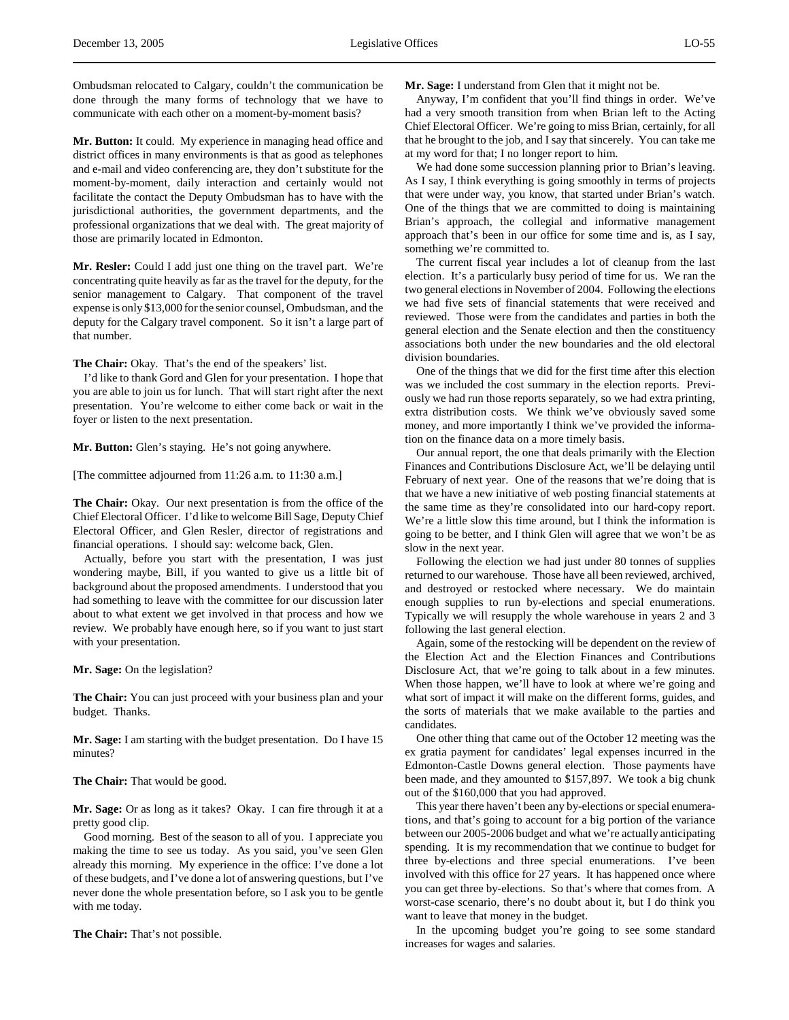Ombudsman relocated to Calgary, couldn't the communication be done through the many forms of technology that we have to communicate with each other on a moment-by-moment basis?

**Mr. Button:** It could. My experience in managing head office and district offices in many environments is that as good as telephones and e-mail and video conferencing are, they don't substitute for the moment-by-moment, daily interaction and certainly would not facilitate the contact the Deputy Ombudsman has to have with the jurisdictional authorities, the government departments, and the professional organizations that we deal with. The great majority of those are primarily located in Edmonton.

**Mr. Resler:** Could I add just one thing on the travel part. We're concentrating quite heavily as far as the travel for the deputy, for the senior management to Calgary. That component of the travel expense is only \$13,000 for the senior counsel, Ombudsman, and the deputy for the Calgary travel component. So it isn't a large part of that number.

**The Chair:** Okay. That's the end of the speakers' list.

I'd like to thank Gord and Glen for your presentation. I hope that you are able to join us for lunch. That will start right after the next presentation. You're welcome to either come back or wait in the foyer or listen to the next presentation.

**Mr. Button:** Glen's staying. He's not going anywhere.

[The committee adjourned from 11:26 a.m. to 11:30 a.m.]

**The Chair:** Okay. Our next presentation is from the office of the Chief Electoral Officer. I'd like to welcome Bill Sage, Deputy Chief Electoral Officer, and Glen Resler, director of registrations and financial operations. I should say: welcome back, Glen.

Actually, before you start with the presentation, I was just wondering maybe, Bill, if you wanted to give us a little bit of background about the proposed amendments. I understood that you had something to leave with the committee for our discussion later about to what extent we get involved in that process and how we review. We probably have enough here, so if you want to just start with your presentation.

**Mr. Sage:** On the legislation?

**The Chair:** You can just proceed with your business plan and your budget. Thanks.

**Mr. Sage:** I am starting with the budget presentation. Do I have 15 minutes?

**The Chair:** That would be good.

**Mr. Sage:** Or as long as it takes? Okay. I can fire through it at a pretty good clip.

Good morning. Best of the season to all of you. I appreciate you making the time to see us today. As you said, you've seen Glen already this morning. My experience in the office: I've done a lot of these budgets, and I've done a lot of answering questions, but I've never done the whole presentation before, so I ask you to be gentle with me today.

**The Chair:** That's not possible.

**Mr. Sage:** I understand from Glen that it might not be.

Anyway, I'm confident that you'll find things in order. We've had a very smooth transition from when Brian left to the Acting Chief Electoral Officer. We're going to miss Brian, certainly, for all that he brought to the job, and I say that sincerely. You can take me at my word for that; I no longer report to him.

We had done some succession planning prior to Brian's leaving. As I say, I think everything is going smoothly in terms of projects that were under way, you know, that started under Brian's watch. One of the things that we are committed to doing is maintaining Brian's approach, the collegial and informative management approach that's been in our office for some time and is, as I say, something we're committed to.

The current fiscal year includes a lot of cleanup from the last election. It's a particularly busy period of time for us. We ran the two general elections in November of 2004. Following the elections we had five sets of financial statements that were received and reviewed. Those were from the candidates and parties in both the general election and the Senate election and then the constituency associations both under the new boundaries and the old electoral division boundaries.

One of the things that we did for the first time after this election was we included the cost summary in the election reports. Previously we had run those reports separately, so we had extra printing, extra distribution costs. We think we've obviously saved some money, and more importantly I think we've provided the information on the finance data on a more timely basis.

Our annual report, the one that deals primarily with the Election Finances and Contributions Disclosure Act, we'll be delaying until February of next year. One of the reasons that we're doing that is that we have a new initiative of web posting financial statements at the same time as they're consolidated into our hard-copy report. We're a little slow this time around, but I think the information is going to be better, and I think Glen will agree that we won't be as slow in the next year.

Following the election we had just under 80 tonnes of supplies returned to our warehouse. Those have all been reviewed, archived, and destroyed or restocked where necessary. We do maintain enough supplies to run by-elections and special enumerations. Typically we will resupply the whole warehouse in years 2 and 3 following the last general election.

Again, some of the restocking will be dependent on the review of the Election Act and the Election Finances and Contributions Disclosure Act, that we're going to talk about in a few minutes. When those happen, we'll have to look at where we're going and what sort of impact it will make on the different forms, guides, and the sorts of materials that we make available to the parties and candidates.

One other thing that came out of the October 12 meeting was the ex gratia payment for candidates' legal expenses incurred in the Edmonton-Castle Downs general election. Those payments have been made, and they amounted to \$157,897. We took a big chunk out of the \$160,000 that you had approved.

This year there haven't been any by-elections or special enumerations, and that's going to account for a big portion of the variance between our 2005-2006 budget and what we're actually anticipating spending. It is my recommendation that we continue to budget for three by-elections and three special enumerations. I've been involved with this office for 27 years. It has happened once where you can get three by-elections. So that's where that comes from. A worst-case scenario, there's no doubt about it, but I do think you want to leave that money in the budget.

In the upcoming budget you're going to see some standard increases for wages and salaries.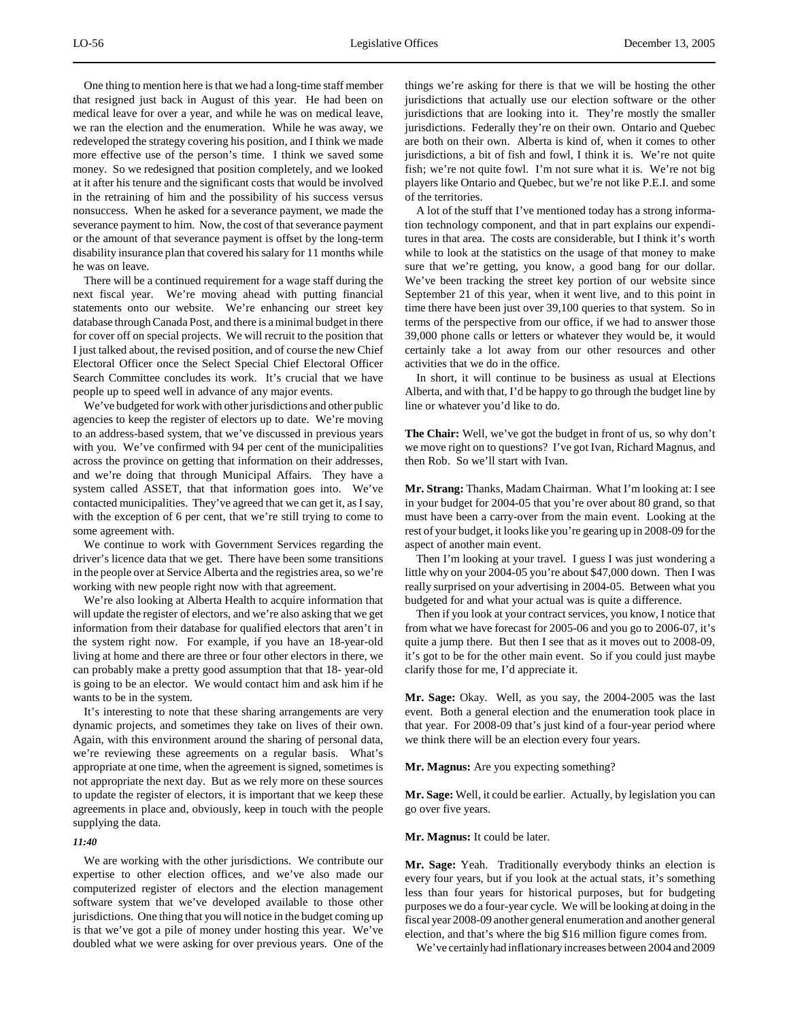One thing to mention here is that we had a long-time staff member that resigned just back in August of this year. He had been on medical leave for over a year, and while he was on medical leave, we ran the election and the enumeration. While he was away, we redeveloped the strategy covering his position, and I think we made more effective use of the person's time. I think we saved some money. So we redesigned that position completely, and we looked at it after his tenure and the significant costs that would be involved in the retraining of him and the possibility of his success versus nonsuccess. When he asked for a severance payment, we made the severance payment to him. Now, the cost of that severance payment or the amount of that severance payment is offset by the long-term disability insurance plan that covered his salary for 11 months while he was on leave.

There will be a continued requirement for a wage staff during the next fiscal year. We're moving ahead with putting financial statements onto our website. We're enhancing our street key database through Canada Post, and there is a minimal budget in there for cover off on special projects. We will recruit to the position that I just talked about, the revised position, and of course the new Chief Electoral Officer once the Select Special Chief Electoral Officer Search Committee concludes its work. It's crucial that we have people up to speed well in advance of any major events.

We've budgeted for work with other jurisdictions and other public agencies to keep the register of electors up to date. We're moving to an address-based system, that we've discussed in previous years with you. We've confirmed with 94 per cent of the municipalities across the province on getting that information on their addresses, and we're doing that through Municipal Affairs. They have a system called ASSET, that that information goes into. We've contacted municipalities. They've agreed that we can get it, as I say, with the exception of 6 per cent, that we're still trying to come to some agreement with.

We continue to work with Government Services regarding the driver's licence data that we get. There have been some transitions in the people over at Service Alberta and the registries area, so we're working with new people right now with that agreement.

We're also looking at Alberta Health to acquire information that will update the register of electors, and we're also asking that we get information from their database for qualified electors that aren't in the system right now. For example, if you have an 18-year-old living at home and there are three or four other electors in there, we can probably make a pretty good assumption that that 18- year-old is going to be an elector. We would contact him and ask him if he wants to be in the system.

It's interesting to note that these sharing arrangements are very dynamic projects, and sometimes they take on lives of their own. Again, with this environment around the sharing of personal data, we're reviewing these agreements on a regular basis. What's appropriate at one time, when the agreement is signed, sometimes is not appropriate the next day. But as we rely more on these sources to update the register of electors, it is important that we keep these agreements in place and, obviously, keep in touch with the people supplying the data.

# *11:40*

We are working with the other jurisdictions. We contribute our expertise to other election offices, and we've also made our computerized register of electors and the election management software system that we've developed available to those other jurisdictions. One thing that you will notice in the budget coming up is that we've got a pile of money under hosting this year. We've doubled what we were asking for over previous years. One of the

things we're asking for there is that we will be hosting the other jurisdictions that actually use our election software or the other jurisdictions that are looking into it. They're mostly the smaller jurisdictions. Federally they're on their own. Ontario and Quebec are both on their own. Alberta is kind of, when it comes to other jurisdictions, a bit of fish and fowl, I think it is. We're not quite fish; we're not quite fowl. I'm not sure what it is. We're not big players like Ontario and Quebec, but we're not like P.E.I. and some of the territories.

A lot of the stuff that I've mentioned today has a strong information technology component, and that in part explains our expenditures in that area. The costs are considerable, but I think it's worth while to look at the statistics on the usage of that money to make sure that we're getting, you know, a good bang for our dollar. We've been tracking the street key portion of our website since September 21 of this year, when it went live, and to this point in time there have been just over 39,100 queries to that system. So in terms of the perspective from our office, if we had to answer those 39,000 phone calls or letters or whatever they would be, it would certainly take a lot away from our other resources and other activities that we do in the office.

In short, it will continue to be business as usual at Elections Alberta, and with that, I'd be happy to go through the budget line by line or whatever you'd like to do.

**The Chair:** Well, we've got the budget in front of us, so why don't we move right on to questions? I've got Ivan, Richard Magnus, and then Rob. So we'll start with Ivan.

**Mr. Strang:** Thanks, Madam Chairman. What I'm looking at: I see in your budget for 2004-05 that you're over about 80 grand, so that must have been a carry-over from the main event. Looking at the rest of your budget, it looks like you're gearing up in 2008-09 for the aspect of another main event.

Then I'm looking at your travel. I guess I was just wondering a little why on your 2004-05 you're about \$47,000 down. Then I was really surprised on your advertising in 2004-05. Between what you budgeted for and what your actual was is quite a difference.

Then if you look at your contract services, you know, I notice that from what we have forecast for 2005-06 and you go to 2006-07, it's quite a jump there. But then I see that as it moves out to 2008-09, it's got to be for the other main event. So if you could just maybe clarify those for me, I'd appreciate it.

**Mr. Sage:** Okay. Well, as you say, the 2004-2005 was the last event. Both a general election and the enumeration took place in that year. For 2008-09 that's just kind of a four-year period where we think there will be an election every four years.

**Mr. Magnus:** Are you expecting something?

**Mr. Sage:** Well, it could be earlier. Actually, by legislation you can go over five years.

# **Mr. Magnus:** It could be later.

**Mr. Sage:** Yeah. Traditionally everybody thinks an election is every four years, but if you look at the actual stats, it's something less than four years for historical purposes, but for budgeting purposes we do a four-year cycle. We will be looking at doing in the fiscal year 2008-09 another general enumeration and another general election, and that's where the big \$16 million figure comes from.

We've certainly had inflationary increases between 2004 and 2009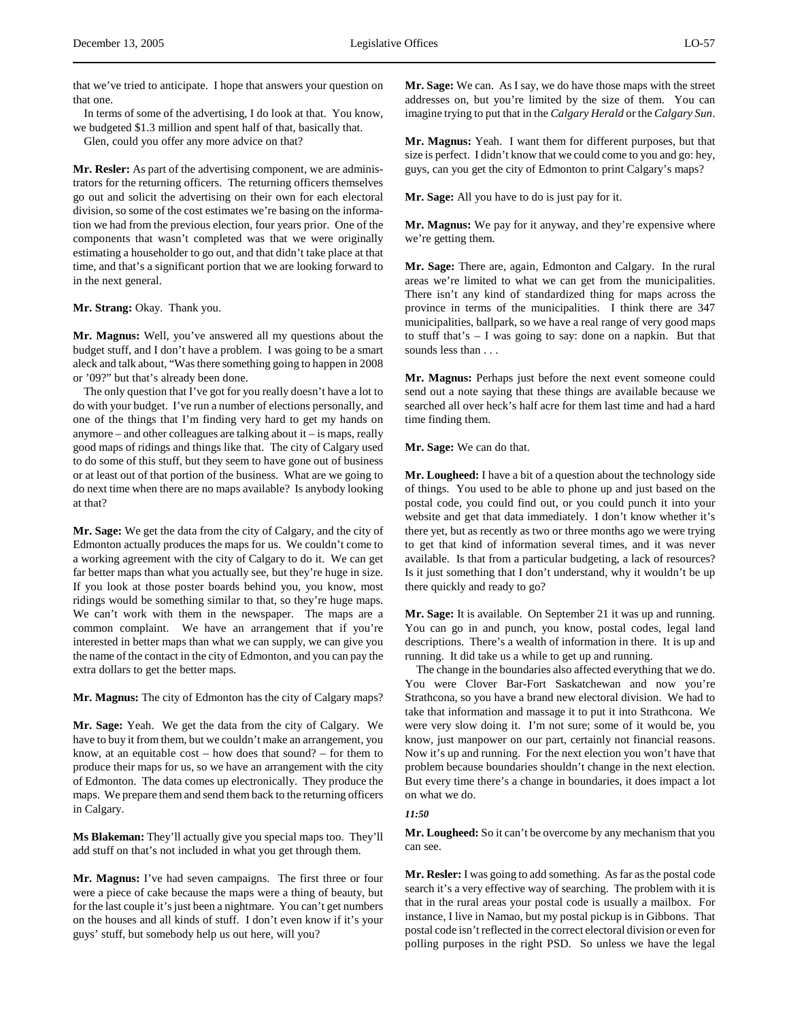that we've tried to anticipate. I hope that answers your question on that one.

In terms of some of the advertising, I do look at that. You know, we budgeted \$1.3 million and spent half of that, basically that.

Glen, could you offer any more advice on that?

**Mr. Resler:** As part of the advertising component, we are administrators for the returning officers. The returning officers themselves go out and solicit the advertising on their own for each electoral division, so some of the cost estimates we're basing on the information we had from the previous election, four years prior. One of the components that wasn't completed was that we were originally estimating a householder to go out, and that didn't take place at that time, and that's a significant portion that we are looking forward to in the next general.

#### **Mr. Strang:** Okay. Thank you.

**Mr. Magnus:** Well, you've answered all my questions about the budget stuff, and I don't have a problem. I was going to be a smart aleck and talk about, "Was there something going to happen in 2008 or '09?" but that's already been done.

The only question that I've got for you really doesn't have a lot to do with your budget. I've run a number of elections personally, and one of the things that I'm finding very hard to get my hands on anymore – and other colleagues are talking about it – is maps, really good maps of ridings and things like that. The city of Calgary used to do some of this stuff, but they seem to have gone out of business or at least out of that portion of the business. What are we going to do next time when there are no maps available? Is anybody looking at that?

**Mr. Sage:** We get the data from the city of Calgary, and the city of Edmonton actually produces the maps for us. We couldn't come to a working agreement with the city of Calgary to do it. We can get far better maps than what you actually see, but they're huge in size. If you look at those poster boards behind you, you know, most ridings would be something similar to that, so they're huge maps. We can't work with them in the newspaper. The maps are a common complaint. We have an arrangement that if you're interested in better maps than what we can supply, we can give you the name of the contact in the city of Edmonton, and you can pay the extra dollars to get the better maps.

**Mr. Magnus:** The city of Edmonton has the city of Calgary maps?

**Mr. Sage:** Yeah. We get the data from the city of Calgary. We have to buy it from them, but we couldn't make an arrangement, you know, at an equitable cost – how does that sound? – for them to produce their maps for us, so we have an arrangement with the city of Edmonton. The data comes up electronically. They produce the maps. We prepare them and send them back to the returning officers in Calgary.

**Ms Blakeman:** They'll actually give you special maps too. They'll add stuff on that's not included in what you get through them.

**Mr. Magnus:** I've had seven campaigns. The first three or four were a piece of cake because the maps were a thing of beauty, but for the last couple it's just been a nightmare. You can't get numbers on the houses and all kinds of stuff. I don't even know if it's your guys' stuff, but somebody help us out here, will you?

**Mr. Sage:** We can. As I say, we do have those maps with the street addresses on, but you're limited by the size of them. You can imagine trying to put that in the *Calgary Herald* or the *Calgary Sun*.

**Mr. Magnus:** Yeah. I want them for different purposes, but that size is perfect. I didn't know that we could come to you and go: hey, guys, can you get the city of Edmonton to print Calgary's maps?

**Mr. Sage:** All you have to do is just pay for it.

**Mr. Magnus:** We pay for it anyway, and they're expensive where we're getting them.

**Mr. Sage:** There are, again, Edmonton and Calgary. In the rural areas we're limited to what we can get from the municipalities. There isn't any kind of standardized thing for maps across the province in terms of the municipalities. I think there are 347 municipalities, ballpark, so we have a real range of very good maps to stuff that's – I was going to say: done on a napkin. But that sounds less than . . .

**Mr. Magnus:** Perhaps just before the next event someone could send out a note saying that these things are available because we searched all over heck's half acre for them last time and had a hard time finding them.

**Mr. Sage:** We can do that.

**Mr. Lougheed:** I have a bit of a question about the technology side of things. You used to be able to phone up and just based on the postal code, you could find out, or you could punch it into your website and get that data immediately. I don't know whether it's there yet, but as recently as two or three months ago we were trying to get that kind of information several times, and it was never available. Is that from a particular budgeting, a lack of resources? Is it just something that I don't understand, why it wouldn't be up there quickly and ready to go?

**Mr. Sage:** It is available. On September 21 it was up and running. You can go in and punch, you know, postal codes, legal land descriptions. There's a wealth of information in there. It is up and running. It did take us a while to get up and running.

The change in the boundaries also affected everything that we do. You were Clover Bar-Fort Saskatchewan and now you're Strathcona, so you have a brand new electoral division. We had to take that information and massage it to put it into Strathcona. We were very slow doing it. I'm not sure; some of it would be, you know, just manpower on our part, certainly not financial reasons. Now it's up and running. For the next election you won't have that problem because boundaries shouldn't change in the next election. But every time there's a change in boundaries, it does impact a lot on what we do.

# *11:50*

**Mr. Lougheed:** So it can't be overcome by any mechanism that you can see.

**Mr. Resler:** I was going to add something. As far as the postal code search it's a very effective way of searching. The problem with it is that in the rural areas your postal code is usually a mailbox. For instance, I live in Namao, but my postal pickup is in Gibbons. That postal code isn't reflected in the correct electoral division or even for polling purposes in the right PSD. So unless we have the legal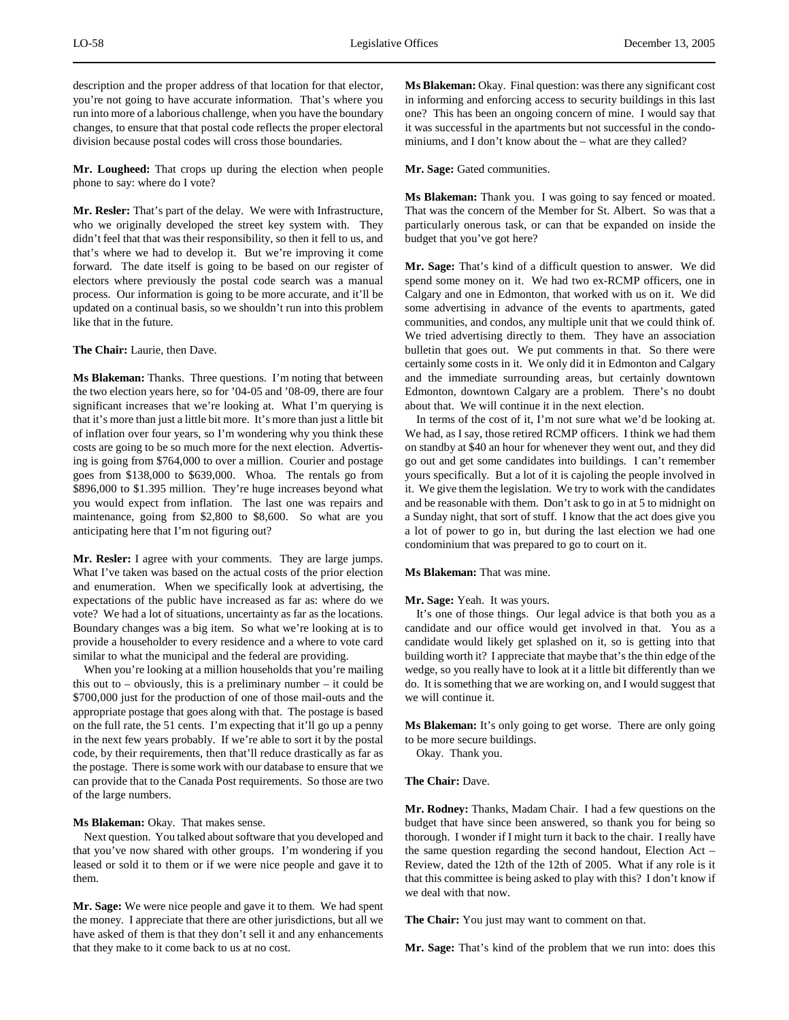description and the proper address of that location for that elector, you're not going to have accurate information. That's where you run into more of a laborious challenge, when you have the boundary changes, to ensure that that postal code reflects the proper electoral division because postal codes will cross those boundaries.

**Mr. Lougheed:** That crops up during the election when people phone to say: where do I vote?

**Mr. Resler:** That's part of the delay. We were with Infrastructure, who we originally developed the street key system with. They didn't feel that that was their responsibility, so then it fell to us, and that's where we had to develop it. But we're improving it come forward. The date itself is going to be based on our register of electors where previously the postal code search was a manual process. Our information is going to be more accurate, and it'll be updated on a continual basis, so we shouldn't run into this problem like that in the future.

**The Chair:** Laurie, then Dave.

**Ms Blakeman:** Thanks. Three questions. I'm noting that between the two election years here, so for '04-05 and '08-09, there are four significant increases that we're looking at. What I'm querying is that it's more than just a little bit more. It's more than just a little bit of inflation over four years, so I'm wondering why you think these costs are going to be so much more for the next election. Advertising is going from \$764,000 to over a million. Courier and postage goes from \$138,000 to \$639,000. Whoa. The rentals go from \$896,000 to \$1.395 million. They're huge increases beyond what you would expect from inflation. The last one was repairs and maintenance, going from \$2,800 to \$8,600. So what are you anticipating here that I'm not figuring out?

**Mr. Resler:** I agree with your comments. They are large jumps. What I've taken was based on the actual costs of the prior election and enumeration. When we specifically look at advertising, the expectations of the public have increased as far as: where do we vote? We had a lot of situations, uncertainty as far as the locations. Boundary changes was a big item. So what we're looking at is to provide a householder to every residence and a where to vote card similar to what the municipal and the federal are providing.

When you're looking at a million households that you're mailing this out to – obviously, this is a preliminary number – it could be \$700,000 just for the production of one of those mail-outs and the appropriate postage that goes along with that. The postage is based on the full rate, the 51 cents. I'm expecting that it'll go up a penny in the next few years probably. If we're able to sort it by the postal code, by their requirements, then that'll reduce drastically as far as the postage. There is some work with our database to ensure that we can provide that to the Canada Post requirements. So those are two of the large numbers.

**Ms Blakeman:** Okay. That makes sense.

Next question. You talked about software that you developed and that you've now shared with other groups. I'm wondering if you leased or sold it to them or if we were nice people and gave it to them.

**Mr. Sage:** We were nice people and gave it to them. We had spent the money. I appreciate that there are other jurisdictions, but all we have asked of them is that they don't sell it and any enhancements that they make to it come back to us at no cost.

**Ms Blakeman:** Okay. Final question: was there any significant cost in informing and enforcing access to security buildings in this last one? This has been an ongoing concern of mine. I would say that it was successful in the apartments but not successful in the condominiums, and I don't know about the – what are they called?

# **Mr. Sage:** Gated communities.

**Ms Blakeman:** Thank you. I was going to say fenced or moated. That was the concern of the Member for St. Albert. So was that a particularly onerous task, or can that be expanded on inside the budget that you've got here?

**Mr. Sage:** That's kind of a difficult question to answer. We did spend some money on it. We had two ex-RCMP officers, one in Calgary and one in Edmonton, that worked with us on it. We did some advertising in advance of the events to apartments, gated communities, and condos, any multiple unit that we could think of. We tried advertising directly to them. They have an association bulletin that goes out. We put comments in that. So there were certainly some costs in it. We only did it in Edmonton and Calgary and the immediate surrounding areas, but certainly downtown Edmonton, downtown Calgary are a problem. There's no doubt about that. We will continue it in the next election.

In terms of the cost of it, I'm not sure what we'd be looking at. We had, as I say, those retired RCMP officers. I think we had them on standby at \$40 an hour for whenever they went out, and they did go out and get some candidates into buildings. I can't remember yours specifically. But a lot of it is cajoling the people involved in it. We give them the legislation. We try to work with the candidates and be reasonable with them. Don't ask to go in at 5 to midnight on a Sunday night, that sort of stuff. I know that the act does give you a lot of power to go in, but during the last election we had one condominium that was prepared to go to court on it.

**Ms Blakeman:** That was mine.

**Mr. Sage:** Yeah. It was yours.

It's one of those things. Our legal advice is that both you as a candidate and our office would get involved in that. You as a candidate would likely get splashed on it, so is getting into that building worth it? I appreciate that maybe that's the thin edge of the wedge, so you really have to look at it a little bit differently than we do. It is something that we are working on, and I would suggest that we will continue it.

**Ms Blakeman:** It's only going to get worse. There are only going to be more secure buildings.

Okay. Thank you.

**The Chair:** Dave.

**Mr. Rodney:** Thanks, Madam Chair. I had a few questions on the budget that have since been answered, so thank you for being so thorough. I wonder if I might turn it back to the chair. I really have the same question regarding the second handout, Election Act – Review, dated the 12th of the 12th of 2005. What if any role is it that this committee is being asked to play with this? I don't know if we deal with that now.

**The Chair:** You just may want to comment on that.

**Mr. Sage:** That's kind of the problem that we run into: does this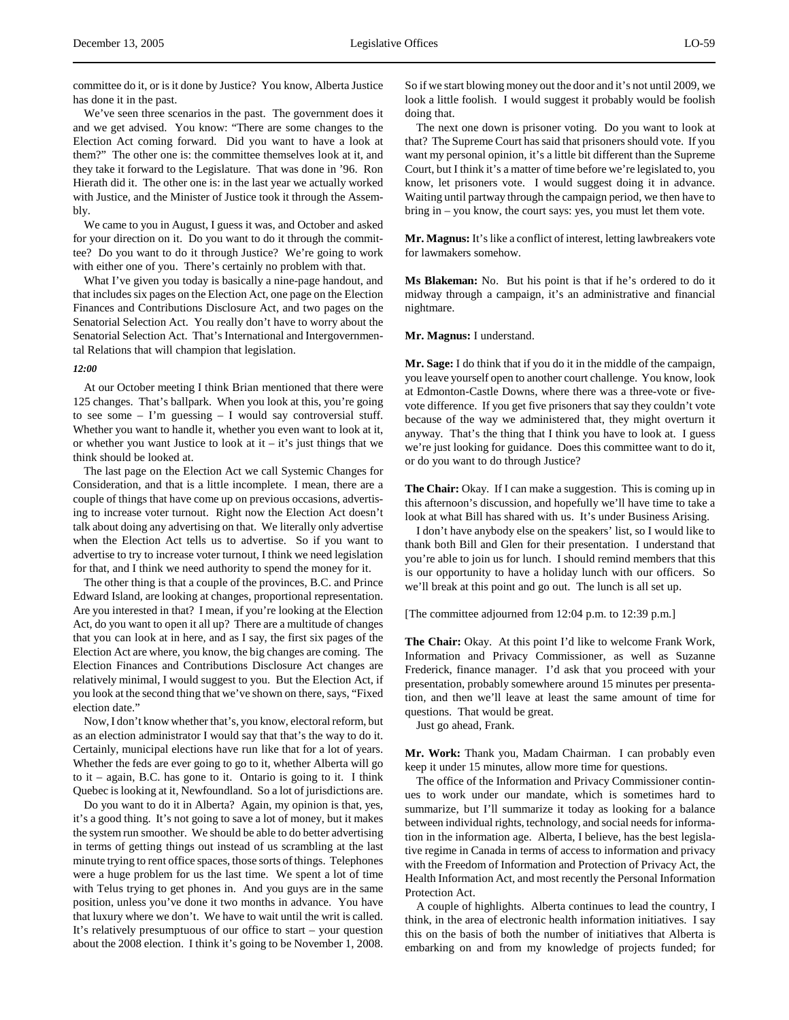committee do it, or is it done by Justice? You know, Alberta Justice has done it in the past.

We've seen three scenarios in the past. The government does it and we get advised. You know: "There are some changes to the Election Act coming forward. Did you want to have a look at them?" The other one is: the committee themselves look at it, and they take it forward to the Legislature. That was done in '96. Ron Hierath did it. The other one is: in the last year we actually worked with Justice, and the Minister of Justice took it through the Assembly.

We came to you in August, I guess it was, and October and asked for your direction on it. Do you want to do it through the committee? Do you want to do it through Justice? We're going to work with either one of you. There's certainly no problem with that.

What I've given you today is basically a nine-page handout, and that includes six pages on the Election Act, one page on the Election Finances and Contributions Disclosure Act, and two pages on the Senatorial Selection Act. You really don't have to worry about the Senatorial Selection Act. That's International and Intergovernmental Relations that will champion that legislation.

#### *12:00*

At our October meeting I think Brian mentioned that there were 125 changes. That's ballpark. When you look at this, you're going to see some – I'm guessing – I would say controversial stuff. Whether you want to handle it, whether you even want to look at it, or whether you want Justice to look at it – it's just things that we think should be looked at.

The last page on the Election Act we call Systemic Changes for Consideration, and that is a little incomplete. I mean, there are a couple of things that have come up on previous occasions, advertising to increase voter turnout. Right now the Election Act doesn't talk about doing any advertising on that. We literally only advertise when the Election Act tells us to advertise. So if you want to advertise to try to increase voter turnout, I think we need legislation for that, and I think we need authority to spend the money for it.

The other thing is that a couple of the provinces, B.C. and Prince Edward Island, are looking at changes, proportional representation. Are you interested in that? I mean, if you're looking at the Election Act, do you want to open it all up? There are a multitude of changes that you can look at in here, and as I say, the first six pages of the Election Act are where, you know, the big changes are coming. The Election Finances and Contributions Disclosure Act changes are relatively minimal, I would suggest to you. But the Election Act, if you look at the second thing that we've shown on there, says, "Fixed election date."

Now, I don't know whether that's, you know, electoral reform, but as an election administrator I would say that that's the way to do it. Certainly, municipal elections have run like that for a lot of years. Whether the feds are ever going to go to it, whether Alberta will go to it – again, B.C. has gone to it. Ontario is going to it. I think Quebec is looking at it, Newfoundland. So a lot of jurisdictions are.

Do you want to do it in Alberta? Again, my opinion is that, yes, it's a good thing. It's not going to save a lot of money, but it makes the system run smoother. We should be able to do better advertising in terms of getting things out instead of us scrambling at the last minute trying to rent office spaces, those sorts of things. Telephones were a huge problem for us the last time. We spent a lot of time with Telus trying to get phones in. And you guys are in the same position, unless you've done it two months in advance. You have that luxury where we don't. We have to wait until the writ is called. It's relatively presumptuous of our office to start – your question about the 2008 election. I think it's going to be November 1, 2008. So if we start blowing money out the door and it's not until 2009, we look a little foolish. I would suggest it probably would be foolish doing that.

The next one down is prisoner voting. Do you want to look at that? The Supreme Court has said that prisoners should vote. If you want my personal opinion, it's a little bit different than the Supreme Court, but I think it's a matter of time before we're legislated to, you know, let prisoners vote. I would suggest doing it in advance. Waiting until partway through the campaign period, we then have to bring in – you know, the court says: yes, you must let them vote.

**Mr. Magnus:** It's like a conflict of interest, letting lawbreakers vote for lawmakers somehow.

**Ms Blakeman:** No. But his point is that if he's ordered to do it midway through a campaign, it's an administrative and financial nightmare.

#### **Mr. Magnus:** I understand.

**Mr. Sage:** I do think that if you do it in the middle of the campaign, you leave yourself open to another court challenge. You know, look at Edmonton-Castle Downs, where there was a three-vote or fivevote difference. If you get five prisoners that say they couldn't vote because of the way we administered that, they might overturn it anyway. That's the thing that I think you have to look at. I guess we're just looking for guidance. Does this committee want to do it, or do you want to do through Justice?

**The Chair:** Okay. If I can make a suggestion. This is coming up in this afternoon's discussion, and hopefully we'll have time to take a look at what Bill has shared with us. It's under Business Arising.

I don't have anybody else on the speakers' list, so I would like to thank both Bill and Glen for their presentation. I understand that you're able to join us for lunch. I should remind members that this is our opportunity to have a holiday lunch with our officers. So we'll break at this point and go out. The lunch is all set up.

[The committee adjourned from 12:04 p.m. to 12:39 p.m.]

**The Chair:** Okay. At this point I'd like to welcome Frank Work, Information and Privacy Commissioner, as well as Suzanne Frederick, finance manager. I'd ask that you proceed with your presentation, probably somewhere around 15 minutes per presentation, and then we'll leave at least the same amount of time for questions. That would be great.

Just go ahead, Frank.

**Mr. Work:** Thank you, Madam Chairman. I can probably even keep it under 15 minutes, allow more time for questions.

The office of the Information and Privacy Commissioner continues to work under our mandate, which is sometimes hard to summarize, but I'll summarize it today as looking for a balance between individual rights, technology, and social needs for information in the information age. Alberta, I believe, has the best legislative regime in Canada in terms of access to information and privacy with the Freedom of Information and Protection of Privacy Act, the Health Information Act, and most recently the Personal Information Protection Act.

A couple of highlights. Alberta continues to lead the country, I think, in the area of electronic health information initiatives. I say this on the basis of both the number of initiatives that Alberta is embarking on and from my knowledge of projects funded; for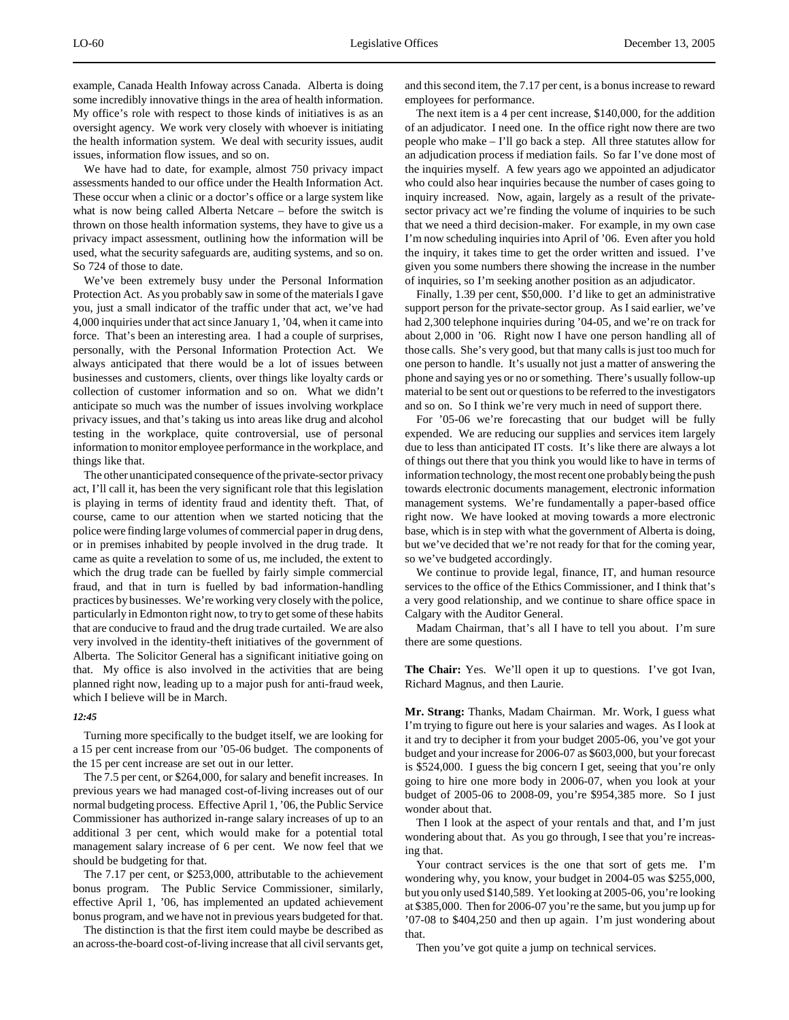example, Canada Health Infoway across Canada. Alberta is doing some incredibly innovative things in the area of health information. My office's role with respect to those kinds of initiatives is as an oversight agency. We work very closely with whoever is initiating the health information system. We deal with security issues, audit issues, information flow issues, and so on.

We have had to date, for example, almost 750 privacy impact assessments handed to our office under the Health Information Act. These occur when a clinic or a doctor's office or a large system like what is now being called Alberta Netcare – before the switch is thrown on those health information systems, they have to give us a privacy impact assessment, outlining how the information will be used, what the security safeguards are, auditing systems, and so on. So 724 of those to date.

We've been extremely busy under the Personal Information Protection Act. As you probably saw in some of the materials I gave you, just a small indicator of the traffic under that act, we've had 4,000 inquiries under that act since January 1, '04, when it came into force. That's been an interesting area. I had a couple of surprises, personally, with the Personal Information Protection Act. We always anticipated that there would be a lot of issues between businesses and customers, clients, over things like loyalty cards or collection of customer information and so on. What we didn't anticipate so much was the number of issues involving workplace privacy issues, and that's taking us into areas like drug and alcohol testing in the workplace, quite controversial, use of personal information to monitor employee performance in the workplace, and things like that.

The other unanticipated consequence of the private-sector privacy act, I'll call it, has been the very significant role that this legislation is playing in terms of identity fraud and identity theft. That, of course, came to our attention when we started noticing that the police were finding large volumes of commercial paper in drug dens, or in premises inhabited by people involved in the drug trade. It came as quite a revelation to some of us, me included, the extent to which the drug trade can be fuelled by fairly simple commercial fraud, and that in turn is fuelled by bad information-handling practices by businesses. We're working very closely with the police, particularly in Edmonton right now, to try to get some of these habits that are conducive to fraud and the drug trade curtailed. We are also very involved in the identity-theft initiatives of the government of Alberta. The Solicitor General has a significant initiative going on that. My office is also involved in the activities that are being planned right now, leading up to a major push for anti-fraud week, which I believe will be in March.

#### *12:45*

Turning more specifically to the budget itself, we are looking for a 15 per cent increase from our '05-06 budget. The components of the 15 per cent increase are set out in our letter.

The 7.5 per cent, or \$264,000, for salary and benefit increases. In previous years we had managed cost-of-living increases out of our normal budgeting process. Effective April 1, '06, the Public Service Commissioner has authorized in-range salary increases of up to an additional 3 per cent, which would make for a potential total management salary increase of 6 per cent. We now feel that we should be budgeting for that.

The 7.17 per cent, or \$253,000, attributable to the achievement bonus program. The Public Service Commissioner, similarly, effective April 1, '06, has implemented an updated achievement bonus program, and we have not in previous years budgeted for that.

The distinction is that the first item could maybe be described as an across-the-board cost-of-living increase that all civil servants get, and this second item, the 7.17 per cent, is a bonus increase to reward employees for performance.

The next item is a 4 per cent increase, \$140,000, for the addition of an adjudicator. I need one. In the office right now there are two people who make – I'll go back a step. All three statutes allow for an adjudication process if mediation fails. So far I've done most of the inquiries myself. A few years ago we appointed an adjudicator who could also hear inquiries because the number of cases going to inquiry increased. Now, again, largely as a result of the privatesector privacy act we're finding the volume of inquiries to be such that we need a third decision-maker. For example, in my own case I'm now scheduling inquiries into April of '06. Even after you hold the inquiry, it takes time to get the order written and issued. I've given you some numbers there showing the increase in the number of inquiries, so I'm seeking another position as an adjudicator.

Finally, 1.39 per cent, \$50,000. I'd like to get an administrative support person for the private-sector group. As I said earlier, we've had 2,300 telephone inquiries during '04-05, and we're on track for about 2,000 in '06. Right now I have one person handling all of those calls. She's very good, but that many calls is just too much for one person to handle. It's usually not just a matter of answering the phone and saying yes or no or something. There's usually follow-up material to be sent out or questions to be referred to the investigators and so on. So I think we're very much in need of support there.

For '05-06 we're forecasting that our budget will be fully expended. We are reducing our supplies and services item largely due to less than anticipated IT costs. It's like there are always a lot of things out there that you think you would like to have in terms of information technology, the most recent one probably being the push towards electronic documents management, electronic information management systems. We're fundamentally a paper-based office right now. We have looked at moving towards a more electronic base, which is in step with what the government of Alberta is doing, but we've decided that we're not ready for that for the coming year, so we've budgeted accordingly.

We continue to provide legal, finance, IT, and human resource services to the office of the Ethics Commissioner, and I think that's a very good relationship, and we continue to share office space in Calgary with the Auditor General.

Madam Chairman, that's all I have to tell you about. I'm sure there are some questions.

**The Chair:** Yes. We'll open it up to questions. I've got Ivan, Richard Magnus, and then Laurie.

**Mr. Strang:** Thanks, Madam Chairman. Mr. Work, I guess what I'm trying to figure out here is your salaries and wages. As I look at it and try to decipher it from your budget 2005-06, you've got your budget and your increase for 2006-07 as \$603,000, but your forecast is \$524,000. I guess the big concern I get, seeing that you're only going to hire one more body in 2006-07, when you look at your budget of 2005-06 to 2008-09, you're \$954,385 more. So I just wonder about that.

Then I look at the aspect of your rentals and that, and I'm just wondering about that. As you go through, I see that you're increasing that.

Your contract services is the one that sort of gets me. I'm wondering why, you know, your budget in 2004-05 was \$255,000, but you only used \$140,589. Yet looking at 2005-06, you're looking at \$385,000. Then for 2006-07 you're the same, but you jump up for '07-08 to \$404,250 and then up again. I'm just wondering about that.

Then you've got quite a jump on technical services.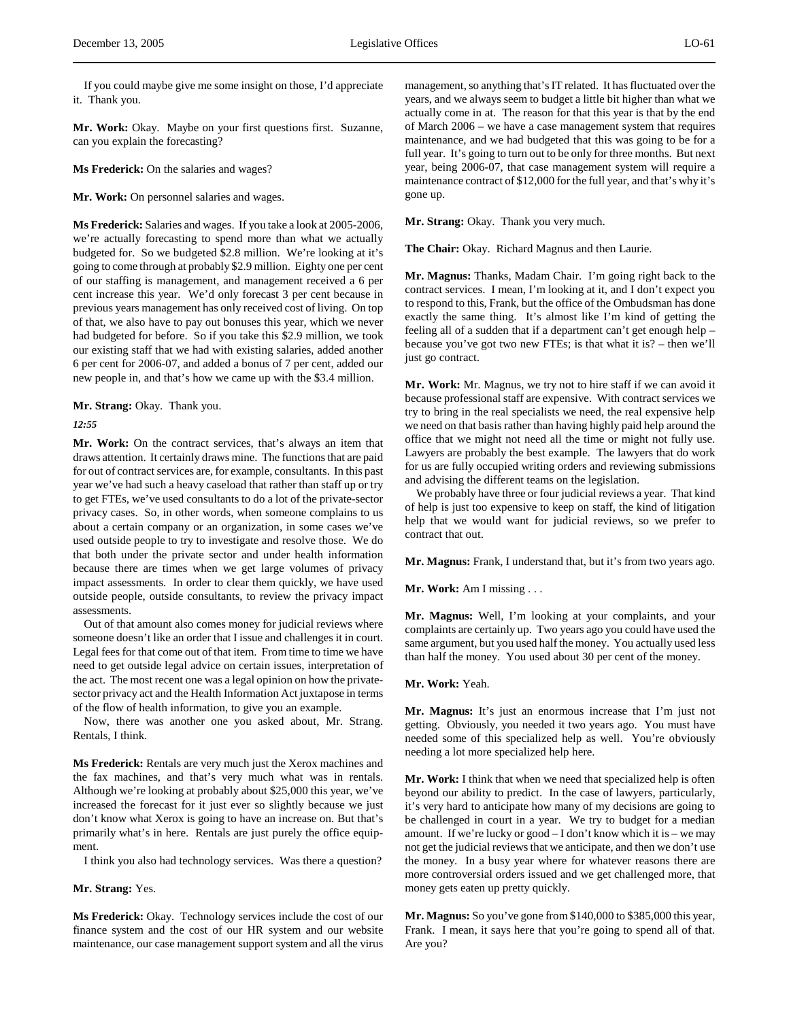If you could maybe give me some insight on those, I'd appreciate it. Thank you.

**Mr. Work:** Okay. Maybe on your first questions first. Suzanne, can you explain the forecasting?

**Ms Frederick:** On the salaries and wages?

**Mr. Work:** On personnel salaries and wages.

**Ms Frederick:** Salaries and wages. If you take a look at 2005-2006, we're actually forecasting to spend more than what we actually budgeted for. So we budgeted \$2.8 million. We're looking at it's going to come through at probably \$2.9 million. Eighty one per cent of our staffing is management, and management received a 6 per cent increase this year. We'd only forecast 3 per cent because in previous years management has only received cost of living. On top of that, we also have to pay out bonuses this year, which we never had budgeted for before. So if you take this \$2.9 million, we took our existing staff that we had with existing salaries, added another 6 per cent for 2006-07, and added a bonus of 7 per cent, added our new people in, and that's how we came up with the \$3.4 million.

**Mr. Strang:** Okay. Thank you.

*12:55*

**Mr. Work:** On the contract services, that's always an item that draws attention. It certainly draws mine. The functions that are paid for out of contract services are, for example, consultants. In this past year we've had such a heavy caseload that rather than staff up or try to get FTEs, we've used consultants to do a lot of the private-sector privacy cases. So, in other words, when someone complains to us about a certain company or an organization, in some cases we've used outside people to try to investigate and resolve those. We do that both under the private sector and under health information because there are times when we get large volumes of privacy impact assessments. In order to clear them quickly, we have used outside people, outside consultants, to review the privacy impact assessments.

Out of that amount also comes money for judicial reviews where someone doesn't like an order that I issue and challenges it in court. Legal fees for that come out of that item. From time to time we have need to get outside legal advice on certain issues, interpretation of the act. The most recent one was a legal opinion on how the privatesector privacy act and the Health Information Act juxtapose in terms of the flow of health information, to give you an example.

Now, there was another one you asked about, Mr. Strang. Rentals, I think.

**Ms Frederick:** Rentals are very much just the Xerox machines and the fax machines, and that's very much what was in rentals. Although we're looking at probably about \$25,000 this year, we've increased the forecast for it just ever so slightly because we just don't know what Xerox is going to have an increase on. But that's primarily what's in here. Rentals are just purely the office equipment.

I think you also had technology services. Was there a question?

#### **Mr. Strang:** Yes.

**Ms Frederick:** Okay. Technology services include the cost of our finance system and the cost of our HR system and our website maintenance, our case management support system and all the virus management, so anything that's IT related. It has fluctuated over the years, and we always seem to budget a little bit higher than what we actually come in at. The reason for that this year is that by the end of March 2006 – we have a case management system that requires maintenance, and we had budgeted that this was going to be for a full year. It's going to turn out to be only for three months. But next year, being 2006-07, that case management system will require a maintenance contract of \$12,000 for the full year, and that's why it's gone up.

**Mr. Strang:** Okay. Thank you very much.

**The Chair:** Okay. Richard Magnus and then Laurie.

**Mr. Magnus:** Thanks, Madam Chair. I'm going right back to the contract services. I mean, I'm looking at it, and I don't expect you to respond to this, Frank, but the office of the Ombudsman has done exactly the same thing. It's almost like I'm kind of getting the feeling all of a sudden that if a department can't get enough help – because you've got two new FTEs; is that what it is? – then we'll just go contract.

**Mr. Work:** Mr. Magnus, we try not to hire staff if we can avoid it because professional staff are expensive. With contract services we try to bring in the real specialists we need, the real expensive help we need on that basis rather than having highly paid help around the office that we might not need all the time or might not fully use. Lawyers are probably the best example. The lawyers that do work for us are fully occupied writing orders and reviewing submissions and advising the different teams on the legislation.

We probably have three or four judicial reviews a year. That kind of help is just too expensive to keep on staff, the kind of litigation help that we would want for judicial reviews, so we prefer to contract that out.

**Mr. Magnus:** Frank, I understand that, but it's from two years ago.

**Mr. Work:** Am I missing . . .

**Mr. Magnus:** Well, I'm looking at your complaints, and your complaints are certainly up. Two years ago you could have used the same argument, but you used half the money. You actually used less than half the money. You used about 30 per cent of the money.

#### **Mr. Work:** Yeah.

**Mr. Magnus:** It's just an enormous increase that I'm just not getting. Obviously, you needed it two years ago. You must have needed some of this specialized help as well. You're obviously needing a lot more specialized help here.

**Mr. Work:** I think that when we need that specialized help is often beyond our ability to predict. In the case of lawyers, particularly, it's very hard to anticipate how many of my decisions are going to be challenged in court in a year. We try to budget for a median amount. If we're lucky or good – I don't know which it is – we may not get the judicial reviews that we anticipate, and then we don't use the money. In a busy year where for whatever reasons there are more controversial orders issued and we get challenged more, that money gets eaten up pretty quickly.

**Mr. Magnus:** So you've gone from \$140,000 to \$385,000 this year, Frank. I mean, it says here that you're going to spend all of that. Are you?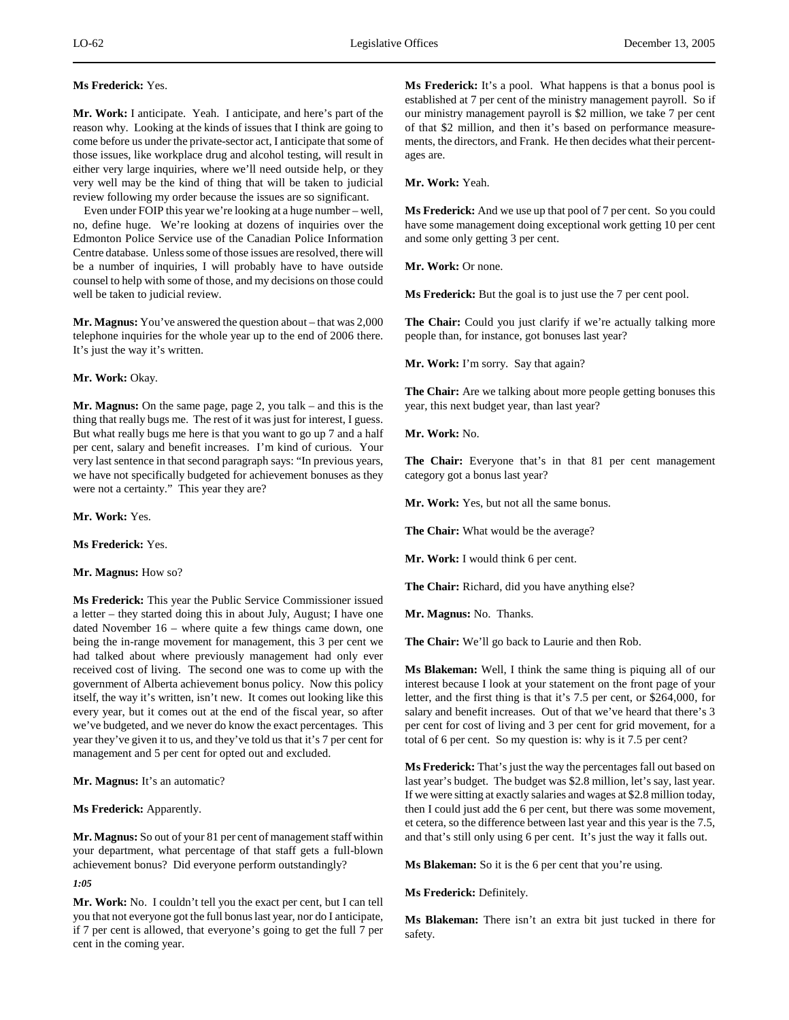# **Ms Frederick:** Yes.

**Mr. Work:** I anticipate. Yeah. I anticipate, and here's part of the reason why. Looking at the kinds of issues that I think are going to come before us under the private-sector act, I anticipate that some of those issues, like workplace drug and alcohol testing, will result in either very large inquiries, where we'll need outside help, or they very well may be the kind of thing that will be taken to judicial review following my order because the issues are so significant.

Even under FOIP this year we're looking at a huge number – well, no, define huge. We're looking at dozens of inquiries over the Edmonton Police Service use of the Canadian Police Information Centre database. Unless some of those issues are resolved, there will be a number of inquiries, I will probably have to have outside counsel to help with some of those, and my decisions on those could well be taken to judicial review.

**Mr. Magnus:** You've answered the question about – that was 2,000 telephone inquiries for the whole year up to the end of 2006 there. It's just the way it's written.

# **Mr. Work:** Okay.

**Mr. Magnus:** On the same page, page 2, you talk – and this is the thing that really bugs me. The rest of it was just for interest, I guess. But what really bugs me here is that you want to go up 7 and a half per cent, salary and benefit increases. I'm kind of curious. Your very last sentence in that second paragraph says: "In previous years, we have not specifically budgeted for achievement bonuses as they were not a certainty." This year they are?

**Mr. Work:** Yes.

**Ms Frederick:** Yes.

#### **Mr. Magnus:** How so?

**Ms Frederick:** This year the Public Service Commissioner issued a letter – they started doing this in about July, August; I have one dated November 16 – where quite a few things came down, one being the in-range movement for management, this 3 per cent we had talked about where previously management had only ever received cost of living. The second one was to come up with the government of Alberta achievement bonus policy. Now this policy itself, the way it's written, isn't new. It comes out looking like this every year, but it comes out at the end of the fiscal year, so after we've budgeted, and we never do know the exact percentages. This year they've given it to us, and they've told us that it's 7 per cent for management and 5 per cent for opted out and excluded.

**Mr. Magnus:** It's an automatic?

**Ms Frederick:** Apparently.

**Mr. Magnus:** So out of your 81 per cent of management staff within your department, what percentage of that staff gets a full-blown achievement bonus? Did everyone perform outstandingly?

*1:05*

**Mr. Work:** No. I couldn't tell you the exact per cent, but I can tell you that not everyone got the full bonus last year, nor do I anticipate, if 7 per cent is allowed, that everyone's going to get the full 7 per cent in the coming year.

**Ms Frederick:** It's a pool. What happens is that a bonus pool is established at 7 per cent of the ministry management payroll. So if our ministry management payroll is \$2 million, we take 7 per cent of that \$2 million, and then it's based on performance measurements, the directors, and Frank. He then decides what their percentages are.

**Mr. Work:** Yeah.

**Ms Frederick:** And we use up that pool of 7 per cent. So you could have some management doing exceptional work getting 10 per cent and some only getting 3 per cent.

**Mr. Work:** Or none.

**Ms Frederick:** But the goal is to just use the 7 per cent pool.

**The Chair:** Could you just clarify if we're actually talking more people than, for instance, got bonuses last year?

**Mr. Work:** I'm sorry. Say that again?

**The Chair:** Are we talking about more people getting bonuses this year, this next budget year, than last year?

**Mr. Work:** No.

**The Chair:** Everyone that's in that 81 per cent management category got a bonus last year?

**Mr. Work:** Yes, but not all the same bonus.

**The Chair:** What would be the average?

**Mr. Work:** I would think 6 per cent.

**The Chair:** Richard, did you have anything else?

**Mr. Magnus:** No. Thanks.

**The Chair:** We'll go back to Laurie and then Rob.

**Ms Blakeman:** Well, I think the same thing is piquing all of our interest because I look at your statement on the front page of your letter, and the first thing is that it's 7.5 per cent, or \$264,000, for salary and benefit increases. Out of that we've heard that there's 3 per cent for cost of living and 3 per cent for grid movement, for a total of 6 per cent. So my question is: why is it 7.5 per cent?

**Ms Frederick:** That's just the way the percentages fall out based on last year's budget. The budget was \$2.8 million, let's say, last year. If we were sitting at exactly salaries and wages at \$2.8 million today, then I could just add the 6 per cent, but there was some movement, et cetera, so the difference between last year and this year is the 7.5, and that's still only using 6 per cent. It's just the way it falls out.

**Ms Blakeman:** So it is the 6 per cent that you're using.

**Ms Frederick:** Definitely.

**Ms Blakeman:** There isn't an extra bit just tucked in there for safety.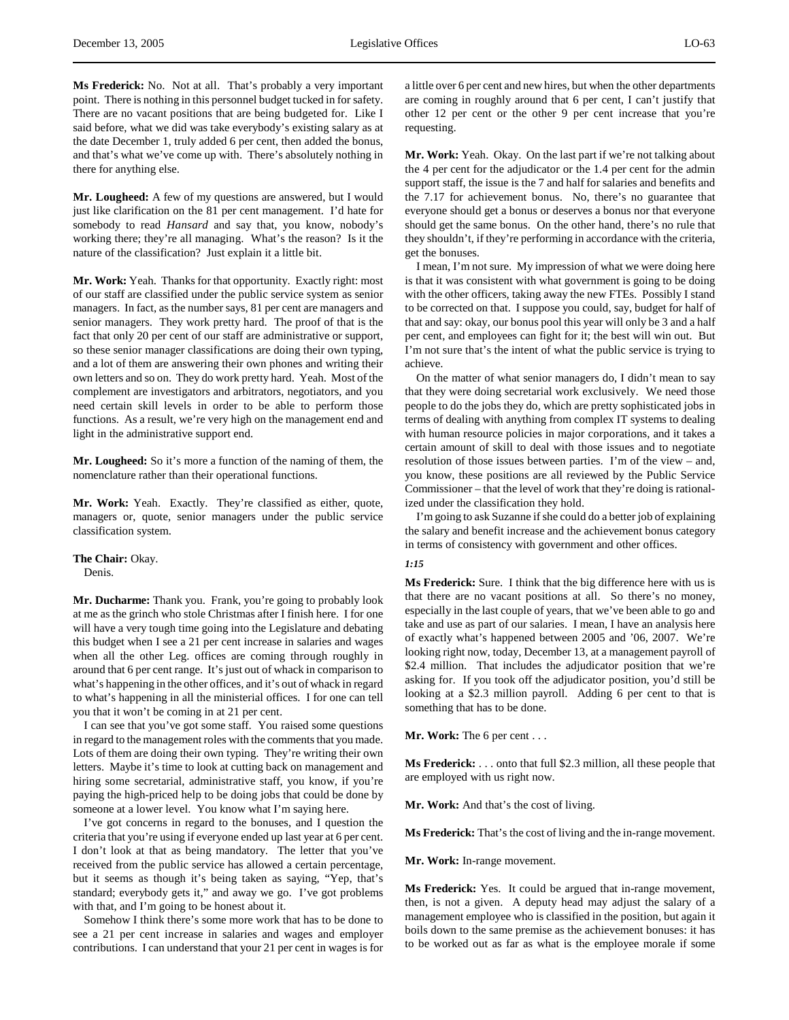**Mr. Lougheed:** A few of my questions are answered, but I would just like clarification on the 81 per cent management. I'd hate for somebody to read *Hansard* and say that, you know, nobody's working there; they're all managing. What's the reason? Is it the nature of the classification? Just explain it a little bit.

**Mr. Work:** Yeah. Thanks for that opportunity. Exactly right: most of our staff are classified under the public service system as senior managers. In fact, as the number says, 81 per cent are managers and senior managers. They work pretty hard. The proof of that is the fact that only 20 per cent of our staff are administrative or support, so these senior manager classifications are doing their own typing, and a lot of them are answering their own phones and writing their own letters and so on. They do work pretty hard. Yeah. Most of the complement are investigators and arbitrators, negotiators, and you need certain skill levels in order to be able to perform those functions. As a result, we're very high on the management end and light in the administrative support end.

**Mr. Lougheed:** So it's more a function of the naming of them, the nomenclature rather than their operational functions.

**Mr. Work:** Yeah. Exactly. They're classified as either, quote, managers or, quote, senior managers under the public service classification system.

**The Chair:** Okay.

Denis.

**Mr. Ducharme:** Thank you. Frank, you're going to probably look at me as the grinch who stole Christmas after I finish here. I for one will have a very tough time going into the Legislature and debating this budget when I see a 21 per cent increase in salaries and wages when all the other Leg. offices are coming through roughly in around that 6 per cent range. It's just out of whack in comparison to what's happening in the other offices, and it's out of whack in regard to what's happening in all the ministerial offices. I for one can tell you that it won't be coming in at 21 per cent.

I can see that you've got some staff. You raised some questions in regard to the management roles with the comments that you made. Lots of them are doing their own typing. They're writing their own letters. Maybe it's time to look at cutting back on management and hiring some secretarial, administrative staff, you know, if you're paying the high-priced help to be doing jobs that could be done by someone at a lower level. You know what I'm saying here.

I've got concerns in regard to the bonuses, and I question the criteria that you're using if everyone ended up last year at 6 per cent. I don't look at that as being mandatory. The letter that you've received from the public service has allowed a certain percentage, but it seems as though it's being taken as saying, "Yep, that's standard; everybody gets it," and away we go. I've got problems with that, and I'm going to be honest about it.

Somehow I think there's some more work that has to be done to see a 21 per cent increase in salaries and wages and employer contributions. I can understand that your 21 per cent in wages is for a little over 6 per cent and new hires, but when the other departments are coming in roughly around that 6 per cent, I can't justify that other 12 per cent or the other 9 per cent increase that you're requesting.

**Mr. Work:** Yeah. Okay. On the last part if we're not talking about the 4 per cent for the adjudicator or the 1.4 per cent for the admin support staff, the issue is the 7 and half for salaries and benefits and the 7.17 for achievement bonus. No, there's no guarantee that everyone should get a bonus or deserves a bonus nor that everyone should get the same bonus. On the other hand, there's no rule that they shouldn't, if they're performing in accordance with the criteria, get the bonuses.

I mean, I'm not sure. My impression of what we were doing here is that it was consistent with what government is going to be doing with the other officers, taking away the new FTEs. Possibly I stand to be corrected on that. I suppose you could, say, budget for half of that and say: okay, our bonus pool this year will only be 3 and a half per cent, and employees can fight for it; the best will win out. But I'm not sure that's the intent of what the public service is trying to achieve.

On the matter of what senior managers do, I didn't mean to say that they were doing secretarial work exclusively. We need those people to do the jobs they do, which are pretty sophisticated jobs in terms of dealing with anything from complex IT systems to dealing with human resource policies in major corporations, and it takes a certain amount of skill to deal with those issues and to negotiate resolution of those issues between parties. I'm of the view – and, you know, these positions are all reviewed by the Public Service Commissioner – that the level of work that they're doing is rationalized under the classification they hold.

I'm going to ask Suzanne if she could do a better job of explaining the salary and benefit increase and the achievement bonus category in terms of consistency with government and other offices.

# *1:15*

**Ms Frederick:** Sure. I think that the big difference here with us is that there are no vacant positions at all. So there's no money, especially in the last couple of years, that we've been able to go and take and use as part of our salaries. I mean, I have an analysis here of exactly what's happened between 2005 and '06, 2007. We're looking right now, today, December 13, at a management payroll of \$2.4 million. That includes the adjudicator position that we're asking for. If you took off the adjudicator position, you'd still be looking at a \$2.3 million payroll. Adding 6 per cent to that is something that has to be done.

**Mr. Work:** The 6 per cent . . .

**Ms Frederick:** . . . onto that full \$2.3 million, all these people that are employed with us right now.

**Mr. Work:** And that's the cost of living.

**Ms Frederick:** That's the cost of living and the in-range movement.

**Mr. Work:** In-range movement.

**Ms Frederick:** Yes. It could be argued that in-range movement, then, is not a given. A deputy head may adjust the salary of a management employee who is classified in the position, but again it boils down to the same premise as the achievement bonuses: it has to be worked out as far as what is the employee morale if some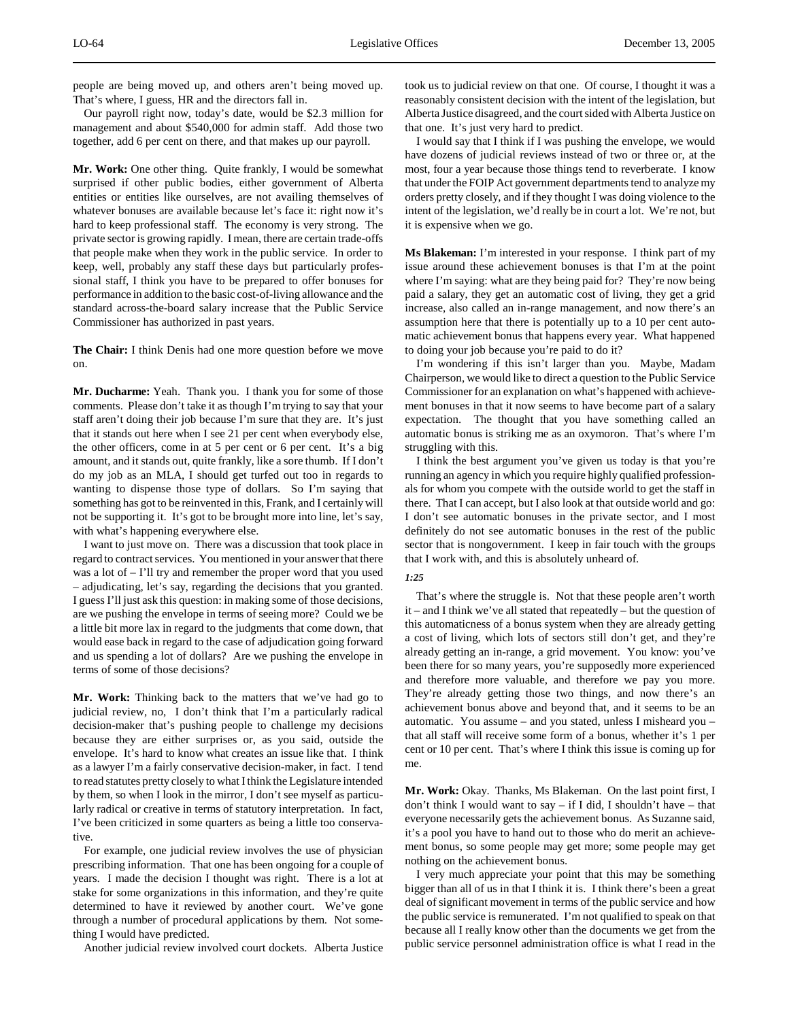people are being moved up, and others aren't being moved up. That's where, I guess, HR and the directors fall in.

Our payroll right now, today's date, would be \$2.3 million for management and about \$540,000 for admin staff. Add those two together, add 6 per cent on there, and that makes up our payroll.

**Mr. Work:** One other thing. Quite frankly, I would be somewhat surprised if other public bodies, either government of Alberta entities or entities like ourselves, are not availing themselves of whatever bonuses are available because let's face it: right now it's hard to keep professional staff. The economy is very strong. The private sector is growing rapidly. I mean, there are certain trade-offs that people make when they work in the public service. In order to keep, well, probably any staff these days but particularly professional staff, I think you have to be prepared to offer bonuses for performance in addition to the basic cost-of-living allowance and the standard across-the-board salary increase that the Public Service Commissioner has authorized in past years.

**The Chair:** I think Denis had one more question before we move on.

**Mr. Ducharme:** Yeah. Thank you. I thank you for some of those comments. Please don't take it as though I'm trying to say that your staff aren't doing their job because I'm sure that they are. It's just that it stands out here when I see 21 per cent when everybody else, the other officers, come in at 5 per cent or 6 per cent. It's a big amount, and it stands out, quite frankly, like a sore thumb. If I don't do my job as an MLA, I should get turfed out too in regards to wanting to dispense those type of dollars. So I'm saying that something has got to be reinvented in this, Frank, and I certainly will not be supporting it. It's got to be brought more into line, let's say, with what's happening everywhere else.

I want to just move on. There was a discussion that took place in regard to contract services. You mentioned in your answer that there was a lot of – I'll try and remember the proper word that you used – adjudicating, let's say, regarding the decisions that you granted. I guess I'll just ask this question: in making some of those decisions, are we pushing the envelope in terms of seeing more? Could we be a little bit more lax in regard to the judgments that come down, that would ease back in regard to the case of adjudication going forward and us spending a lot of dollars? Are we pushing the envelope in terms of some of those decisions?

**Mr. Work:** Thinking back to the matters that we've had go to judicial review, no, I don't think that I'm a particularly radical decision-maker that's pushing people to challenge my decisions because they are either surprises or, as you said, outside the envelope. It's hard to know what creates an issue like that. I think as a lawyer I'm a fairly conservative decision-maker, in fact. I tend to read statutes pretty closely to what I think the Legislature intended by them, so when I look in the mirror, I don't see myself as particularly radical or creative in terms of statutory interpretation. In fact, I've been criticized in some quarters as being a little too conservative.

For example, one judicial review involves the use of physician prescribing information. That one has been ongoing for a couple of years. I made the decision I thought was right. There is a lot at stake for some organizations in this information, and they're quite determined to have it reviewed by another court. We've gone through a number of procedural applications by them. Not something I would have predicted.

Another judicial review involved court dockets. Alberta Justice

took us to judicial review on that one. Of course, I thought it was a reasonably consistent decision with the intent of the legislation, but Alberta Justice disagreed, and the court sided with Alberta Justice on that one. It's just very hard to predict.

I would say that I think if I was pushing the envelope, we would have dozens of judicial reviews instead of two or three or, at the most, four a year because those things tend to reverberate. I know that under the FOIP Act government departments tend to analyze my orders pretty closely, and if they thought I was doing violence to the intent of the legislation, we'd really be in court a lot. We're not, but it is expensive when we go.

**Ms Blakeman:** I'm interested in your response. I think part of my issue around these achievement bonuses is that I'm at the point where I'm saying: what are they being paid for? They're now being paid a salary, they get an automatic cost of living, they get a grid increase, also called an in-range management, and now there's an assumption here that there is potentially up to a 10 per cent automatic achievement bonus that happens every year. What happened to doing your job because you're paid to do it?

I'm wondering if this isn't larger than you. Maybe, Madam Chairperson, we would like to direct a question to the Public Service Commissioner for an explanation on what's happened with achievement bonuses in that it now seems to have become part of a salary expectation. The thought that you have something called an automatic bonus is striking me as an oxymoron. That's where I'm struggling with this.

I think the best argument you've given us today is that you're running an agency in which you require highly qualified professionals for whom you compete with the outside world to get the staff in there. That I can accept, but I also look at that outside world and go: I don't see automatic bonuses in the private sector, and I most definitely do not see automatic bonuses in the rest of the public sector that is nongovernment. I keep in fair touch with the groups that I work with, and this is absolutely unheard of.

#### *1:25*

That's where the struggle is. Not that these people aren't worth it – and I think we've all stated that repeatedly – but the question of this automaticness of a bonus system when they are already getting a cost of living, which lots of sectors still don't get, and they're already getting an in-range, a grid movement. You know: you've been there for so many years, you're supposedly more experienced and therefore more valuable, and therefore we pay you more. They're already getting those two things, and now there's an achievement bonus above and beyond that, and it seems to be an automatic. You assume – and you stated, unless I misheard you – that all staff will receive some form of a bonus, whether it's 1 per cent or 10 per cent. That's where I think this issue is coming up for me.

**Mr. Work:** Okay. Thanks, Ms Blakeman. On the last point first, I don't think I would want to say – if I did, I shouldn't have – that everyone necessarily gets the achievement bonus. As Suzanne said, it's a pool you have to hand out to those who do merit an achievement bonus, so some people may get more; some people may get nothing on the achievement bonus.

I very much appreciate your point that this may be something bigger than all of us in that I think it is. I think there's been a great deal of significant movement in terms of the public service and how the public service is remunerated. I'm not qualified to speak on that because all I really know other than the documents we get from the public service personnel administration office is what I read in the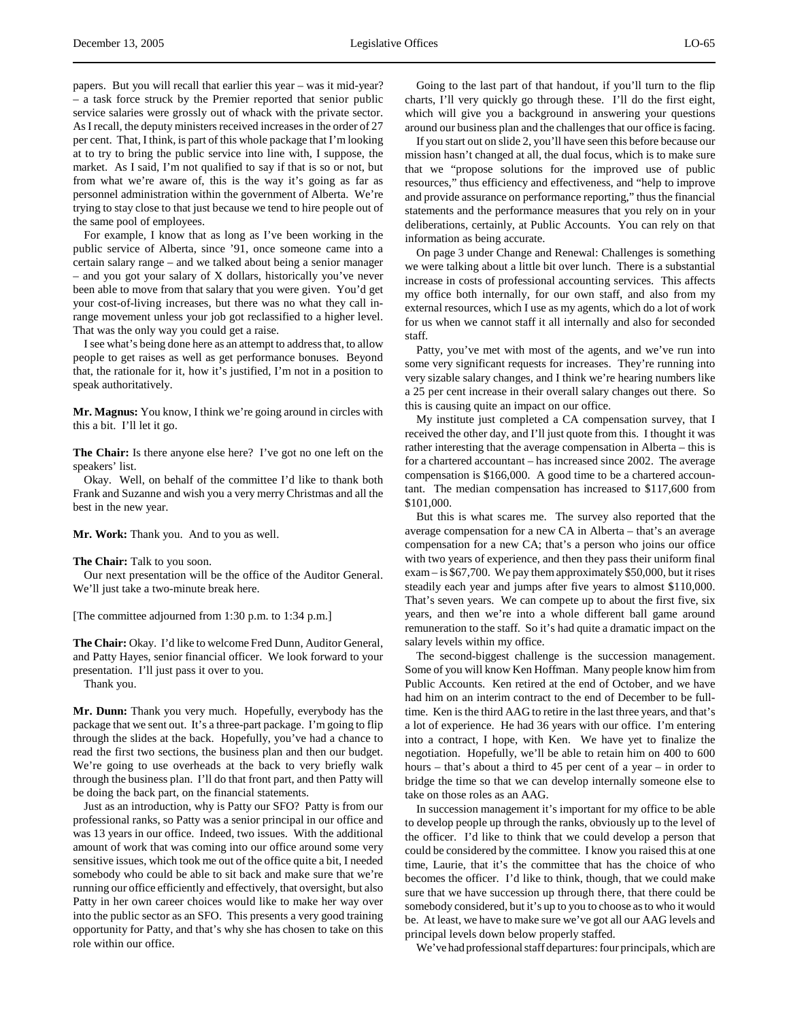papers. But you will recall that earlier this year – was it mid-year? – a task force struck by the Premier reported that senior public service salaries were grossly out of whack with the private sector. As I recall, the deputy ministers received increases in the order of 27 per cent. That, I think, is part of this whole package that I'm looking at to try to bring the public service into line with, I suppose, the market. As I said, I'm not qualified to say if that is so or not, but from what we're aware of, this is the way it's going as far as personnel administration within the government of Alberta. We're trying to stay close to that just because we tend to hire people out of the same pool of employees.

For example, I know that as long as I've been working in the public service of Alberta, since '91, once someone came into a certain salary range – and we talked about being a senior manager – and you got your salary of X dollars, historically you've never been able to move from that salary that you were given. You'd get your cost-of-living increases, but there was no what they call inrange movement unless your job got reclassified to a higher level. That was the only way you could get a raise.

I see what's being done here as an attempt to address that, to allow people to get raises as well as get performance bonuses. Beyond that, the rationale for it, how it's justified, I'm not in a position to speak authoritatively.

**Mr. Magnus:** You know, I think we're going around in circles with this a bit. I'll let it go.

**The Chair:** Is there anyone else here? I've got no one left on the speakers' list.

Okay. Well, on behalf of the committee I'd like to thank both Frank and Suzanne and wish you a very merry Christmas and all the best in the new year.

**Mr. Work:** Thank you. And to you as well.

**The Chair:** Talk to you soon.

Our next presentation will be the office of the Auditor General. We'll just take a two-minute break here.

[The committee adjourned from 1:30 p.m. to 1:34 p.m.]

**The Chair:** Okay. I'd like to welcome Fred Dunn, Auditor General, and Patty Hayes, senior financial officer. We look forward to your presentation. I'll just pass it over to you.

Thank you.

**Mr. Dunn:** Thank you very much. Hopefully, everybody has the package that we sent out. It's a three-part package. I'm going to flip through the slides at the back. Hopefully, you've had a chance to read the first two sections, the business plan and then our budget. We're going to use overheads at the back to very briefly walk through the business plan. I'll do that front part, and then Patty will be doing the back part, on the financial statements.

Just as an introduction, why is Patty our SFO? Patty is from our professional ranks, so Patty was a senior principal in our office and was 13 years in our office. Indeed, two issues. With the additional amount of work that was coming into our office around some very sensitive issues, which took me out of the office quite a bit, I needed somebody who could be able to sit back and make sure that we're running our office efficiently and effectively, that oversight, but also Patty in her own career choices would like to make her way over into the public sector as an SFO. This presents a very good training opportunity for Patty, and that's why she has chosen to take on this role within our office.

Going to the last part of that handout, if you'll turn to the flip charts, I'll very quickly go through these. I'll do the first eight, which will give you a background in answering your questions around our business plan and the challenges that our office is facing.

If you start out on slide 2, you'll have seen this before because our mission hasn't changed at all, the dual focus, which is to make sure that we "propose solutions for the improved use of public resources," thus efficiency and effectiveness, and "help to improve and provide assurance on performance reporting," thus the financial statements and the performance measures that you rely on in your deliberations, certainly, at Public Accounts. You can rely on that information as being accurate.

On page 3 under Change and Renewal: Challenges is something we were talking about a little bit over lunch. There is a substantial increase in costs of professional accounting services. This affects my office both internally, for our own staff, and also from my external resources, which I use as my agents, which do a lot of work for us when we cannot staff it all internally and also for seconded staff.

Patty, you've met with most of the agents, and we've run into some very significant requests for increases. They're running into very sizable salary changes, and I think we're hearing numbers like a 25 per cent increase in their overall salary changes out there. So this is causing quite an impact on our office.

My institute just completed a CA compensation survey, that I received the other day, and I'll just quote from this. I thought it was rather interesting that the average compensation in Alberta – this is for a chartered accountant – has increased since 2002. The average compensation is \$166,000. A good time to be a chartered accountant. The median compensation has increased to \$117,600 from \$101,000.

But this is what scares me. The survey also reported that the average compensation for a new CA in Alberta – that's an average compensation for a new CA; that's a person who joins our office with two years of experience, and then they pass their uniform final exam – is \$67,700. We pay them approximately \$50,000, but it rises steadily each year and jumps after five years to almost \$110,000. That's seven years. We can compete up to about the first five, six years, and then we're into a whole different ball game around remuneration to the staff. So it's had quite a dramatic impact on the salary levels within my office.

The second-biggest challenge is the succession management. Some of you will know Ken Hoffman. Many people know him from Public Accounts. Ken retired at the end of October, and we have had him on an interim contract to the end of December to be fulltime. Ken is the third AAG to retire in the last three years, and that's a lot of experience. He had 36 years with our office. I'm entering into a contract, I hope, with Ken. We have yet to finalize the negotiation. Hopefully, we'll be able to retain him on 400 to 600 hours – that's about a third to 45 per cent of a year – in order to bridge the time so that we can develop internally someone else to take on those roles as an AAG.

In succession management it's important for my office to be able to develop people up through the ranks, obviously up to the level of the officer. I'd like to think that we could develop a person that could be considered by the committee. I know you raised this at one time, Laurie, that it's the committee that has the choice of who becomes the officer. I'd like to think, though, that we could make sure that we have succession up through there, that there could be somebody considered, but it's up to you to choose as to who it would be. At least, we have to make sure we've got all our AAG levels and principal levels down below properly staffed.

We've had professional staff departures: four principals, which are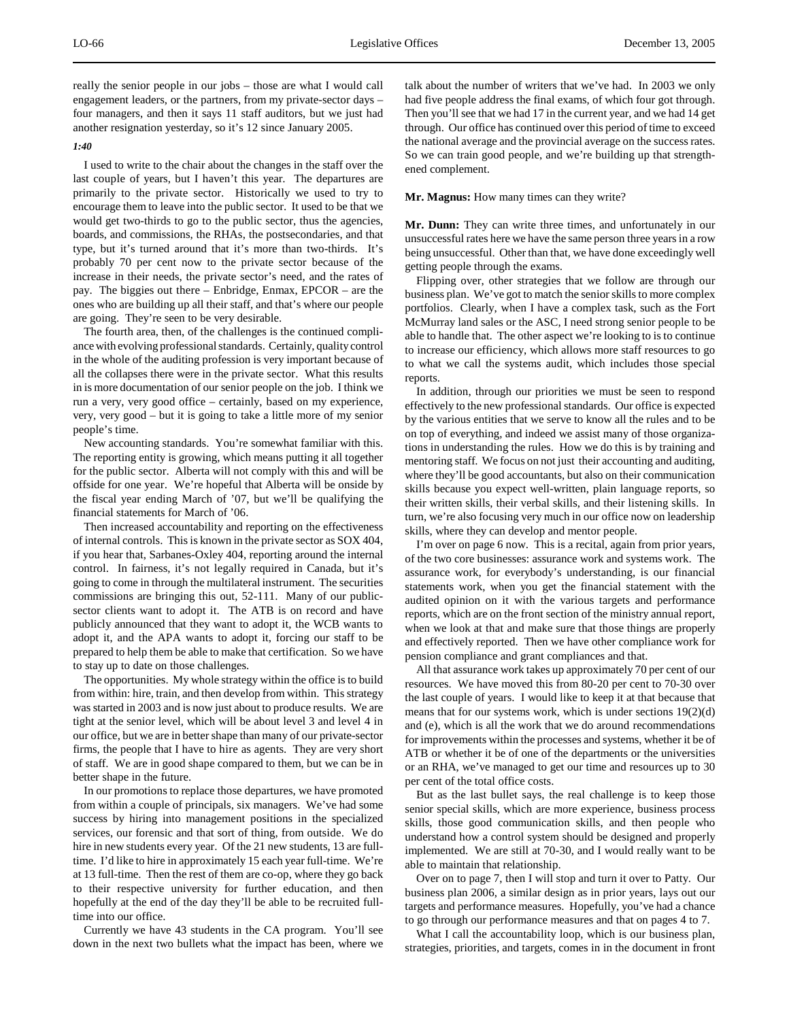really the senior people in our jobs – those are what I would call engagement leaders, or the partners, from my private-sector days – four managers, and then it says 11 staff auditors, but we just had another resignation yesterday, so it's 12 since January 2005.

#### *1:40*

I used to write to the chair about the changes in the staff over the last couple of years, but I haven't this year. The departures are primarily to the private sector. Historically we used to try to encourage them to leave into the public sector. It used to be that we would get two-thirds to go to the public sector, thus the agencies, boards, and commissions, the RHAs, the postsecondaries, and that type, but it's turned around that it's more than two-thirds. It's probably 70 per cent now to the private sector because of the increase in their needs, the private sector's need, and the rates of pay. The biggies out there – Enbridge, Enmax, EPCOR – are the ones who are building up all their staff, and that's where our people are going. They're seen to be very desirable.

The fourth area, then, of the challenges is the continued compliance with evolving professional standards. Certainly, quality control in the whole of the auditing profession is very important because of all the collapses there were in the private sector. What this results in is more documentation of our senior people on the job. I think we run a very, very good office – certainly, based on my experience, very, very good – but it is going to take a little more of my senior people's time.

New accounting standards. You're somewhat familiar with this. The reporting entity is growing, which means putting it all together for the public sector. Alberta will not comply with this and will be offside for one year. We're hopeful that Alberta will be onside by the fiscal year ending March of '07, but we'll be qualifying the financial statements for March of '06.

Then increased accountability and reporting on the effectiveness of internal controls. This is known in the private sector as SOX 404, if you hear that, Sarbanes-Oxley 404, reporting around the internal control. In fairness, it's not legally required in Canada, but it's going to come in through the multilateral instrument. The securities commissions are bringing this out, 52-111. Many of our publicsector clients want to adopt it. The ATB is on record and have publicly announced that they want to adopt it, the WCB wants to adopt it, and the APA wants to adopt it, forcing our staff to be prepared to help them be able to make that certification. So we have to stay up to date on those challenges.

The opportunities. My whole strategy within the office is to build from within: hire, train, and then develop from within. This strategy was started in 2003 and is now just about to produce results. We are tight at the senior level, which will be about level 3 and level 4 in our office, but we are in better shape than many of our private-sector firms, the people that I have to hire as agents. They are very short of staff. We are in good shape compared to them, but we can be in better shape in the future.

In our promotions to replace those departures, we have promoted from within a couple of principals, six managers. We've had some success by hiring into management positions in the specialized services, our forensic and that sort of thing, from outside. We do hire in new students every year. Of the 21 new students, 13 are fulltime. I'd like to hire in approximately 15 each year full-time. We're at 13 full-time. Then the rest of them are co-op, where they go back to their respective university for further education, and then hopefully at the end of the day they'll be able to be recruited fulltime into our office.

Currently we have 43 students in the CA program. You'll see down in the next two bullets what the impact has been, where we talk about the number of writers that we've had. In 2003 we only had five people address the final exams, of which four got through. Then you'll see that we had 17 in the current year, and we had 14 get through. Our office has continued over this period of time to exceed the national average and the provincial average on the success rates. So we can train good people, and we're building up that strengthened complement.

#### **Mr. Magnus:** How many times can they write?

**Mr. Dunn:** They can write three times, and unfortunately in our unsuccessful rates here we have the same person three years in a row being unsuccessful. Other than that, we have done exceedingly well getting people through the exams.

Flipping over, other strategies that we follow are through our business plan. We've got to match the senior skills to more complex portfolios. Clearly, when I have a complex task, such as the Fort McMurray land sales or the ASC, I need strong senior people to be able to handle that. The other aspect we're looking to is to continue to increase our efficiency, which allows more staff resources to go to what we call the systems audit, which includes those special reports.

In addition, through our priorities we must be seen to respond effectively to the new professional standards. Our office is expected by the various entities that we serve to know all the rules and to be on top of everything, and indeed we assist many of those organizations in understanding the rules. How we do this is by training and mentoring staff. We focus on not just their accounting and auditing, where they'll be good accountants, but also on their communication skills because you expect well-written, plain language reports, so their written skills, their verbal skills, and their listening skills. In turn, we're also focusing very much in our office now on leadership skills, where they can develop and mentor people.

I'm over on page 6 now. This is a recital, again from prior years, of the two core businesses: assurance work and systems work. The assurance work, for everybody's understanding, is our financial statements work, when you get the financial statement with the audited opinion on it with the various targets and performance reports, which are on the front section of the ministry annual report, when we look at that and make sure that those things are properly and effectively reported. Then we have other compliance work for pension compliance and grant compliances and that.

All that assurance work takes up approximately 70 per cent of our resources. We have moved this from 80-20 per cent to 70-30 over the last couple of years. I would like to keep it at that because that means that for our systems work, which is under sections 19(2)(d) and (e), which is all the work that we do around recommendations for improvements within the processes and systems, whether it be of ATB or whether it be of one of the departments or the universities or an RHA, we've managed to get our time and resources up to 30 per cent of the total office costs.

But as the last bullet says, the real challenge is to keep those senior special skills, which are more experience, business process skills, those good communication skills, and then people who understand how a control system should be designed and properly implemented. We are still at 70-30, and I would really want to be able to maintain that relationship.

Over on to page 7, then I will stop and turn it over to Patty. Our business plan 2006, a similar design as in prior years, lays out our targets and performance measures. Hopefully, you've had a chance to go through our performance measures and that on pages 4 to 7.

What I call the accountability loop, which is our business plan, strategies, priorities, and targets, comes in in the document in front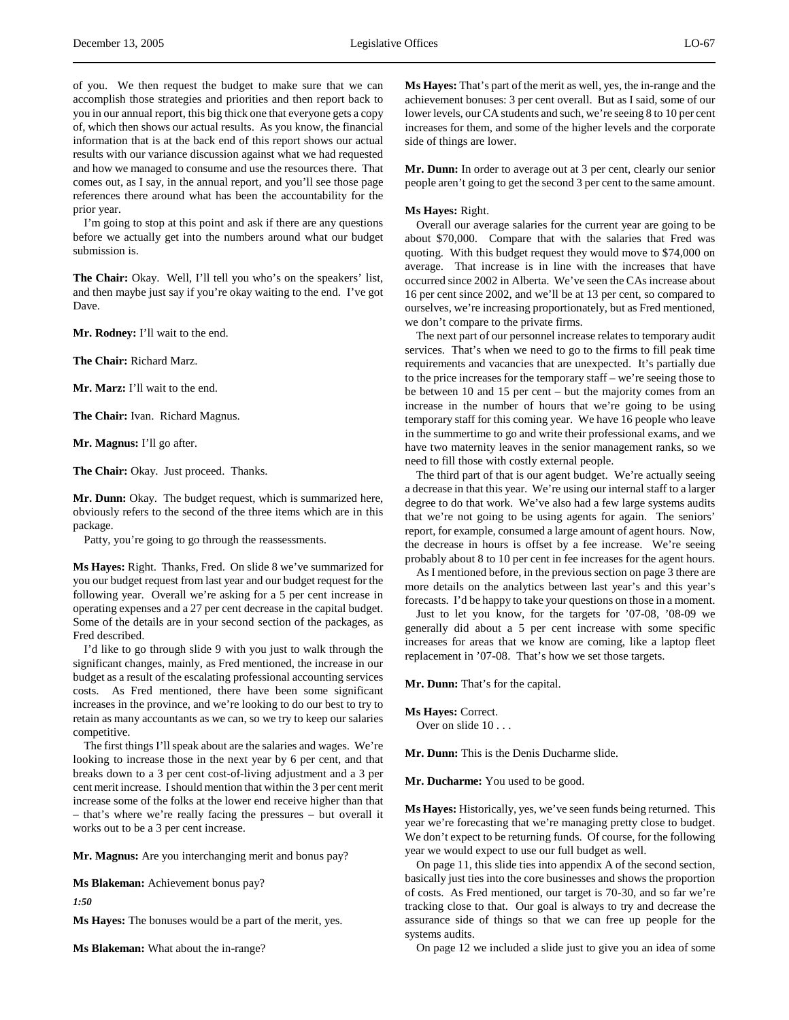of you. We then request the budget to make sure that we can accomplish those strategies and priorities and then report back to you in our annual report, this big thick one that everyone gets a copy of, which then shows our actual results. As you know, the financial information that is at the back end of this report shows our actual results with our variance discussion against what we had requested and how we managed to consume and use the resources there. That comes out, as I say, in the annual report, and you'll see those page references there around what has been the accountability for the prior year.

I'm going to stop at this point and ask if there are any questions before we actually get into the numbers around what our budget submission is.

**The Chair:** Okay. Well, I'll tell you who's on the speakers' list, and then maybe just say if you're okay waiting to the end. I've got Dave.

**Mr. Rodney:** I'll wait to the end.

**The Chair:** Richard Marz.

**Mr. Marz:** I'll wait to the end.

**The Chair:** Ivan. Richard Magnus.

**Mr. Magnus:** I'll go after.

**The Chair:** Okay. Just proceed. Thanks.

**Mr. Dunn:** Okay. The budget request, which is summarized here, obviously refers to the second of the three items which are in this package.

Patty, you're going to go through the reassessments.

**Ms Hayes:** Right. Thanks, Fred. On slide 8 we've summarized for you our budget request from last year and our budget request for the following year. Overall we're asking for a 5 per cent increase in operating expenses and a 27 per cent decrease in the capital budget. Some of the details are in your second section of the packages, as Fred described.

I'd like to go through slide 9 with you just to walk through the significant changes, mainly, as Fred mentioned, the increase in our budget as a result of the escalating professional accounting services costs. As Fred mentioned, there have been some significant increases in the province, and we're looking to do our best to try to retain as many accountants as we can, so we try to keep our salaries competitive.

The first things I'll speak about are the salaries and wages. We're looking to increase those in the next year by 6 per cent, and that breaks down to a 3 per cent cost-of-living adjustment and a 3 per cent merit increase. I should mention that within the 3 per cent merit increase some of the folks at the lower end receive higher than that – that's where we're really facing the pressures – but overall it works out to be a 3 per cent increase.

**Mr. Magnus:** Are you interchanging merit and bonus pay?

**Ms Blakeman:** Achievement bonus pay?

*1:50*

**Ms Hayes:** The bonuses would be a part of the merit, yes.

**Ms Blakeman:** What about the in-range?

**Ms Hayes:** That's part of the merit as well, yes, the in-range and the achievement bonuses: 3 per cent overall. But as I said, some of our lower levels, our CA students and such, we're seeing 8 to 10 per cent increases for them, and some of the higher levels and the corporate side of things are lower.

**Mr. Dunn:** In order to average out at 3 per cent, clearly our senior people aren't going to get the second 3 per cent to the same amount.

#### **Ms Hayes:** Right.

Overall our average salaries for the current year are going to be about \$70,000. Compare that with the salaries that Fred was quoting. With this budget request they would move to \$74,000 on average. That increase is in line with the increases that have occurred since 2002 in Alberta. We've seen the CAs increase about 16 per cent since 2002, and we'll be at 13 per cent, so compared to ourselves, we're increasing proportionately, but as Fred mentioned, we don't compare to the private firms.

The next part of our personnel increase relates to temporary audit services. That's when we need to go to the firms to fill peak time requirements and vacancies that are unexpected. It's partially due to the price increases for the temporary staff – we're seeing those to be between 10 and 15 per cent – but the majority comes from an increase in the number of hours that we're going to be using temporary staff for this coming year. We have 16 people who leave in the summertime to go and write their professional exams, and we have two maternity leaves in the senior management ranks, so we need to fill those with costly external people.

The third part of that is our agent budget. We're actually seeing a decrease in that this year. We're using our internal staff to a larger degree to do that work. We've also had a few large systems audits that we're not going to be using agents for again. The seniors' report, for example, consumed a large amount of agent hours. Now, the decrease in hours is offset by a fee increase. We're seeing probably about 8 to 10 per cent in fee increases for the agent hours.

As I mentioned before, in the previous section on page 3 there are more details on the analytics between last year's and this year's forecasts. I'd be happy to take your questions on those in a moment.

Just to let you know, for the targets for '07-08, '08-09 we generally did about a 5 per cent increase with some specific increases for areas that we know are coming, like a laptop fleet replacement in '07-08. That's how we set those targets.

**Mr. Dunn:** That's for the capital.

**Ms Hayes:** Correct.

Over on slide 10 . . .

**Mr. Dunn:** This is the Denis Ducharme slide.

**Mr. Ducharme:** You used to be good.

**Ms Hayes:** Historically, yes, we've seen funds being returned. This year we're forecasting that we're managing pretty close to budget. We don't expect to be returning funds. Of course, for the following year we would expect to use our full budget as well.

On page 11, this slide ties into appendix A of the second section, basically just ties into the core businesses and shows the proportion of costs. As Fred mentioned, our target is 70-30, and so far we're tracking close to that. Our goal is always to try and decrease the assurance side of things so that we can free up people for the systems audits.

On page 12 we included a slide just to give you an idea of some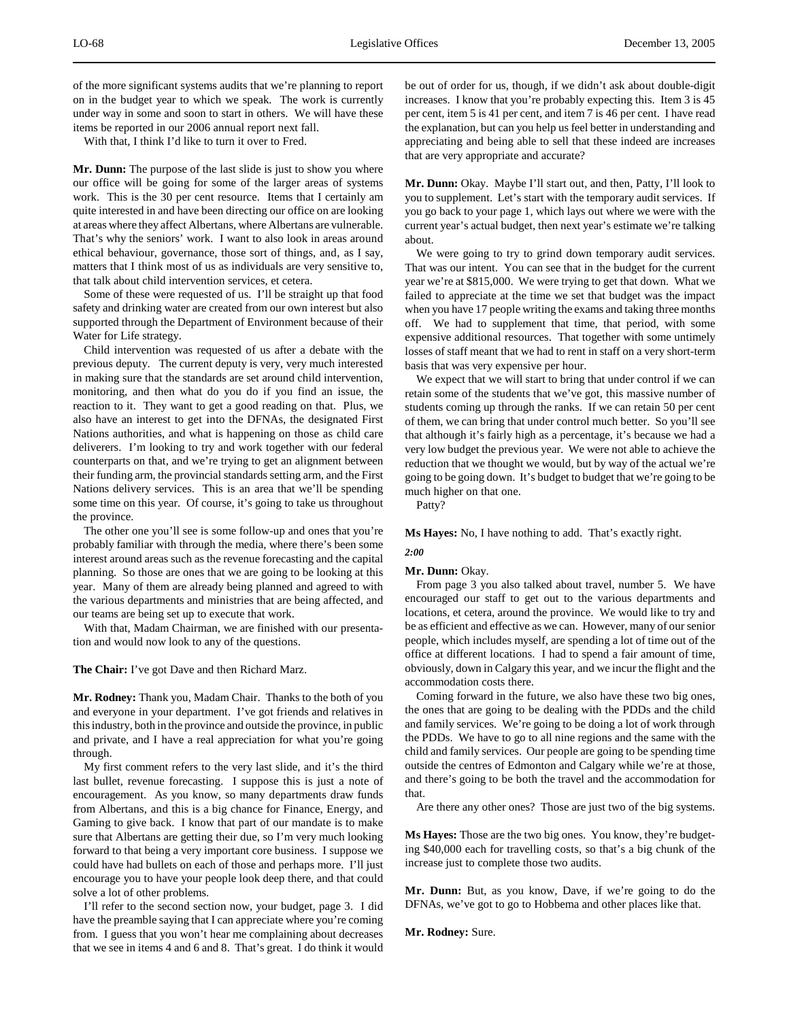of the more significant systems audits that we're planning to report on in the budget year to which we speak. The work is currently under way in some and soon to start in others. We will have these items be reported in our 2006 annual report next fall.

With that, I think I'd like to turn it over to Fred.

**Mr. Dunn:** The purpose of the last slide is just to show you where our office will be going for some of the larger areas of systems work. This is the 30 per cent resource. Items that I certainly am quite interested in and have been directing our office on are looking at areas where they affect Albertans, where Albertans are vulnerable. That's why the seniors' work. I want to also look in areas around ethical behaviour, governance, those sort of things, and, as I say, matters that I think most of us as individuals are very sensitive to, that talk about child intervention services, et cetera.

Some of these were requested of us. I'll be straight up that food safety and drinking water are created from our own interest but also supported through the Department of Environment because of their Water for Life strategy.

Child intervention was requested of us after a debate with the previous deputy. The current deputy is very, very much interested in making sure that the standards are set around child intervention, monitoring, and then what do you do if you find an issue, the reaction to it. They want to get a good reading on that. Plus, we also have an interest to get into the DFNAs, the designated First Nations authorities, and what is happening on those as child care deliverers. I'm looking to try and work together with our federal counterparts on that, and we're trying to get an alignment between their funding arm, the provincial standards setting arm, and the First Nations delivery services. This is an area that we'll be spending some time on this year. Of course, it's going to take us throughout the province.

The other one you'll see is some follow-up and ones that you're probably familiar with through the media, where there's been some interest around areas such as the revenue forecasting and the capital planning. So those are ones that we are going to be looking at this year. Many of them are already being planned and agreed to with the various departments and ministries that are being affected, and our teams are being set up to execute that work.

With that, Madam Chairman, we are finished with our presentation and would now look to any of the questions.

**The Chair:** I've got Dave and then Richard Marz.

**Mr. Rodney:** Thank you, Madam Chair. Thanks to the both of you and everyone in your department. I've got friends and relatives in this industry, both in the province and outside the province, in public and private, and I have a real appreciation for what you're going through.

My first comment refers to the very last slide, and it's the third last bullet, revenue forecasting. I suppose this is just a note of encouragement. As you know, so many departments draw funds from Albertans, and this is a big chance for Finance, Energy, and Gaming to give back. I know that part of our mandate is to make sure that Albertans are getting their due, so I'm very much looking forward to that being a very important core business. I suppose we could have had bullets on each of those and perhaps more. I'll just encourage you to have your people look deep there, and that could solve a lot of other problems.

I'll refer to the second section now, your budget, page 3. I did have the preamble saying that I can appreciate where you're coming from. I guess that you won't hear me complaining about decreases that we see in items 4 and 6 and 8. That's great. I do think it would

be out of order for us, though, if we didn't ask about double-digit increases. I know that you're probably expecting this. Item 3 is 45 per cent, item 5 is 41 per cent, and item 7 is 46 per cent. I have read the explanation, but can you help us feel better in understanding and appreciating and being able to sell that these indeed are increases that are very appropriate and accurate?

**Mr. Dunn:** Okay. Maybe I'll start out, and then, Patty, I'll look to you to supplement. Let's start with the temporary audit services. If you go back to your page 1, which lays out where we were with the current year's actual budget, then next year's estimate we're talking about.

We were going to try to grind down temporary audit services. That was our intent. You can see that in the budget for the current year we're at \$815,000. We were trying to get that down. What we failed to appreciate at the time we set that budget was the impact when you have 17 people writing the exams and taking three months off. We had to supplement that time, that period, with some expensive additional resources. That together with some untimely losses of staff meant that we had to rent in staff on a very short-term basis that was very expensive per hour.

We expect that we will start to bring that under control if we can retain some of the students that we've got, this massive number of students coming up through the ranks. If we can retain 50 per cent of them, we can bring that under control much better. So you'll see that although it's fairly high as a percentage, it's because we had a very low budget the previous year. We were not able to achieve the reduction that we thought we would, but by way of the actual we're going to be going down. It's budget to budget that we're going to be much higher on that one.

Patty?

*2:00*

**Ms Hayes:** No, I have nothing to add. That's exactly right.

# **Mr. Dunn:** Okay.

From page 3 you also talked about travel, number 5. We have encouraged our staff to get out to the various departments and locations, et cetera, around the province. We would like to try and be as efficient and effective as we can. However, many of our senior people, which includes myself, are spending a lot of time out of the office at different locations. I had to spend a fair amount of time, obviously, down in Calgary this year, and we incur the flight and the accommodation costs there.

Coming forward in the future, we also have these two big ones, the ones that are going to be dealing with the PDDs and the child and family services. We're going to be doing a lot of work through the PDDs. We have to go to all nine regions and the same with the child and family services. Our people are going to be spending time outside the centres of Edmonton and Calgary while we're at those, and there's going to be both the travel and the accommodation for that.

Are there any other ones? Those are just two of the big systems.

**Ms Hayes:** Those are the two big ones. You know, they're budgeting \$40,000 each for travelling costs, so that's a big chunk of the increase just to complete those two audits.

**Mr. Dunn:** But, as you know, Dave, if we're going to do the DFNAs, we've got to go to Hobbema and other places like that.

**Mr. Rodney:** Sure.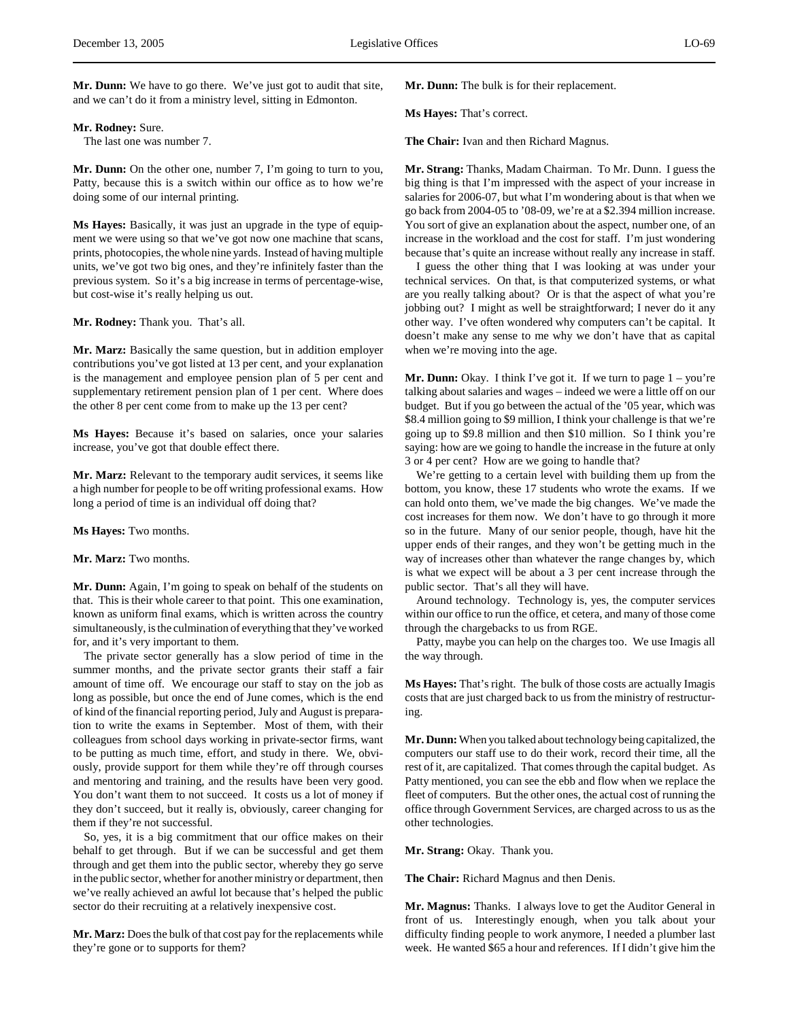#### **Mr. Rodney:** Sure.

The last one was number 7.

**Mr. Dunn:** On the other one, number 7, I'm going to turn to you, Patty, because this is a switch within our office as to how we're doing some of our internal printing.

**Ms Hayes:** Basically, it was just an upgrade in the type of equipment we were using so that we've got now one machine that scans, prints, photocopies, the whole nine yards. Instead of having multiple units, we've got two big ones, and they're infinitely faster than the previous system. So it's a big increase in terms of percentage-wise, but cost-wise it's really helping us out.

#### **Mr. Rodney:** Thank you. That's all.

**Mr. Marz:** Basically the same question, but in addition employer contributions you've got listed at 13 per cent, and your explanation is the management and employee pension plan of 5 per cent and supplementary retirement pension plan of 1 per cent. Where does the other 8 per cent come from to make up the 13 per cent?

**Ms Hayes:** Because it's based on salaries, once your salaries increase, you've got that double effect there.

**Mr. Marz:** Relevant to the temporary audit services, it seems like a high number for people to be off writing professional exams. How long a period of time is an individual off doing that?

**Ms Hayes:** Two months.

# **Mr. Marz:** Two months.

**Mr. Dunn:** Again, I'm going to speak on behalf of the students on that. This is their whole career to that point. This one examination, known as uniform final exams, which is written across the country simultaneously, is the culmination of everything that they've worked for, and it's very important to them.

The private sector generally has a slow period of time in the summer months, and the private sector grants their staff a fair amount of time off. We encourage our staff to stay on the job as long as possible, but once the end of June comes, which is the end of kind of the financial reporting period, July and August is preparation to write the exams in September. Most of them, with their colleagues from school days working in private-sector firms, want to be putting as much time, effort, and study in there. We, obviously, provide support for them while they're off through courses and mentoring and training, and the results have been very good. You don't want them to not succeed. It costs us a lot of money if they don't succeed, but it really is, obviously, career changing for them if they're not successful.

So, yes, it is a big commitment that our office makes on their behalf to get through. But if we can be successful and get them through and get them into the public sector, whereby they go serve in the public sector, whether for another ministry or department, then we've really achieved an awful lot because that's helped the public sector do their recruiting at a relatively inexpensive cost.

**Mr. Marz:** Does the bulk of that cost pay for the replacements while they're gone or to supports for them?

**Mr. Dunn:** The bulk is for their replacement.

**Ms Hayes:** That's correct.

**The Chair:** Ivan and then Richard Magnus.

**Mr. Strang:** Thanks, Madam Chairman. To Mr. Dunn. I guess the big thing is that I'm impressed with the aspect of your increase in salaries for 2006-07, but what I'm wondering about is that when we go back from 2004-05 to '08-09, we're at a \$2.394 million increase. You sort of give an explanation about the aspect, number one, of an increase in the workload and the cost for staff. I'm just wondering because that's quite an increase without really any increase in staff.

I guess the other thing that I was looking at was under your technical services. On that, is that computerized systems, or what are you really talking about? Or is that the aspect of what you're jobbing out? I might as well be straightforward; I never do it any other way. I've often wondered why computers can't be capital. It doesn't make any sense to me why we don't have that as capital when we're moving into the age.

**Mr. Dunn:** Okay. I think I've got it. If we turn to page  $1 - you're$ talking about salaries and wages – indeed we were a little off on our budget. But if you go between the actual of the '05 year, which was \$8.4 million going to \$9 million, I think your challenge is that we're going up to \$9.8 million and then \$10 million. So I think you're saying: how are we going to handle the increase in the future at only 3 or 4 per cent? How are we going to handle that?

We're getting to a certain level with building them up from the bottom, you know, these 17 students who wrote the exams. If we can hold onto them, we've made the big changes. We've made the cost increases for them now. We don't have to go through it more so in the future. Many of our senior people, though, have hit the upper ends of their ranges, and they won't be getting much in the way of increases other than whatever the range changes by, which is what we expect will be about a 3 per cent increase through the public sector. That's all they will have.

Around technology. Technology is, yes, the computer services within our office to run the office, et cetera, and many of those come through the chargebacks to us from RGE.

Patty, maybe you can help on the charges too. We use Imagis all the way through.

**Ms Hayes:** That's right. The bulk of those costs are actually Imagis costs that are just charged back to us from the ministry of restructuring.

**Mr. Dunn:** When you talked about technology being capitalized, the computers our staff use to do their work, record their time, all the rest of it, are capitalized. That comes through the capital budget. As Patty mentioned, you can see the ebb and flow when we replace the fleet of computers. But the other ones, the actual cost of running the office through Government Services, are charged across to us as the other technologies.

**Mr. Strang:** Okay. Thank you.

**The Chair:** Richard Magnus and then Denis.

**Mr. Magnus:** Thanks. I always love to get the Auditor General in front of us. Interestingly enough, when you talk about your difficulty finding people to work anymore, I needed a plumber last week. He wanted \$65 a hour and references. If I didn't give him the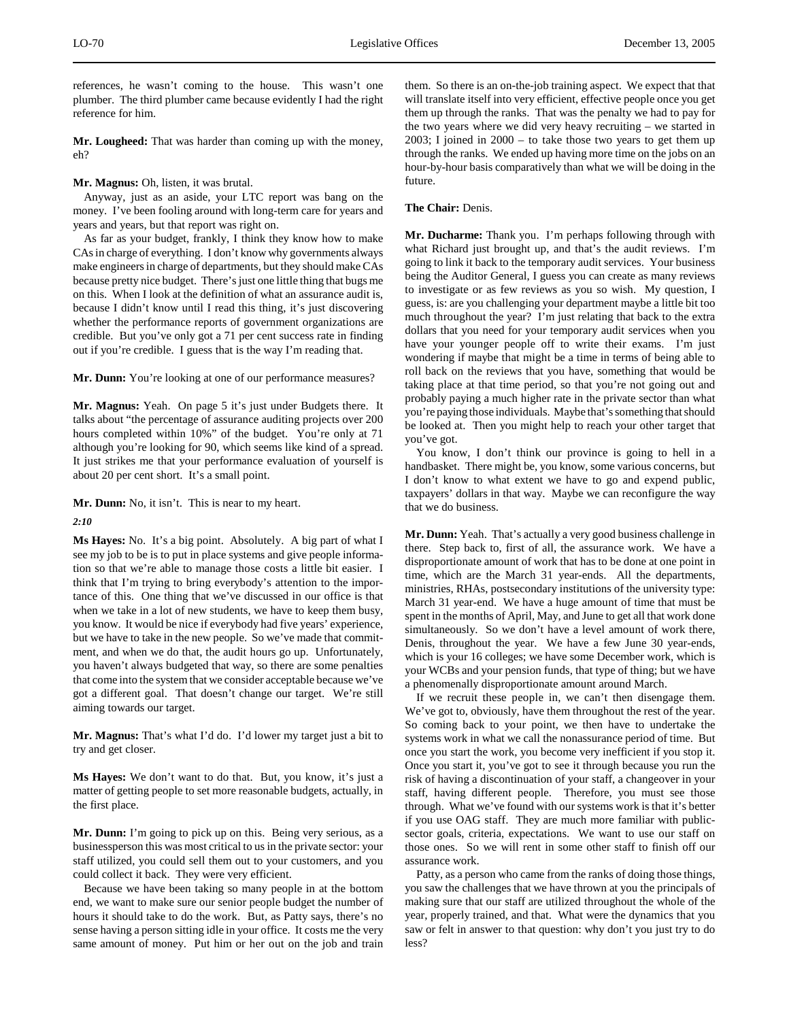references, he wasn't coming to the house. This wasn't one plumber. The third plumber came because evidently I had the right reference for him.

**Mr. Lougheed:** That was harder than coming up with the money, eh?

# **Mr. Magnus:** Oh, listen, it was brutal.

Anyway, just as an aside, your LTC report was bang on the money. I've been fooling around with long-term care for years and years and years, but that report was right on.

As far as your budget, frankly, I think they know how to make CAs in charge of everything. I don't know why governments always make engineers in charge of departments, but they should make CAs because pretty nice budget. There's just one little thing that bugs me on this. When I look at the definition of what an assurance audit is, because I didn't know until I read this thing, it's just discovering whether the performance reports of government organizations are credible. But you've only got a 71 per cent success rate in finding out if you're credible. I guess that is the way I'm reading that.

**Mr. Dunn:** You're looking at one of our performance measures?

**Mr. Magnus:** Yeah. On page 5 it's just under Budgets there. It talks about "the percentage of assurance auditing projects over 200 hours completed within 10%" of the budget. You're only at 71 although you're looking for 90, which seems like kind of a spread. It just strikes me that your performance evaluation of yourself is about 20 per cent short. It's a small point.

**Mr. Dunn:** No, it isn't. This is near to my heart.

# *2:10*

**Ms Hayes:** No. It's a big point. Absolutely. A big part of what I see my job to be is to put in place systems and give people information so that we're able to manage those costs a little bit easier. I think that I'm trying to bring everybody's attention to the importance of this. One thing that we've discussed in our office is that when we take in a lot of new students, we have to keep them busy, you know. It would be nice if everybody had five years' experience, but we have to take in the new people. So we've made that commitment, and when we do that, the audit hours go up. Unfortunately, you haven't always budgeted that way, so there are some penalties that come into the system that we consider acceptable because we've got a different goal. That doesn't change our target. We're still aiming towards our target.

**Mr. Magnus:** That's what I'd do. I'd lower my target just a bit to try and get closer.

**Ms Hayes:** We don't want to do that. But, you know, it's just a matter of getting people to set more reasonable budgets, actually, in the first place.

**Mr. Dunn:** I'm going to pick up on this. Being very serious, as a businessperson this was most critical to us in the private sector: your staff utilized, you could sell them out to your customers, and you could collect it back. They were very efficient.

Because we have been taking so many people in at the bottom end, we want to make sure our senior people budget the number of hours it should take to do the work. But, as Patty says, there's no sense having a person sitting idle in your office. It costs me the very same amount of money. Put him or her out on the job and train

them. So there is an on-the-job training aspect. We expect that that will translate itself into very efficient, effective people once you get them up through the ranks. That was the penalty we had to pay for the two years where we did very heavy recruiting – we started in 2003; I joined in 2000 – to take those two years to get them up through the ranks. We ended up having more time on the jobs on an hour-by-hour basis comparatively than what we will be doing in the future.

# **The Chair:** Denis.

**Mr. Ducharme:** Thank you. I'm perhaps following through with what Richard just brought up, and that's the audit reviews. I'm going to link it back to the temporary audit services. Your business being the Auditor General, I guess you can create as many reviews to investigate or as few reviews as you so wish. My question, I guess, is: are you challenging your department maybe a little bit too much throughout the year? I'm just relating that back to the extra dollars that you need for your temporary audit services when you have your younger people off to write their exams. I'm just wondering if maybe that might be a time in terms of being able to roll back on the reviews that you have, something that would be taking place at that time period, so that you're not going out and probably paying a much higher rate in the private sector than what you're paying those individuals. Maybe that's something that should be looked at. Then you might help to reach your other target that you've got.

You know, I don't think our province is going to hell in a handbasket. There might be, you know, some various concerns, but I don't know to what extent we have to go and expend public, taxpayers' dollars in that way. Maybe we can reconfigure the way that we do business.

**Mr. Dunn:** Yeah. That's actually a very good business challenge in there. Step back to, first of all, the assurance work. We have a disproportionate amount of work that has to be done at one point in time, which are the March 31 year-ends. All the departments, ministries, RHAs, postsecondary institutions of the university type: March 31 year-end. We have a huge amount of time that must be spent in the months of April, May, and June to get all that work done simultaneously. So we don't have a level amount of work there, Denis, throughout the year. We have a few June 30 year-ends, which is your 16 colleges; we have some December work, which is your WCBs and your pension funds, that type of thing; but we have a phenomenally disproportionate amount around March.

If we recruit these people in, we can't then disengage them. We've got to, obviously, have them throughout the rest of the year. So coming back to your point, we then have to undertake the systems work in what we call the nonassurance period of time. But once you start the work, you become very inefficient if you stop it. Once you start it, you've got to see it through because you run the risk of having a discontinuation of your staff, a changeover in your staff, having different people. Therefore, you must see those through. What we've found with our systems work is that it's better if you use OAG staff. They are much more familiar with publicsector goals, criteria, expectations. We want to use our staff on those ones. So we will rent in some other staff to finish off our assurance work.

Patty, as a person who came from the ranks of doing those things, you saw the challenges that we have thrown at you the principals of making sure that our staff are utilized throughout the whole of the year, properly trained, and that. What were the dynamics that you saw or felt in answer to that question: why don't you just try to do less?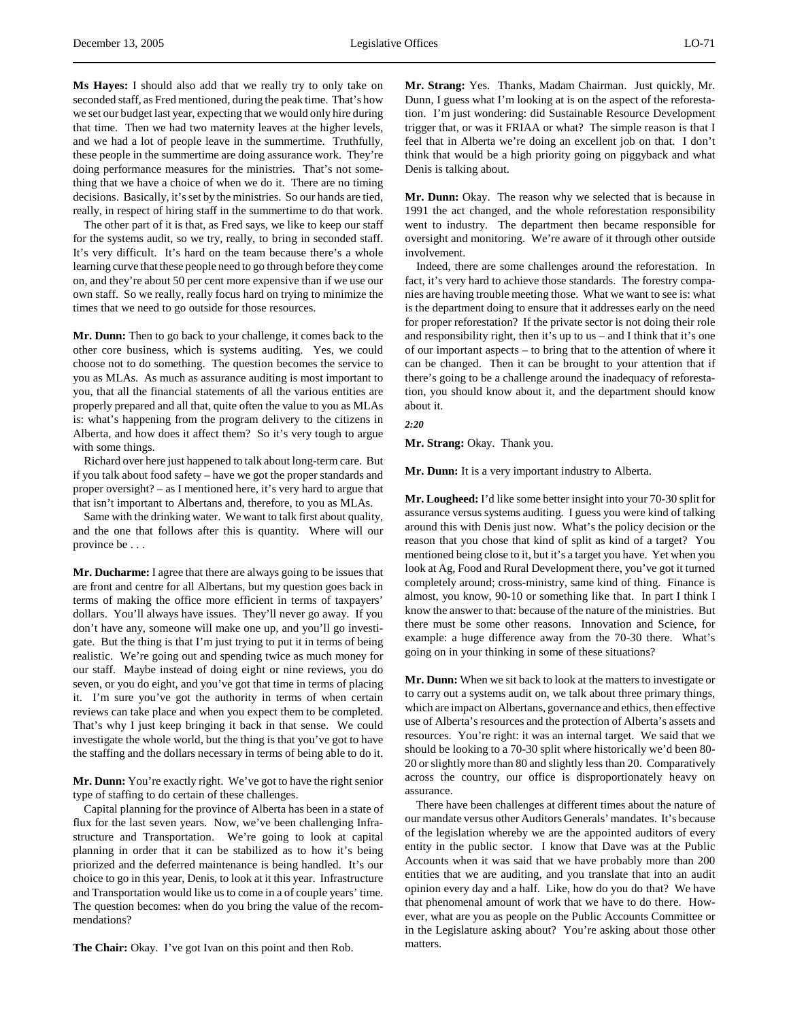**Ms Hayes:** I should also add that we really try to only take on seconded staff, as Fred mentioned, during the peak time. That's how we set our budget last year, expecting that we would only hire during that time. Then we had two maternity leaves at the higher levels, and we had a lot of people leave in the summertime. Truthfully, these people in the summertime are doing assurance work. They're doing performance measures for the ministries. That's not something that we have a choice of when we do it. There are no timing decisions. Basically, it's set by the ministries. So our hands are tied, really, in respect of hiring staff in the summertime to do that work.

The other part of it is that, as Fred says, we like to keep our staff for the systems audit, so we try, really, to bring in seconded staff. It's very difficult. It's hard on the team because there's a whole learning curve that these people need to go through before they come on, and they're about 50 per cent more expensive than if we use our own staff. So we really, really focus hard on trying to minimize the times that we need to go outside for those resources.

**Mr. Dunn:** Then to go back to your challenge, it comes back to the other core business, which is systems auditing. Yes, we could choose not to do something. The question becomes the service to you as MLAs. As much as assurance auditing is most important to you, that all the financial statements of all the various entities are properly prepared and all that, quite often the value to you as MLAs is: what's happening from the program delivery to the citizens in Alberta, and how does it affect them? So it's very tough to argue with some things.

Richard over here just happened to talk about long-term care. But if you talk about food safety – have we got the proper standards and proper oversight? – as I mentioned here, it's very hard to argue that that isn't important to Albertans and, therefore, to you as MLAs.

Same with the drinking water. We want to talk first about quality, and the one that follows after this is quantity. Where will our province be . . .

**Mr. Ducharme:** I agree that there are always going to be issues that are front and centre for all Albertans, but my question goes back in terms of making the office more efficient in terms of taxpayers' dollars. You'll always have issues. They'll never go away. If you don't have any, someone will make one up, and you'll go investigate. But the thing is that I'm just trying to put it in terms of being realistic. We're going out and spending twice as much money for our staff. Maybe instead of doing eight or nine reviews, you do seven, or you do eight, and you've got that time in terms of placing it. I'm sure you've got the authority in terms of when certain reviews can take place and when you expect them to be completed. That's why I just keep bringing it back in that sense. We could investigate the whole world, but the thing is that you've got to have the staffing and the dollars necessary in terms of being able to do it.

**Mr. Dunn:** You're exactly right. We've got to have the right senior type of staffing to do certain of these challenges.

Capital planning for the province of Alberta has been in a state of flux for the last seven years. Now, we've been challenging Infrastructure and Transportation. We're going to look at capital planning in order that it can be stabilized as to how it's being priorized and the deferred maintenance is being handled. It's our choice to go in this year, Denis, to look at it this year. Infrastructure and Transportation would like us to come in a of couple years' time. The question becomes: when do you bring the value of the recommendations?

**The Chair:** Okay. I've got Ivan on this point and then Rob.

**Mr. Strang:** Yes. Thanks, Madam Chairman. Just quickly, Mr. Dunn, I guess what I'm looking at is on the aspect of the reforestation. I'm just wondering: did Sustainable Resource Development trigger that, or was it FRIAA or what? The simple reason is that I feel that in Alberta we're doing an excellent job on that. I don't think that would be a high priority going on piggyback and what Denis is talking about.

**Mr. Dunn:** Okay. The reason why we selected that is because in 1991 the act changed, and the whole reforestation responsibility went to industry. The department then became responsible for oversight and monitoring. We're aware of it through other outside involvement.

Indeed, there are some challenges around the reforestation. In fact, it's very hard to achieve those standards. The forestry companies are having trouble meeting those. What we want to see is: what is the department doing to ensure that it addresses early on the need for proper reforestation? If the private sector is not doing their role and responsibility right, then it's up to us – and I think that it's one of our important aspects – to bring that to the attention of where it can be changed. Then it can be brought to your attention that if there's going to be a challenge around the inadequacy of reforestation, you should know about it, and the department should know about it.

*2:20*

**Mr. Strang:** Okay. Thank you.

**Mr. Dunn:** It is a very important industry to Alberta.

**Mr. Lougheed:** I'd like some better insight into your 70-30 split for assurance versus systems auditing. I guess you were kind of talking around this with Denis just now. What's the policy decision or the reason that you chose that kind of split as kind of a target? You mentioned being close to it, but it's a target you have. Yet when you look at Ag, Food and Rural Development there, you've got it turned completely around; cross-ministry, same kind of thing. Finance is almost, you know, 90-10 or something like that. In part I think I know the answer to that: because of the nature of the ministries. But there must be some other reasons. Innovation and Science, for example: a huge difference away from the 70-30 there. What's going on in your thinking in some of these situations?

**Mr. Dunn:** When we sit back to look at the matters to investigate or to carry out a systems audit on, we talk about three primary things, which are impact on Albertans, governance and ethics, then effective use of Alberta's resources and the protection of Alberta's assets and resources. You're right: it was an internal target. We said that we should be looking to a 70-30 split where historically we'd been 80- 20 or slightly more than 80 and slightly less than 20. Comparatively across the country, our office is disproportionately heavy on assurance.

There have been challenges at different times about the nature of our mandate versus other Auditors Generals' mandates. It's because of the legislation whereby we are the appointed auditors of every entity in the public sector. I know that Dave was at the Public Accounts when it was said that we have probably more than 200 entities that we are auditing, and you translate that into an audit opinion every day and a half. Like, how do you do that? We have that phenomenal amount of work that we have to do there. However, what are you as people on the Public Accounts Committee or in the Legislature asking about? You're asking about those other matters.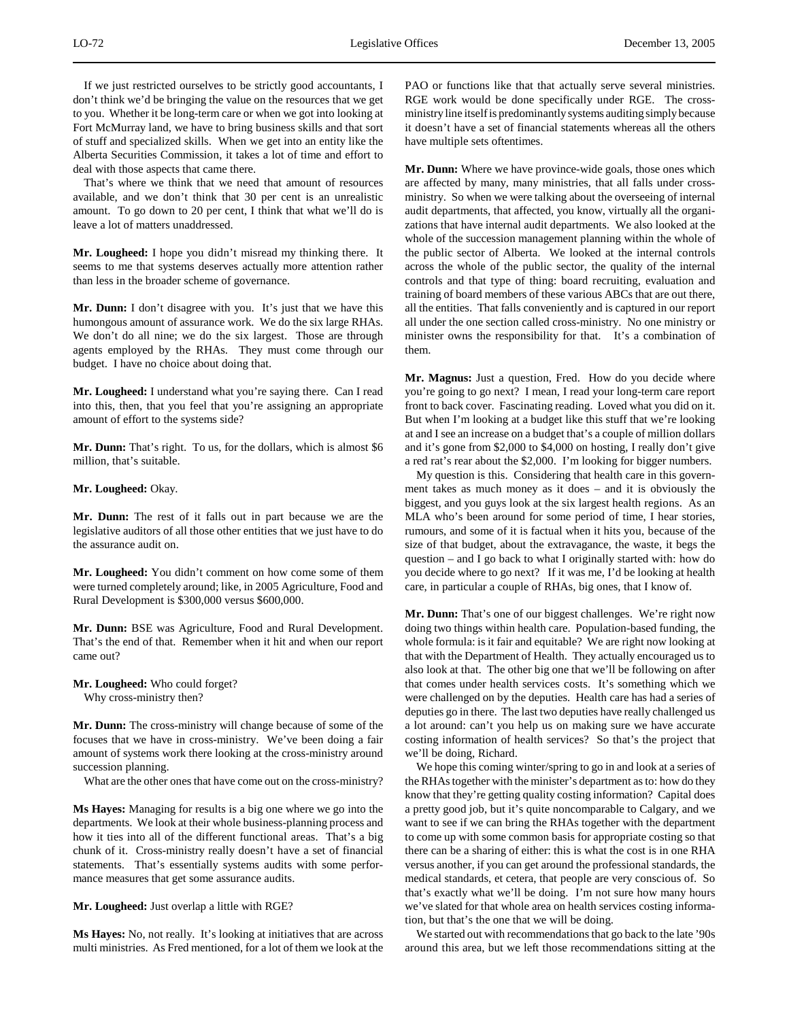If we just restricted ourselves to be strictly good accountants, I don't think we'd be bringing the value on the resources that we get to you. Whether it be long-term care or when we got into looking at Fort McMurray land, we have to bring business skills and that sort of stuff and specialized skills. When we get into an entity like the Alberta Securities Commission, it takes a lot of time and effort to deal with those aspects that came there.

That's where we think that we need that amount of resources available, and we don't think that 30 per cent is an unrealistic amount. To go down to 20 per cent, I think that what we'll do is leave a lot of matters unaddressed.

**Mr. Lougheed:** I hope you didn't misread my thinking there. It seems to me that systems deserves actually more attention rather than less in the broader scheme of governance.

**Mr. Dunn:** I don't disagree with you. It's just that we have this humongous amount of assurance work. We do the six large RHAs. We don't do all nine; we do the six largest. Those are through agents employed by the RHAs. They must come through our budget. I have no choice about doing that.

**Mr. Lougheed:** I understand what you're saying there. Can I read into this, then, that you feel that you're assigning an appropriate amount of effort to the systems side?

**Mr. Dunn:** That's right. To us, for the dollars, which is almost \$6 million, that's suitable.

## **Mr. Lougheed:** Okay.

**Mr. Dunn:** The rest of it falls out in part because we are the legislative auditors of all those other entities that we just have to do the assurance audit on.

**Mr. Lougheed:** You didn't comment on how come some of them were turned completely around; like, in 2005 Agriculture, Food and Rural Development is \$300,000 versus \$600,000.

**Mr. Dunn:** BSE was Agriculture, Food and Rural Development. That's the end of that. Remember when it hit and when our report came out?

**Mr. Lougheed:** Who could forget? Why cross-ministry then?

**Mr. Dunn:** The cross-ministry will change because of some of the focuses that we have in cross-ministry. We've been doing a fair amount of systems work there looking at the cross-ministry around succession planning.

What are the other ones that have come out on the cross-ministry?

**Ms Hayes:** Managing for results is a big one where we go into the departments. We look at their whole business-planning process and how it ties into all of the different functional areas. That's a big chunk of it. Cross-ministry really doesn't have a set of financial statements. That's essentially systems audits with some performance measures that get some assurance audits.

**Mr. Lougheed:** Just overlap a little with RGE?

**Ms Hayes:** No, not really. It's looking at initiatives that are across multi ministries. As Fred mentioned, for a lot of them we look at the PAO or functions like that that actually serve several ministries. RGE work would be done specifically under RGE. The crossministry line itself is predominantly systems auditing simply because it doesn't have a set of financial statements whereas all the others have multiple sets oftentimes.

**Mr. Dunn:** Where we have province-wide goals, those ones which are affected by many, many ministries, that all falls under crossministry. So when we were talking about the overseeing of internal audit departments, that affected, you know, virtually all the organizations that have internal audit departments. We also looked at the whole of the succession management planning within the whole of the public sector of Alberta. We looked at the internal controls across the whole of the public sector, the quality of the internal controls and that type of thing: board recruiting, evaluation and training of board members of these various ABCs that are out there, all the entities. That falls conveniently and is captured in our report all under the one section called cross-ministry. No one ministry or minister owns the responsibility for that. It's a combination of them.

**Mr. Magnus:** Just a question, Fred. How do you decide where you're going to go next? I mean, I read your long-term care report front to back cover. Fascinating reading. Loved what you did on it. But when I'm looking at a budget like this stuff that we're looking at and I see an increase on a budget that's a couple of million dollars and it's gone from \$2,000 to \$4,000 on hosting, I really don't give a red rat's rear about the \$2,000. I'm looking for bigger numbers.

My question is this. Considering that health care in this government takes as much money as it does – and it is obviously the biggest, and you guys look at the six largest health regions. As an MLA who's been around for some period of time, I hear stories, rumours, and some of it is factual when it hits you, because of the size of that budget, about the extravagance, the waste, it begs the question – and I go back to what I originally started with: how do you decide where to go next? If it was me, I'd be looking at health care, in particular a couple of RHAs, big ones, that I know of.

**Mr. Dunn:** That's one of our biggest challenges. We're right now doing two things within health care. Population-based funding, the whole formula: is it fair and equitable? We are right now looking at that with the Department of Health. They actually encouraged us to also look at that. The other big one that we'll be following on after that comes under health services costs. It's something which we were challenged on by the deputies. Health care has had a series of deputies go in there. The last two deputies have really challenged us a lot around: can't you help us on making sure we have accurate costing information of health services? So that's the project that we'll be doing, Richard.

We hope this coming winter/spring to go in and look at a series of the RHAs together with the minister's department as to: how do they know that they're getting quality costing information? Capital does a pretty good job, but it's quite noncomparable to Calgary, and we want to see if we can bring the RHAs together with the department to come up with some common basis for appropriate costing so that there can be a sharing of either: this is what the cost is in one RHA versus another, if you can get around the professional standards, the medical standards, et cetera, that people are very conscious of. So that's exactly what we'll be doing. I'm not sure how many hours we've slated for that whole area on health services costing information, but that's the one that we will be doing.

We started out with recommendations that go back to the late '90s around this area, but we left those recommendations sitting at the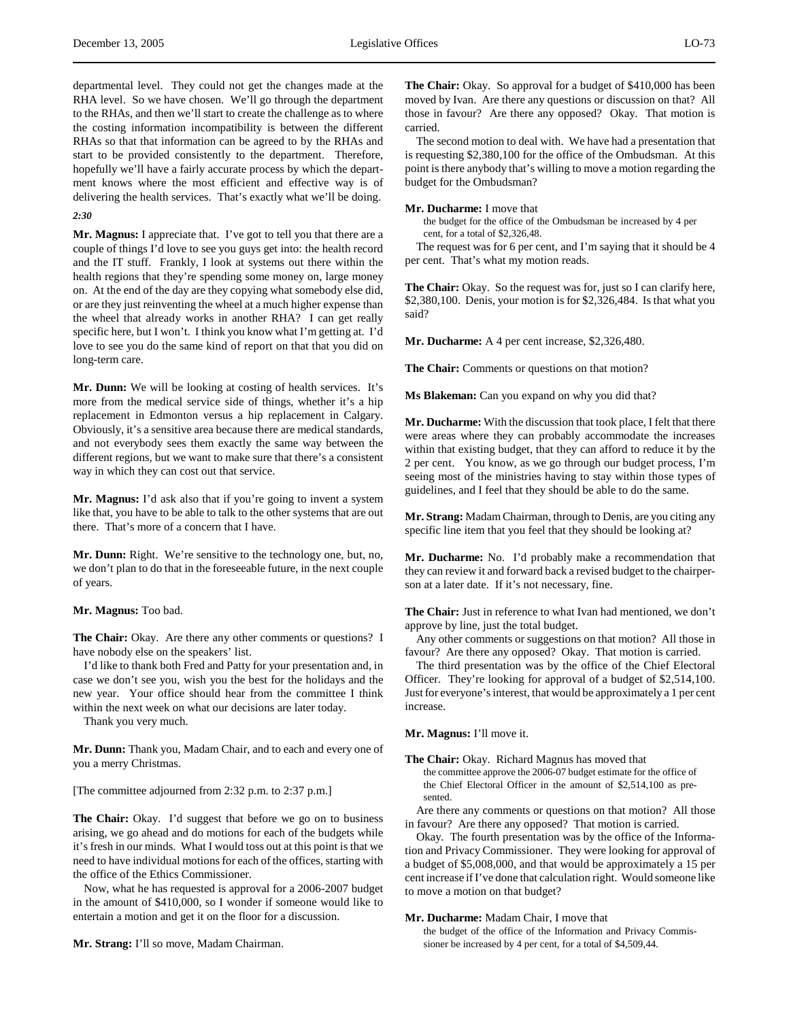departmental level. They could not get the changes made at the RHA level. So we have chosen. We'll go through the department to the RHAs, and then we'll start to create the challenge as to where the costing information incompatibility is between the different RHAs so that that information can be agreed to by the RHAs and start to be provided consistently to the department. Therefore, hopefully we'll have a fairly accurate process by which the department knows where the most efficient and effective way is of delivering the health services. That's exactly what we'll be doing.

# *2:30*

**Mr. Magnus:** I appreciate that. I've got to tell you that there are a couple of things I'd love to see you guys get into: the health record and the IT stuff. Frankly, I look at systems out there within the health regions that they're spending some money on, large money on. At the end of the day are they copying what somebody else did, or are they just reinventing the wheel at a much higher expense than the wheel that already works in another RHA? I can get really specific here, but I won't. I think you know what I'm getting at. I'd love to see you do the same kind of report on that that you did on long-term care.

**Mr. Dunn:** We will be looking at costing of health services. It's more from the medical service side of things, whether it's a hip replacement in Edmonton versus a hip replacement in Calgary. Obviously, it's a sensitive area because there are medical standards, and not everybody sees them exactly the same way between the different regions, but we want to make sure that there's a consistent way in which they can cost out that service.

**Mr. Magnus:** I'd ask also that if you're going to invent a system like that, you have to be able to talk to the other systems that are out there. That's more of a concern that I have.

**Mr. Dunn:** Right. We're sensitive to the technology one, but, no, we don't plan to do that in the foreseeable future, in the next couple of years.

**Mr. Magnus:** Too bad.

**The Chair:** Okay. Are there any other comments or questions? I have nobody else on the speakers' list.

I'd like to thank both Fred and Patty for your presentation and, in case we don't see you, wish you the best for the holidays and the new year. Your office should hear from the committee I think within the next week on what our decisions are later today.

Thank you very much.

**Mr. Dunn:** Thank you, Madam Chair, and to each and every one of you a merry Christmas.

[The committee adjourned from 2:32 p.m. to 2:37 p.m.]

**The Chair:** Okay. I'd suggest that before we go on to business arising, we go ahead and do motions for each of the budgets while it's fresh in our minds. What I would toss out at this point is that we need to have individual motions for each of the offices, starting with the office of the Ethics Commissioner.

Now, what he has requested is approval for a 2006-2007 budget in the amount of \$410,000, so I wonder if someone would like to entertain a motion and get it on the floor for a discussion.

**Mr. Strang:** I'll so move, Madam Chairman.

**The Chair:** Okay. So approval for a budget of \$410,000 has been moved by Ivan. Are there any questions or discussion on that? All those in favour? Are there any opposed? Okay. That motion is carried.

The second motion to deal with. We have had a presentation that is requesting \$2,380,100 for the office of the Ombudsman. At this point is there anybody that's willing to move a motion regarding the budget for the Ombudsman?

# **Mr. Ducharme:** I move that

the budget for the office of the Ombudsman be increased by 4 per cent, for a total of \$2,326,48.

The request was for 6 per cent, and I'm saying that it should be 4 per cent. That's what my motion reads.

**The Chair:** Okay. So the request was for, just so I can clarify here, \$2,380,100. Denis, your motion is for \$2,326,484. Is that what you said?

**Mr. Ducharme:** A 4 per cent increase, \$2,326,480.

**The Chair:** Comments or questions on that motion?

**Ms Blakeman:** Can you expand on why you did that?

**Mr. Ducharme:** With the discussion that took place, I felt that there were areas where they can probably accommodate the increases within that existing budget, that they can afford to reduce it by the 2 per cent. You know, as we go through our budget process, I'm seeing most of the ministries having to stay within those types of guidelines, and I feel that they should be able to do the same.

**Mr. Strang:** Madam Chairman, through to Denis, are you citing any specific line item that you feel that they should be looking at?

**Mr. Ducharme:** No. I'd probably make a recommendation that they can review it and forward back a revised budget to the chairperson at a later date. If it's not necessary, fine.

**The Chair:** Just in reference to what Ivan had mentioned, we don't approve by line, just the total budget.

Any other comments or suggestions on that motion? All those in favour? Are there any opposed? Okay. That motion is carried.

The third presentation was by the office of the Chief Electoral Officer. They're looking for approval of a budget of \$2,514,100. Just for everyone's interest, that would be approximately a 1 per cent increase.

**Mr. Magnus:** I'll move it.

**The Chair:** Okay. Richard Magnus has moved that

the committee approve the 2006-07 budget estimate for the office of the Chief Electoral Officer in the amount of \$2,514,100 as presented.

Are there any comments or questions on that motion? All those in favour? Are there any opposed? That motion is carried.

Okay. The fourth presentation was by the office of the Information and Privacy Commissioner. They were looking for approval of a budget of \$5,008,000, and that would be approximately a 15 per cent increase if I've done that calculation right. Would someone like to move a motion on that budget?

# **Mr. Ducharme:** Madam Chair, I move that

the budget of the office of the Information and Privacy Commissioner be increased by 4 per cent, for a total of \$4,509,44.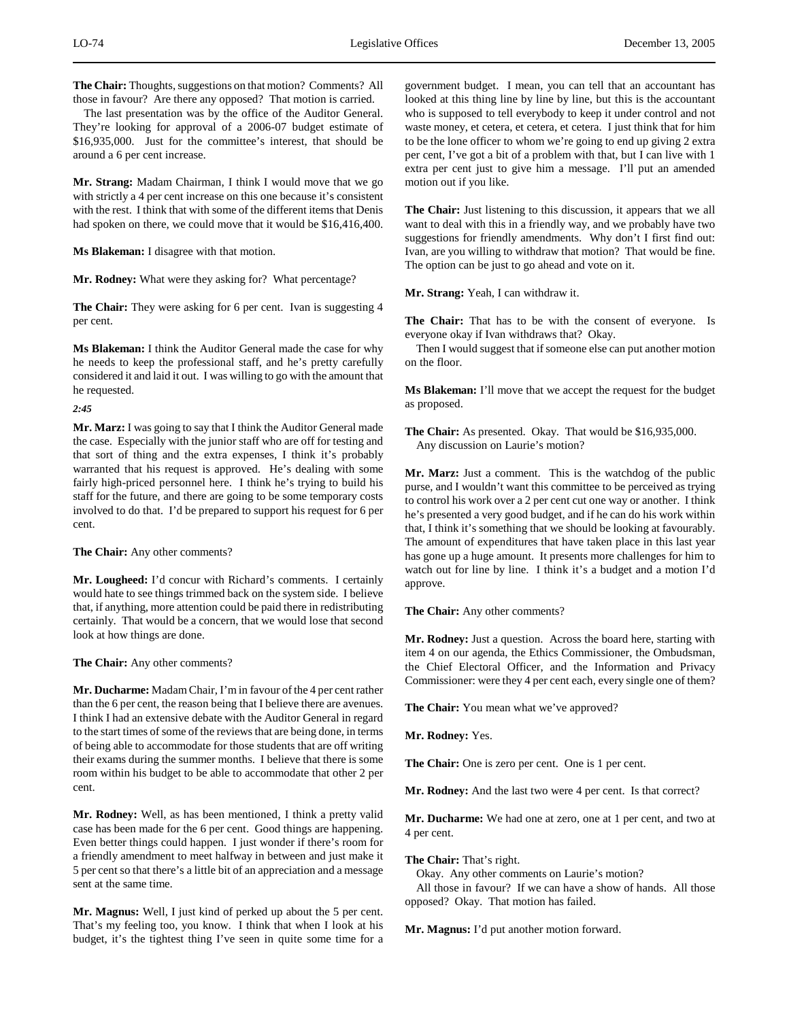**The Chair:** Thoughts, suggestions on that motion? Comments? All those in favour? Are there any opposed? That motion is carried.

The last presentation was by the office of the Auditor General. They're looking for approval of a 2006-07 budget estimate of \$16,935,000. Just for the committee's interest, that should be around a 6 per cent increase.

**Mr. Strang:** Madam Chairman, I think I would move that we go with strictly a 4 per cent increase on this one because it's consistent with the rest. I think that with some of the different items that Denis had spoken on there, we could move that it would be \$16,416,400.

**Ms Blakeman:** I disagree with that motion.

**Mr. Rodney:** What were they asking for? What percentage?

**The Chair:** They were asking for 6 per cent. Ivan is suggesting 4 per cent.

**Ms Blakeman:** I think the Auditor General made the case for why he needs to keep the professional staff, and he's pretty carefully considered it and laid it out. I was willing to go with the amount that he requested.

*2:45*

**Mr. Marz:** I was going to say that I think the Auditor General made the case. Especially with the junior staff who are off for testing and that sort of thing and the extra expenses, I think it's probably warranted that his request is approved. He's dealing with some fairly high-priced personnel here. I think he's trying to build his staff for the future, and there are going to be some temporary costs involved to do that. I'd be prepared to support his request for 6 per cent.

**The Chair:** Any other comments?

**Mr. Lougheed:** I'd concur with Richard's comments. I certainly would hate to see things trimmed back on the system side. I believe that, if anything, more attention could be paid there in redistributing certainly. That would be a concern, that we would lose that second look at how things are done.

**The Chair:** Any other comments?

**Mr. Ducharme:** Madam Chair, I'm in favour of the 4 per cent rather than the 6 per cent, the reason being that I believe there are avenues. I think I had an extensive debate with the Auditor General in regard to the start times of some of the reviews that are being done, in terms of being able to accommodate for those students that are off writing their exams during the summer months. I believe that there is some room within his budget to be able to accommodate that other 2 per cent.

**Mr. Rodney:** Well, as has been mentioned, I think a pretty valid case has been made for the 6 per cent. Good things are happening. Even better things could happen. I just wonder if there's room for a friendly amendment to meet halfway in between and just make it 5 per cent so that there's a little bit of an appreciation and a message sent at the same time.

**Mr. Magnus:** Well, I just kind of perked up about the 5 per cent. That's my feeling too, you know. I think that when I look at his budget, it's the tightest thing I've seen in quite some time for a

government budget. I mean, you can tell that an accountant has looked at this thing line by line by line, but this is the accountant who is supposed to tell everybody to keep it under control and not waste money, et cetera, et cetera, et cetera. I just think that for him to be the lone officer to whom we're going to end up giving 2 extra per cent, I've got a bit of a problem with that, but I can live with 1 extra per cent just to give him a message. I'll put an amended motion out if you like.

**The Chair:** Just listening to this discussion, it appears that we all want to deal with this in a friendly way, and we probably have two suggestions for friendly amendments. Why don't I first find out: Ivan, are you willing to withdraw that motion? That would be fine. The option can be just to go ahead and vote on it.

**Mr. Strang:** Yeah, I can withdraw it.

**The Chair:** That has to be with the consent of everyone. Is everyone okay if Ivan withdraws that? Okay.

Then I would suggest that if someone else can put another motion on the floor.

**Ms Blakeman:** I'll move that we accept the request for the budget as proposed.

**The Chair:** As presented. Okay. That would be \$16,935,000. Any discussion on Laurie's motion?

**Mr. Marz:** Just a comment. This is the watchdog of the public purse, and I wouldn't want this committee to be perceived as trying to control his work over a 2 per cent cut one way or another. I think he's presented a very good budget, and if he can do his work within that, I think it's something that we should be looking at favourably. The amount of expenditures that have taken place in this last year has gone up a huge amount. It presents more challenges for him to watch out for line by line. I think it's a budget and a motion I'd approve.

**The Chair:** Any other comments?

**Mr. Rodney:** Just a question. Across the board here, starting with item 4 on our agenda, the Ethics Commissioner, the Ombudsman, the Chief Electoral Officer, and the Information and Privacy Commissioner: were they 4 per cent each, every single one of them?

**The Chair:** You mean what we've approved?

**Mr. Rodney:** Yes.

**The Chair:** One is zero per cent. One is 1 per cent.

**Mr. Rodney:** And the last two were 4 per cent. Is that correct?

**Mr. Ducharme:** We had one at zero, one at 1 per cent, and two at 4 per cent.

**The Chair:** That's right.

Okay. Any other comments on Laurie's motion?

All those in favour? If we can have a show of hands. All those opposed? Okay. That motion has failed.

**Mr. Magnus:** I'd put another motion forward.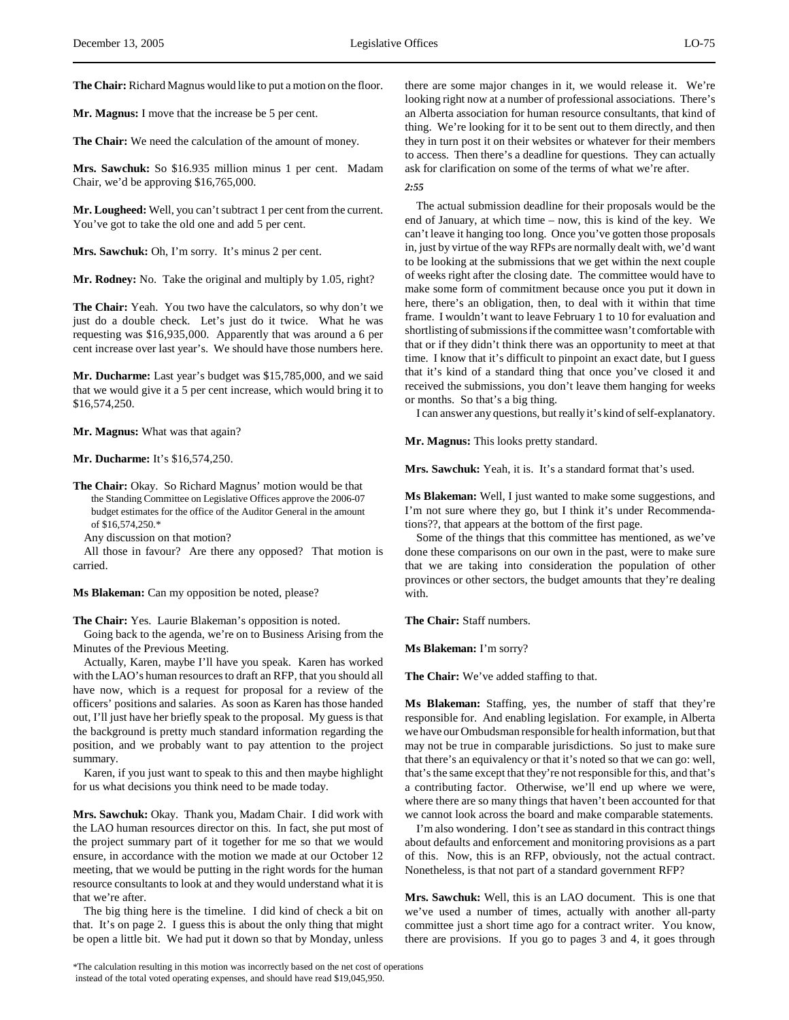**The Chair:** Richard Magnus would like to put a motion on the floor.

**Mr. Magnus:** I move that the increase be 5 per cent.

**The Chair:** We need the calculation of the amount of money.

**Mrs. Sawchuk:** So \$16.935 million minus 1 per cent. Madam Chair, we'd be approving \$16,765,000.

**Mr. Lougheed:** Well, you can't subtract 1 per cent from the current. You've got to take the old one and add 5 per cent.

**Mrs. Sawchuk:** Oh, I'm sorry. It's minus 2 per cent.

**Mr. Rodney:** No. Take the original and multiply by 1.05, right?

**The Chair:** Yeah. You two have the calculators, so why don't we just do a double check. Let's just do it twice. What he was requesting was \$16,935,000. Apparently that was around a 6 per cent increase over last year's. We should have those numbers here.

**Mr. Ducharme:** Last year's budget was \$15,785,000, and we said that we would give it a 5 per cent increase, which would bring it to \$16,574,250.

**Mr. Magnus:** What was that again?

**Mr. Ducharme:** It's \$16,574,250.

**The Chair:** Okay. So Richard Magnus' motion would be that the Standing Committee on Legislative Offices approve the 2006-07 budget estimates for the office of the Auditor General in the amount of \$16,574,250.\*

Any discussion on that motion?

All those in favour? Are there any opposed? That motion is carried.

**Ms Blakeman:** Can my opposition be noted, please?

**The Chair:** Yes. Laurie Blakeman's opposition is noted.

Going back to the agenda, we're on to Business Arising from the Minutes of the Previous Meeting.

Actually, Karen, maybe I'll have you speak. Karen has worked with the LAO's human resources to draft an RFP, that you should all have now, which is a request for proposal for a review of the officers' positions and salaries. As soon as Karen has those handed out, I'll just have her briefly speak to the proposal. My guess is that the background is pretty much standard information regarding the position, and we probably want to pay attention to the project summary.

Karen, if you just want to speak to this and then maybe highlight for us what decisions you think need to be made today.

**Mrs. Sawchuk:** Okay. Thank you, Madam Chair. I did work with the LAO human resources director on this. In fact, she put most of the project summary part of it together for me so that we would ensure, in accordance with the motion we made at our October 12 meeting, that we would be putting in the right words for the human resource consultants to look at and they would understand what it is that we're after.

The big thing here is the timeline. I did kind of check a bit on that. It's on page 2. I guess this is about the only thing that might be open a little bit. We had put it down so that by Monday, unless

there are some major changes in it, we would release it. We're looking right now at a number of professional associations. There's an Alberta association for human resource consultants, that kind of thing. We're looking for it to be sent out to them directly, and then they in turn post it on their websites or whatever for their members to access. Then there's a deadline for questions. They can actually ask for clarification on some of the terms of what we're after.

*2:55*

The actual submission deadline for their proposals would be the end of January, at which time – now, this is kind of the key. We can't leave it hanging too long. Once you've gotten those proposals in, just by virtue of the way RFPs are normally dealt with, we'd want to be looking at the submissions that we get within the next couple of weeks right after the closing date. The committee would have to make some form of commitment because once you put it down in here, there's an obligation, then, to deal with it within that time frame. I wouldn't want to leave February 1 to 10 for evaluation and shortlisting of submissions if the committee wasn't comfortable with that or if they didn't think there was an opportunity to meet at that time. I know that it's difficult to pinpoint an exact date, but I guess that it's kind of a standard thing that once you've closed it and received the submissions, you don't leave them hanging for weeks or months. So that's a big thing.

I can answer any questions, but really it's kind of self-explanatory.

**Mr. Magnus:** This looks pretty standard.

**Mrs. Sawchuk:** Yeah, it is. It's a standard format that's used.

**Ms Blakeman:** Well, I just wanted to make some suggestions, and I'm not sure where they go, but I think it's under Recommendations??, that appears at the bottom of the first page.

Some of the things that this committee has mentioned, as we've done these comparisons on our own in the past, were to make sure that we are taking into consideration the population of other provinces or other sectors, the budget amounts that they're dealing with.

**The Chair:** Staff numbers.

**Ms Blakeman:** I'm sorry?

**The Chair:** We've added staffing to that.

**Ms Blakeman:** Staffing, yes, the number of staff that they're responsible for. And enabling legislation. For example, in Alberta we have our Ombudsman responsible for health information, but that may not be true in comparable jurisdictions. So just to make sure that there's an equivalency or that it's noted so that we can go: well, that's the same except that they're not responsible for this, and that's a contributing factor. Otherwise, we'll end up where we were, where there are so many things that haven't been accounted for that we cannot look across the board and make comparable statements.

I'm also wondering. I don't see as standard in this contract things about defaults and enforcement and monitoring provisions as a part of this. Now, this is an RFP, obviously, not the actual contract. Nonetheless, is that not part of a standard government RFP?

**Mrs. Sawchuk:** Well, this is an LAO document. This is one that we've used a number of times, actually with another all-party committee just a short time ago for a contract writer. You know, there are provisions. If you go to pages 3 and 4, it goes through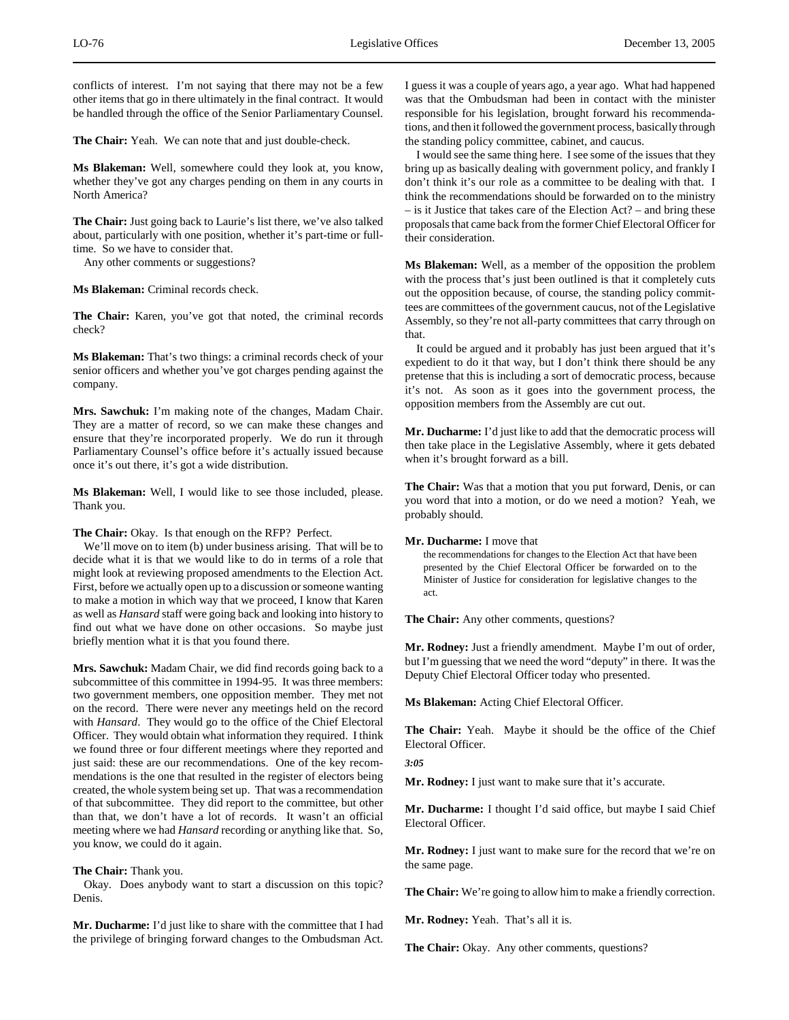conflicts of interest. I'm not saying that there may not be a few other items that go in there ultimately in the final contract. It would be handled through the office of the Senior Parliamentary Counsel.

**The Chair:** Yeah. We can note that and just double-check.

**Ms Blakeman:** Well, somewhere could they look at, you know, whether they've got any charges pending on them in any courts in North America?

**The Chair:** Just going back to Laurie's list there, we've also talked about, particularly with one position, whether it's part-time or fulltime. So we have to consider that.

Any other comments or suggestions?

**Ms Blakeman:** Criminal records check.

**The Chair:** Karen, you've got that noted, the criminal records check?

**Ms Blakeman:** That's two things: a criminal records check of your senior officers and whether you've got charges pending against the company.

**Mrs. Sawchuk:** I'm making note of the changes, Madam Chair. They are a matter of record, so we can make these changes and ensure that they're incorporated properly. We do run it through Parliamentary Counsel's office before it's actually issued because once it's out there, it's got a wide distribution.

**Ms Blakeman:** Well, I would like to see those included, please. Thank you.

**The Chair:** Okay. Is that enough on the RFP? Perfect.

We'll move on to item (b) under business arising. That will be to decide what it is that we would like to do in terms of a role that might look at reviewing proposed amendments to the Election Act. First, before we actually open up to a discussion or someone wanting to make a motion in which way that we proceed, I know that Karen as well as *Hansard* staff were going back and looking into history to find out what we have done on other occasions. So maybe just briefly mention what it is that you found there.

**Mrs. Sawchuk:** Madam Chair, we did find records going back to a subcommittee of this committee in 1994-95. It was three members: two government members, one opposition member. They met not on the record. There were never any meetings held on the record with *Hansard*. They would go to the office of the Chief Electoral Officer. They would obtain what information they required. I think we found three or four different meetings where they reported and just said: these are our recommendations. One of the key recommendations is the one that resulted in the register of electors being created, the whole system being set up. That was a recommendation of that subcommittee. They did report to the committee, but other than that, we don't have a lot of records. It wasn't an official meeting where we had *Hansard* recording or anything like that. So, you know, we could do it again.

# **The Chair:** Thank you.

Okay. Does anybody want to start a discussion on this topic? Denis.

**Mr. Ducharme:** I'd just like to share with the committee that I had the privilege of bringing forward changes to the Ombudsman Act.

I guess it was a couple of years ago, a year ago. What had happened was that the Ombudsman had been in contact with the minister responsible for his legislation, brought forward his recommendations, and then it followed the government process, basically through the standing policy committee, cabinet, and caucus.

I would see the same thing here. I see some of the issues that they bring up as basically dealing with government policy, and frankly I don't think it's our role as a committee to be dealing with that. I think the recommendations should be forwarded on to the ministry – is it Justice that takes care of the Election Act? – and bring these proposals that came back from the former Chief Electoral Officer for their consideration.

**Ms Blakeman:** Well, as a member of the opposition the problem with the process that's just been outlined is that it completely cuts out the opposition because, of course, the standing policy committees are committees of the government caucus, not of the Legislative Assembly, so they're not all-party committees that carry through on that.

It could be argued and it probably has just been argued that it's expedient to do it that way, but I don't think there should be any pretense that this is including a sort of democratic process, because it's not. As soon as it goes into the government process, the opposition members from the Assembly are cut out.

**Mr. Ducharme:** I'd just like to add that the democratic process will then take place in the Legislative Assembly, where it gets debated when it's brought forward as a bill.

**The Chair:** Was that a motion that you put forward, Denis, or can you word that into a motion, or do we need a motion? Yeah, we probably should.

### **Mr. Ducharme:** I move that

the recommendations for changes to the Election Act that have been presented by the Chief Electoral Officer be forwarded on to the Minister of Justice for consideration for legislative changes to the act.

**The Chair:** Any other comments, questions?

**Mr. Rodney:** Just a friendly amendment. Maybe I'm out of order, but I'm guessing that we need the word "deputy" in there. It was the Deputy Chief Electoral Officer today who presented.

**Ms Blakeman:** Acting Chief Electoral Officer.

**The Chair:** Yeah. Maybe it should be the office of the Chief Electoral Officer.

*3:05*

**Mr. Rodney:** I just want to make sure that it's accurate.

**Mr. Ducharme:** I thought I'd said office, but maybe I said Chief Electoral Officer.

**Mr. Rodney:** I just want to make sure for the record that we're on the same page.

**The Chair:** We're going to allow him to make a friendly correction.

**Mr. Rodney:** Yeah. That's all it is.

**The Chair:** Okay. Any other comments, questions?